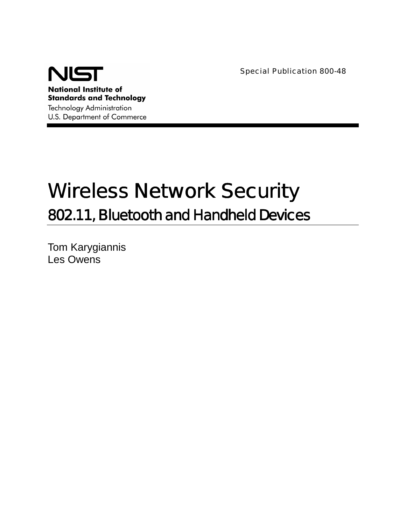

Special Publication 800-48

#### **National Institute of Standards and Technology** Technology Administration

U.S. Department of Commerce

# Wireless Network Security 802.11, Bluetooth and Handheld Devices

Tom Karygiannis Les Owens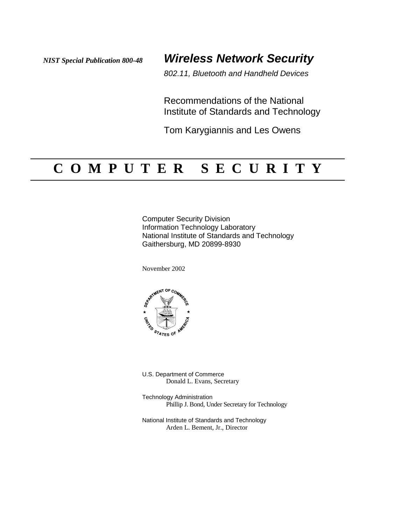*NIST Special Publication 800-48 Wireless Network Security*

*802.11, Bluetooth and Handheld Devices*

Recommendations of the National Institute of Standards and Technology

Tom Karygiannis and Les Owens

# **C O M P U T E R S E C U R I T Y**

Computer Security Division Information Technology Laboratory National Institute of Standards and Technology Gaithersburg, MD 20899-8930

November 2002



U.S. Department of Commerce Donald L. Evans, Secretary

Technology Administration Phillip J. Bond, Under Secretary for Technology

National Institute of Standards and Technology Arden L. Bement, Jr., Director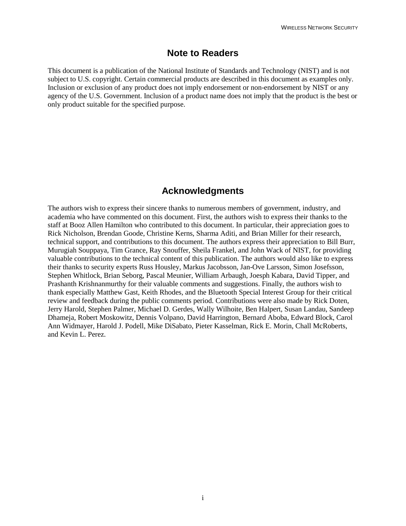#### **Note to Readers**

This document is a publication of the National Institute of Standards and Technology (NIST) and is not subject to U.S. copyright. Certain commercial products are described in this document as examples only. Inclusion or exclusion of any product does not imply endorsement or non-endorsement by NIST or any agency of the U.S. Government. Inclusion of a product name does not imply that the product is the best or only product suitable for the specified purpose.

### **Acknowledgments**

The authors wish to express their sincere thanks to numerous members of government, industry, and academia who have commented on this document. First, the authors wish to express their thanks to the staff at Booz Allen Hamilton who contributed to this document. In particular, their appreciation goes to Rick Nicholson, Brendan Goode, Christine Kerns, Sharma Aditi, and Brian Miller for their research, technical support, and contributions to this document. The authors express their appreciation to Bill Burr, Murugiah Souppaya, Tim Grance, Ray Snouffer, Sheila Frankel, and John Wack of NIST, for providing valuable contributions to the technical content of this publication. The authors would also like to express their thanks to security experts Russ Housley, Markus Jacobsson, Jan-Ove Larsson, Simon Josefsson, Stephen Whitlock, Brian Seborg, Pascal Meunier, William Arbaugh, Joesph Kabara, David Tipper, and Prashanth Krishnanmurthy for their valuable comments and suggestions. Finally, the authors wish to thank especially Matthew Gast, Keith Rhodes, and the Bluetooth Special Interest Group for their critical review and feedback during the public comments period. Contributions were also made by Rick Doten, Jerry Harold, Stephen Palmer, Michael D. Gerdes, Wally Wilhoite, Ben Halpert, Susan Landau, Sandeep Dhameja, Robert Moskowitz, Dennis Volpano, David Harrington, Bernard Aboba, Edward Block, Carol Ann Widmayer, Harold J. Podell, Mike DiSabato, Pieter Kasselman, Rick E. Morin, Chall McRoberts, and Kevin L. Perez.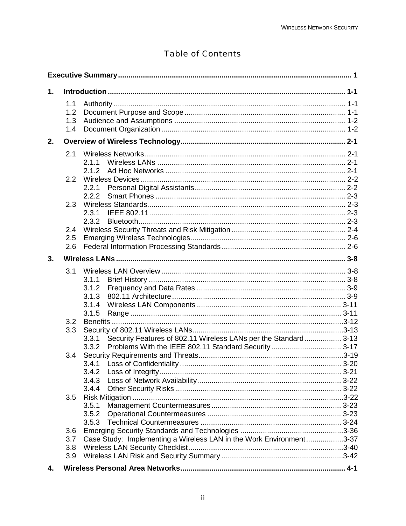# Table of Contents

| 1. |     |                                                                                   |  |  |
|----|-----|-----------------------------------------------------------------------------------|--|--|
|    | 1.1 |                                                                                   |  |  |
|    | 1.2 |                                                                                   |  |  |
|    | 1.3 |                                                                                   |  |  |
|    | 1.4 |                                                                                   |  |  |
| 2. |     |                                                                                   |  |  |
|    | 2.1 |                                                                                   |  |  |
|    |     | 2.1.1                                                                             |  |  |
|    |     | 2.1.2                                                                             |  |  |
|    | 2.2 |                                                                                   |  |  |
|    |     |                                                                                   |  |  |
|    |     |                                                                                   |  |  |
|    | 2.3 |                                                                                   |  |  |
|    |     | 2.3.1                                                                             |  |  |
|    |     | 2.3.2                                                                             |  |  |
|    | 2.4 |                                                                                   |  |  |
|    | 2.5 |                                                                                   |  |  |
|    | 2.6 |                                                                                   |  |  |
| 3. |     |                                                                                   |  |  |
|    | 3.1 |                                                                                   |  |  |
|    |     | 3.1.1                                                                             |  |  |
|    |     | 3.1.2                                                                             |  |  |
|    |     | 3.1.3                                                                             |  |  |
|    |     | 3.1.4                                                                             |  |  |
|    |     | 3.1.5                                                                             |  |  |
|    | 3.2 |                                                                                   |  |  |
|    | 3.3 |                                                                                   |  |  |
|    |     | Security Features of 802.11 Wireless LANs per the Standard 3-13<br>3.3.1<br>3.3.2 |  |  |
|    | 3.4 |                                                                                   |  |  |
|    |     |                                                                                   |  |  |
|    |     | 3.4.2                                                                             |  |  |
|    |     | 3.4.3                                                                             |  |  |
|    |     | 3.4.4                                                                             |  |  |
|    | 3.5 |                                                                                   |  |  |
|    |     | 3.5.1                                                                             |  |  |
|    |     | 3.5.2                                                                             |  |  |
|    |     | 3.5.3                                                                             |  |  |
|    | 3.6 |                                                                                   |  |  |
|    | 3.7 | Case Study: Implementing a Wireless LAN in the Work Environment3-37               |  |  |
|    | 3.8 |                                                                                   |  |  |
|    | 3.9 |                                                                                   |  |  |
| 4. |     |                                                                                   |  |  |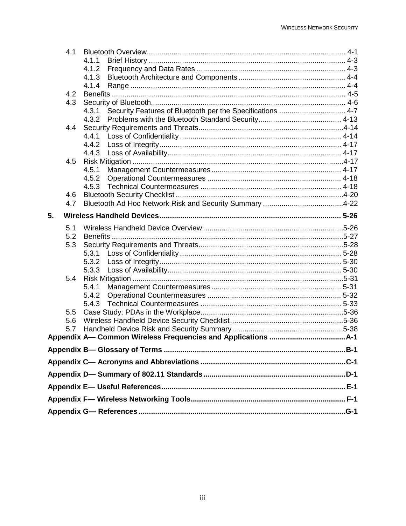| 4.1 |                                                                     |  |
|-----|---------------------------------------------------------------------|--|
|     | 4.1.1                                                               |  |
|     | 4.1.2                                                               |  |
|     | 4.1.3                                                               |  |
|     | 4.1.4                                                               |  |
| 4.2 |                                                                     |  |
| 4.3 |                                                                     |  |
|     | Security Features of Bluetooth per the Specifications  4-7<br>4.3.1 |  |
|     | 4.3.2                                                               |  |
| 4.4 |                                                                     |  |
|     | 4.4.1                                                               |  |
|     | 4.4.2                                                               |  |
|     | 4.4.3                                                               |  |
| 4.5 |                                                                     |  |
|     | 4.5.1                                                               |  |
|     | 4.5.2                                                               |  |
|     | 4.5.3                                                               |  |
| 4.6 |                                                                     |  |
| 4.7 |                                                                     |  |
| 5.  |                                                                     |  |
| 5.1 |                                                                     |  |
| 5.2 |                                                                     |  |
| 5.3 |                                                                     |  |
|     | 5.3.1                                                               |  |
|     | 5.3.2                                                               |  |
|     | 5.3.3                                                               |  |
| 5.4 |                                                                     |  |
|     | 5.4.1                                                               |  |
|     | 5.4.2                                                               |  |
|     | 5.4.3                                                               |  |
| 5.5 |                                                                     |  |
| 5.6 |                                                                     |  |
| 5.7 |                                                                     |  |
|     |                                                                     |  |
|     |                                                                     |  |
|     |                                                                     |  |
|     |                                                                     |  |
|     |                                                                     |  |
|     |                                                                     |  |
|     |                                                                     |  |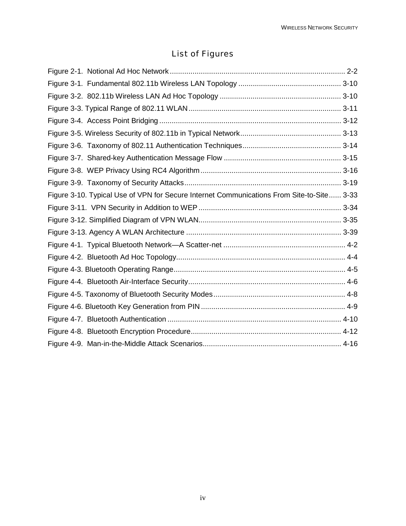# List of Figures

| Figure 3-10. Typical Use of VPN for Secure Internet Communications From Site-to-Site 3-33 |
|-------------------------------------------------------------------------------------------|
|                                                                                           |
|                                                                                           |
|                                                                                           |
|                                                                                           |
|                                                                                           |
|                                                                                           |
|                                                                                           |
|                                                                                           |
|                                                                                           |
|                                                                                           |
|                                                                                           |
|                                                                                           |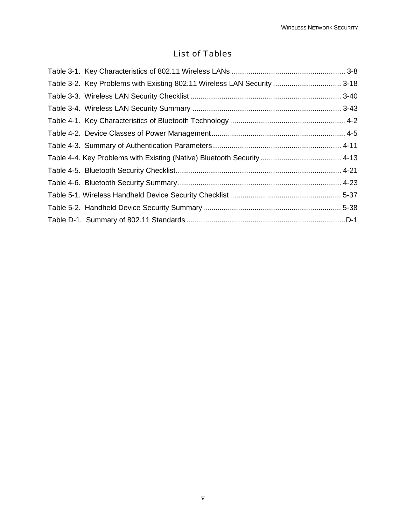## List of Tables

| Table 3-2. Key Problems with Existing 802.11 Wireless LAN Security  3-18 |  |
|--------------------------------------------------------------------------|--|
|                                                                          |  |
|                                                                          |  |
|                                                                          |  |
|                                                                          |  |
|                                                                          |  |
|                                                                          |  |
|                                                                          |  |
|                                                                          |  |
|                                                                          |  |
|                                                                          |  |
|                                                                          |  |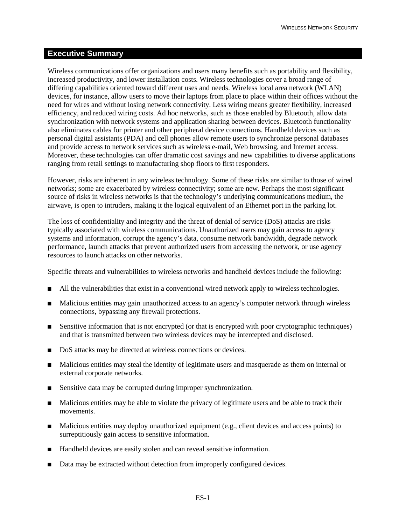#### <span id="page-8-0"></span>**Executive Summary**

Wireless communications offer organizations and users many benefits such as portability and flexibility, increased productivity, and lower installation costs. Wireless technologies cover a broad range of differing capabilities oriented toward different uses and needs. Wireless local area network (WLAN) devices, for instance, allow users to move their laptops from place to place within their offices without the need for wires and without losing network connectivity. Less wiring means greater flexibility, increased efficiency, and reduced wiring costs. Ad hoc networks, such as those enabled by Bluetooth, allow data synchronization with network systems and application sharing between devices. Bluetooth functionality also eliminates cables for printer and other peripheral device connections. Handheld devices such as personal digital assistants (PDA) and cell phones allow remote users to synchronize personal databases and provide access to network services such as wireless e-mail, Web browsing, and Internet access. Moreover, these technologies can offer dramatic cost savings and new capabilities to diverse applications ranging from retail settings to manufacturing shop floors to first responders.

However, risks are inherent in any wireless technology. Some of these risks are similar to those of wired networks; some are exacerbated by wireless connectivity; some are new. Perhaps the most significant source of risks in wireless networks is that the technology's underlying communications medium, the airwave, is open to intruders, making it the logical equivalent of an Ethernet port in the parking lot.

The loss of confidentiality and integrity and the threat of denial of service (DoS) attacks are risks typically associated with wireless communications. Unauthorized users may gain access to agency systems and information, corrupt the agency's data, consume network bandwidth, degrade network performance, launch attacks that prevent authorized users from accessing the network, or use agency resources to launch attacks on other networks.

Specific threats and vulnerabilities to wireless networks and handheld devices include the following:

- ! All the vulnerabilities that exist in a conventional wired network apply to wireless technologies.
- ! Malicious entities may gain unauthorized access to an agency's computer network through wireless connections, bypassing any firewall protections.
- **Example 3** Sensitive information that is not encrypted (or that is encrypted with poor cryptographic techniques) and that is transmitted between two wireless devices may be intercepted and disclosed.
- DoS attacks may be directed at wireless connections or devices.
- ! Malicious entities may steal the identity of legitimate users and masquerade as them on internal or external corporate networks.
- **EXECUTE:** Sensitive data may be corrupted during improper synchronization.
- **I.** Malicious entities may be able to violate the privacy of legitimate users and be able to track their movements.
- $\blacksquare$  Malicious entities may deploy unauthorized equipment (e.g., client devices and access points) to surreptitiously gain access to sensitive information.
- ! Handheld devices are easily stolen and can reveal sensitive information.
- ! Data may be extracted without detection from improperly configured devices.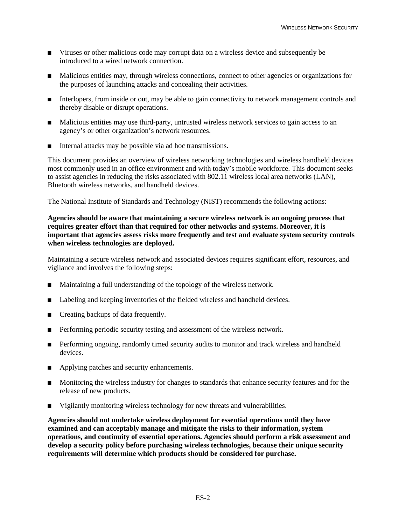- ! Viruses or other malicious code may corrupt data on a wireless device and subsequently be introduced to a wired network connection.
- ! Malicious entities may, through wireless connections, connect to other agencies or organizations for the purposes of launching attacks and concealing their activities.
- ! Interlopers, from inside or out, may be able to gain connectivity to network management controls and thereby disable or disrupt operations.
- ! Malicious entities may use third-party, untrusted wireless network services to gain access to an agency's or other organization's network resources.
- $\blacksquare$  Internal attacks may be possible via ad hoc transmissions.

This document provides an overview of wireless networking technologies and wireless handheld devices most commonly used in an office environment and with today's mobile workforce. This document seeks to assist agencies in reducing the risks associated with 802.11 wireless local area networks (LAN), Bluetooth wireless networks, and handheld devices.

The National Institute of Standards and Technology (NIST) recommends the following actions:

#### **Agencies should be aware that maintaining a secure wireless network is an ongoing process that requires greater effort than that required for other networks and systems. Moreover, it is important that agencies assess risks more frequently and test and evaluate system security controls when wireless technologies are deployed.**

Maintaining a secure wireless network and associated devices requires significant effort, resources, and vigilance and involves the following steps:

- ! Maintaining a full understanding of the topology of the wireless network.
- Labeling and keeping inventories of the fielded wireless and handheld devices.
- Creating backups of data frequently.
- ! Performing periodic security testing and assessment of the wireless network.
- **EXECUTE:** Performing ongoing, randomly timed security audits to monitor and track wireless and handheld devices.
- Applying patches and security enhancements.
- ! Monitoring the wireless industry for changes to standards that enhance security features and for the release of new products.
- **I.** Vigilantly monitoring wireless technology for new threats and vulnerabilities.

**Agencies should not undertake wireless deployment for essential operations until they have examined and can acceptably manage and mitigate the risks to their information, system operations, and continuity of essential operations. Agencies should perform a risk assessment and develop a security policy before purchasing wireless technologies, because their unique security requirements will determine which products should be considered for purchase.**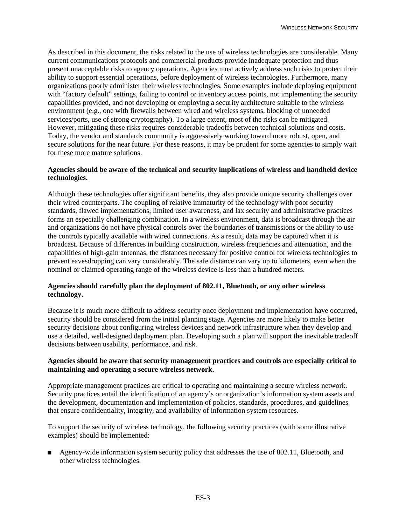As described in this document, the risks related to the use of wireless technologies are considerable. Many current communications protocols and commercial products provide inadequate protection and thus present unacceptable risks to agency operations. Agencies must actively address such risks to protect their ability to support essential operations, before deployment of wireless technologies. Furthermore, many organizations poorly administer their wireless technologies. Some examples include deploying equipment with "factory default" settings, failing to control or inventory access points, not implementing the security capabilities provided, and not developing or employing a security architecture suitable to the wireless environment (e.g., one with firewalls between wired and wireless systems, blocking of unneeded services/ports, use of strong cryptography). To a large extent, most of the risks can be mitigated. However, mitigating these risks requires considerable tradeoffs between technical solutions and costs. Today, the vendor and standards community is aggressively working toward more robust, open, and secure solutions for the near future. For these reasons, it may be prudent for some agencies to simply wait for these more mature solutions.

#### **Agencies should be aware of the technical and security implications of wireless and handheld device technologies.**

Although these technologies offer significant benefits, they also provide unique security challenges over their wired counterparts. The coupling of relative immaturity of the technology with poor security standards, flawed implementations, limited user awareness, and lax security and administrative practices forms an especially challenging combination. In a wireless environment, data is broadcast through the air and organizations do not have physical controls over the boundaries of transmissions or the ability to use the controls typically available with wired connections. As a result, data may be captured when it is broadcast. Because of differences in building construction, wireless frequencies and attenuation, and the capabilities of high-gain antennas, the distances necessary for positive control for wireless technologies to prevent eavesdropping can vary considerably. The safe distance can vary up to kilometers, even when the nominal or claimed operating range of the wireless device is less than a hundred meters.

#### **Agencies should carefully plan the deployment of 802.11, Bluetooth, or any other wireless technology.**

Because it is much more difficult to address security once deployment and implementation have occurred, security should be considered from the initial planning stage. Agencies are more likely to make better security decisions about configuring wireless devices and network infrastructure when they develop and use a detailed, well-designed deployment plan. Developing such a plan will support the inevitable tradeoff decisions between usability, performance, and risk.

#### **Agencies should be aware that security management practices and controls are especially critical to maintaining and operating a secure wireless network.**

Appropriate management practices are critical to operating and maintaining a secure wireless network. Security practices entail the identification of an agency's or organization's information system assets and the development, documentation and implementation of policies, standards, procedures, and guidelines that ensure confidentiality, integrity, and availability of information system resources.

To support the security of wireless technology, the following security practices (with some illustrative examples) should be implemented:

! Agency-wide information system security policy that addresses the use of 802.11, Bluetooth, and other wireless technologies.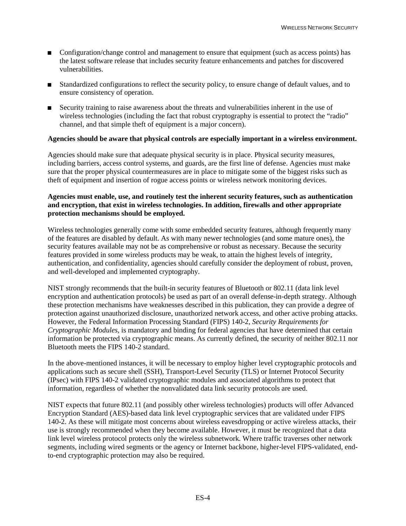- **I.** Configuration/change control and management to ensure that equipment (such as access points) has the latest software release that includes security feature enhancements and patches for discovered vulnerabilities.
- ! Standardized configurations to reflect the security policy, to ensure change of default values, and to ensure consistency of operation.
- **EXECURIES** Security training to raise awareness about the threats and vulnerabilities inherent in the use of wireless technologies (including the fact that robust cryptography is essential to protect the "radio" channel, and that simple theft of equipment is a major concern).

#### **Agencies should be aware that physical controls are especially important in a wireless environment.**

Agencies should make sure that adequate physical security is in place. Physical security measures, including barriers, access control systems, and guards, are the first line of defense. Agencies must make sure that the proper physical countermeasures are in place to mitigate some of the biggest risks such as theft of equipment and insertion of rogue access points or wireless network monitoring devices.

#### **Agencies must enable, use, and routinely test the inherent security features, such as authentication and encryption, that exist in wireless technologies. In addition, firewalls and other appropriate protection mechanisms should be employed.**

Wireless technologies generally come with some embedded security features, although frequently many of the features are disabled by default. As with many newer technologies (and some mature ones), the security features available may not be as comprehensive or robust as necessary. Because the security features provided in some wireless products may be weak, to attain the highest levels of integrity, authentication, and confidentiality, agencies should carefully consider the deployment of robust, proven, and well-developed and implemented cryptography.

NIST strongly recommends that the built-in security features of Bluetooth or 802.11 (data link level encryption and authentication protocols) be used as part of an overall defense-in-depth strategy. Although these protection mechanisms have weaknesses described in this publication, they can provide a degree of protection against unauthorized disclosure, unauthorized network access, and other active probing attacks. However, the Federal Information Processing Standard (FIPS) 140-2, *Security Requirements for Cryptographic Modules,* is mandatory and binding for federal agencies that have determined that certain information be protected via cryptographic means. As currently defined, the security of neither 802.11 nor Bluetooth meets the FIPS 140-2 standard.

In the above-mentioned instances, it will be necessary to employ higher level cryptographic protocols and applications such as secure shell (SSH), Transport-Level Security (TLS) or Internet Protocol Security (IPsec) with FIPS 140-2 validated cryptographic modules and associated algorithms to protect that information, regardless of whether the nonvalidated data link security protocols are used.

NIST expects that future 802.11 (and possibly other wireless technologies) products will offer Advanced Encryption Standard (AES)-based data link level cryptographic services that are validated under FIPS 140-2. As these will mitigate most concerns about wireless eavesdropping or active wireless attacks, their use is strongly recommended when they become available. However, it must be recognized that a data link level wireless protocol protects only the wireless subnetwork. Where traffic traverses other network segments, including wired segments or the agency or Internet backbone, higher-level FIPS-validated, endto-end cryptographic protection may also be required.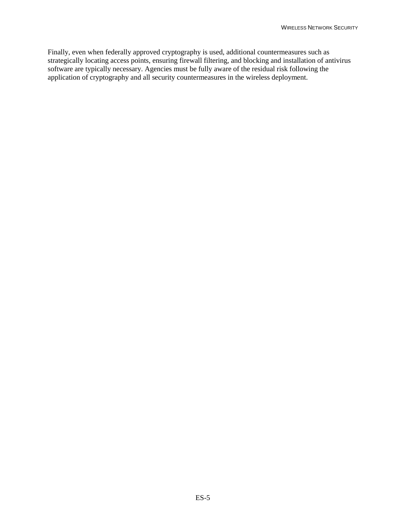Finally, even when federally approved cryptography is used, additional countermeasures such as strategically locating access points, ensuring firewall filtering, and blocking and installation of antivirus software are typically necessary. Agencies must be fully aware of the residual risk following the application of cryptography and all security countermeasures in the wireless deployment.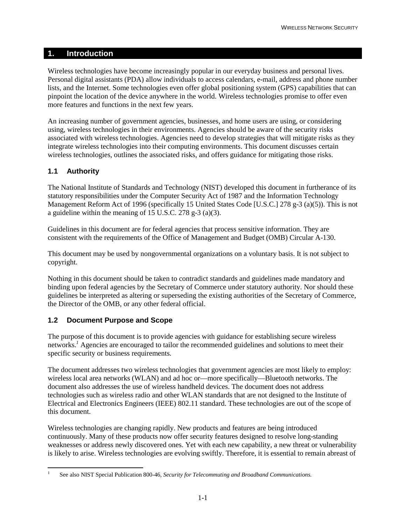#### <span id="page-13-0"></span>**1. Introduction**

Wireless technologies have become increasingly popular in our everyday business and personal lives. Personal digital assistants (PDA) allow individuals to access calendars, e-mail, address and phone number lists, and the Internet. Some technologies even offer global positioning system (GPS) capabilities that can pinpoint the location of the device anywhere in the world. Wireless technologies promise to offer even more features and functions in the next few years.

An increasing number of government agencies, businesses, and home users are using, or considering using, wireless technologies in their environments. Agencies should be aware of the security risks associated with wireless technologies. Agencies need to develop strategies that will mitigate risks as they integrate wireless technologies into their computing environments. This document discusses certain wireless technologies, outlines the associated risks, and offers guidance for mitigating those risks.

#### **1.1 Authority**

The National Institute of Standards and Technology (NIST) developed this document in furtherance of its statutory responsibilities under the Computer Security Act of 1987 and the Information Technology Management Reform Act of 1996 (specifically 15 United States Code [U.S.C.] 278 g-3 (a)(5)). This is not a guideline within the meaning of 15 U.S.C. 278 g-3 (a)(3).

Guidelines in this document are for federal agencies that process sensitive information. They are consistent with the requirements of the Office of Management and Budget (OMB) Circular A-130.

This document may be used by nongovernmental organizations on a voluntary basis. It is not subject to copyright.

Nothing in this document should be taken to contradict standards and guidelines made mandatory and binding upon federal agencies by the Secretary of Commerce under statutory authority. Nor should these guidelines be interpreted as altering or superseding the existing authorities of the Secretary of Commerce, the Director of the OMB, or any other federal official.

#### **1.2 Document Purpose and Scope**

The purpose of this document is to provide agencies with guidance for establishing secure wireless networks.*<sup>1</sup>* Agencies are encouraged to tailor the recommended guidelines and solutions to meet their specific security or business requirements.

The document addresses two wireless technologies that government agencies are most likely to employ: wireless local area networks (WLAN) and ad hoc or—more specifically—Bluetooth networks. The document also addresses the use of wireless handheld devices. The document does not address technologies such as wireless radio and other WLAN standards that are not designed to the Institute of Electrical and Electronics Engineers (IEEE) 802.11 standard. These technologies are out of the scope of this document.

Wireless technologies are changing rapidly. New products and features are being introduced continuously. Many of these products now offer security features designed to resolve long-standing weaknesses or address newly discovered ones. Yet with each new capability, a new threat or vulnerability is likely to arise. Wireless technologies are evolving swiftly. Therefore, it is essential to remain abreast of

<sup>1</sup> 1 See also NIST Special Publication 800-46, *Security for Telecommuting and Broadband Communications.*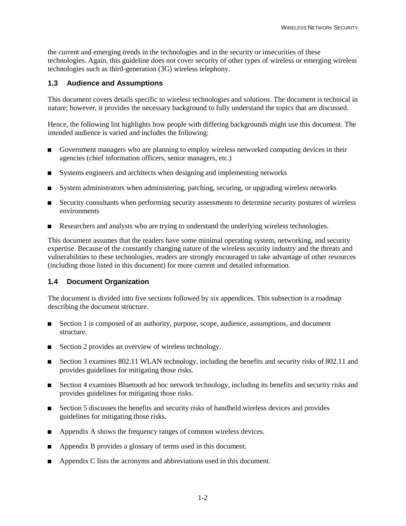<span id="page-14-0"></span>the current and emerging trends in the technologies and in the security or insecurities of these technologies. Again, this guideline does not cover security of other types of wireless or emerging wireless technologies such as third-generation (3G) wireless telephony.

#### **1.3 Audience and Assumptions**

This document covers details specific to wireless technologies and solutions. The document is technical in nature; however, it provides the necessary background to fully understand the topics that are discussed.

Hence, the following list highlights how people with differing backgrounds might use this document. The intended audience is varied and includes the following:

- **EXECUTE:** Government managers who are planning to employ wireless networked computing devices in their agencies (chief information officers, senior managers, etc.)
- **EXECUTE:** Systems engineers and architects when designing and implementing networks
- ! System administrators when administering, patching, securing, or upgrading wireless networks
- ! Security consultants when performing security assessments to determine security postures of wireless environments
- ! Researchers and analysts who are trying to understand the underlying wireless technologies.

This document assumes that the readers have some minimal operating system, networking, and security expertise. Because of the constantly changing nature of the wireless security industry and the threats and vulnerabilities to these technologies, readers are strongly encouraged to take advantage of other resources (including those listed in this document) for more current and detailed information.

#### **1.4 Document Organization**

The document is divided into five sections followed by six appendices. This subsection is a roadmap describing the document structure.

- **EXECT** Section 1 is composed of an authority, purpose, scope, audience, assumptions, and document structure.
- Section 2 provides an overview of wireless technology.
- **Example 3** Section 3 examines 802.11 WLAN technology, including the benefits and security risks of 802.11 and provides guidelines for mitigating those risks.
- ! Section 4 examines Bluetooth ad hoc network technology, including its benefits and security risks and provides guidelines for mitigating those risks.
- **EXECTED** Section 5 discusses the benefits and security risks of handheld wireless devices and provides guidelines for mitigating those risks.
- $\blacksquare$  Appendix A shows the frequency ranges of common wireless devices.
- ! Appendix B provides a glossary of terms used in this document.
- ! Appendix C lists the acronyms and abbreviations used in this document.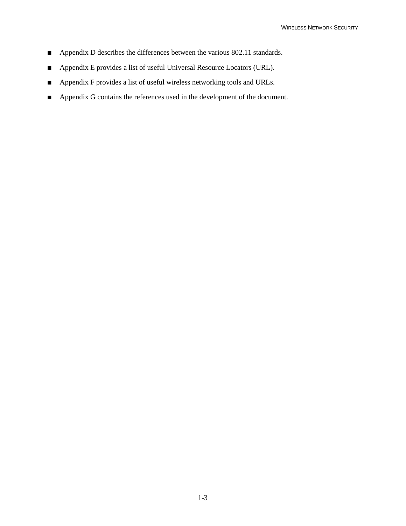- ! Appendix D describes the differences between the various 802.11 standards.
- ! Appendix E provides a list of useful Universal Resource Locators (URL).
- ! Appendix F provides a list of useful wireless networking tools and URLs.
- ! Appendix G contains the references used in the development of the document.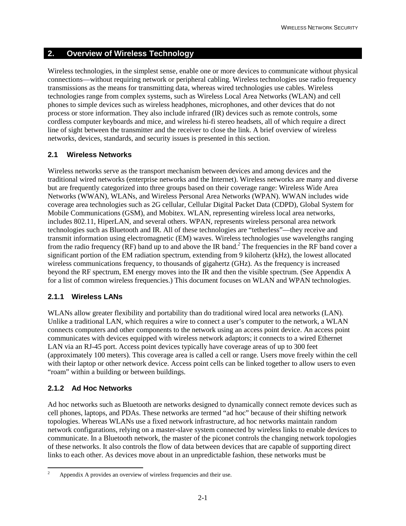#### <span id="page-16-0"></span>**2. Overview of Wireless Technology**

Wireless technologies, in the simplest sense, enable one or more devices to communicate without physical connections—without requiring network or peripheral cabling. Wireless technologies use radio frequency transmissions as the means for transmitting data, whereas wired technologies use cables. Wireless technologies range from complex systems, such as Wireless Local Area Networks (WLAN) and cell phones to simple devices such as wireless headphones, microphones, and other devices that do not process or store information. They also include infrared (IR) devices such as remote controls, some cordless computer keyboards and mice, and wireless hi-fi stereo headsets, all of which require a direct line of sight between the transmitter and the receiver to close the link. A brief overview of wireless networks, devices, standards, and security issues is presented in this section.

#### **2.1 Wireless Networks**

Wireless networks serve as the transport mechanism between devices and among devices and the traditional wired networks (enterprise networks and the Internet). Wireless networks are many and diverse but are frequently categorized into three groups based on their coverage range: Wireless Wide Area Networks (WWAN), WLANs, and Wireless Personal Area Networks (WPAN). WWAN includes wide coverage area technologies such as 2G cellular, Cellular Digital Packet Data (CDPD), Global System for Mobile Communications (GSM), and Mobitex. WLAN, representing wireless local area networks, includes 802.11, HiperLAN, and several others. WPAN, represents wireless personal area network technologies such as Bluetooth and IR. All of these technologies are "tetherless"—they receive and transmit information using electromagnetic (EM) waves. Wireless technologies use wavelengths ranging from the radio frequency (RF) band up to and above the IR band.*<sup>2</sup>* The frequencies in the RF band cover a significant portion of the EM radiation spectrum, extending from 9 kilohertz (kHz), the lowest allocated wireless communications frequency, to thousands of gigahertz (GHz). As the frequency is increased beyond the RF spectrum, EM energy moves into the IR and then the visible spectrum. (See Appendix A for a list of common wireless frequencies.) This document focuses on WLAN and WPAN technologies.

#### **2.1.1 Wireless LANs**

WLANs allow greater flexibility and portability than do traditional wired local area networks (LAN). Unlike a traditional LAN, which requires a wire to connect a user's computer to the network, a WLAN connects computers and other components to the network using an access point device. An access point communicates with devices equipped with wireless network adaptors; it connects to a wired Ethernet LAN via an RJ-45 port. Access point devices typically have coverage areas of up to 300 feet (approximately 100 meters). This coverage area is called a cell or range. Users move freely within the cell with their laptop or other network device. Access point cells can be linked together to allow users to even "roam" within a building or between buildings.

#### **2.1.2 Ad Hoc Networks**

Ad hoc networks such as Bluetooth are networks designed to dynamically connect remote devices such as cell phones, laptops, and PDAs. These networks are termed "ad hoc" because of their shifting network topologies. Whereas WLANs use a fixed network infrastructure, ad hoc networks maintain random network configurations, relying on a master-slave system connected by wireless links to enable devices to communicate. In a Bluetooth network, the master of the piconet controls the changing network topologies of these networks. It also controls the flow of data between devices that are capable of supporting direct links to each other. As devices move about in an unpredictable fashion, these networks must be

<sup>1</sup> <sup>2</sup> Appendix A provides an overview of wireless frequencies and their use.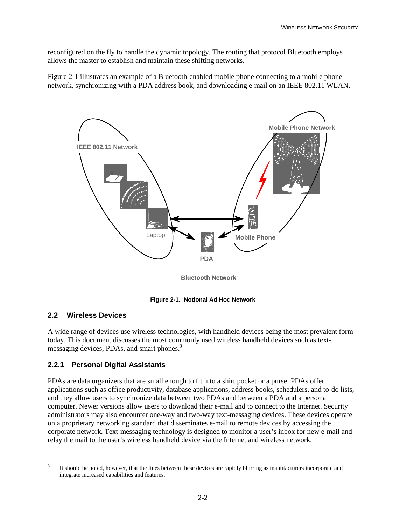<span id="page-17-0"></span>reconfigured on the fly to handle the dynamic topology. The routing that protocol Bluetooth employs allows the master to establish and maintain these shifting networks.

Figure 2-1 illustrates an example of a Bluetooth-enabled mobile phone connecting to a mobile phone network, synchronizing with a PDA address book, and downloading e-mail on an IEEE 802.11 WLAN.



**Bluetooth Network**

**Figure 2-1. Notional Ad Hoc Network**

#### **2.2 Wireless Devices**

 $\overline{\phantom{a}}$ 

A wide range of devices use wireless technologies, with handheld devices being the most prevalent form today. This document discusses the most commonly used wireless handheld devices such as textmessaging devices, PDAs, and smart phones.*<sup>3</sup>*

#### **2.2.1 Personal Digital Assistants**

PDAs are data organizers that are small enough to fit into a shirt pocket or a purse. PDAs offer applications such as office productivity, database applications, address books, schedulers, and to-do lists, and they allow users to synchronize data between two PDAs and between a PDA and a personal computer. Newer versions allow users to download their e-mail and to connect to the Internet. Security administrators may also encounter one-way and two-way text-messaging devices. These devices operate on a proprietary networking standard that disseminates e-mail to remote devices by accessing the corporate network. Text-messaging technology is designed to monitor a user's inbox for new e-mail and relay the mail to the user's wireless handheld device via the Internet and wireless network.

<sup>3</sup> It should be noted, however, that the lines between these devices are rapidly blurring as manufacturers incorporate and integrate increased capabilities and features.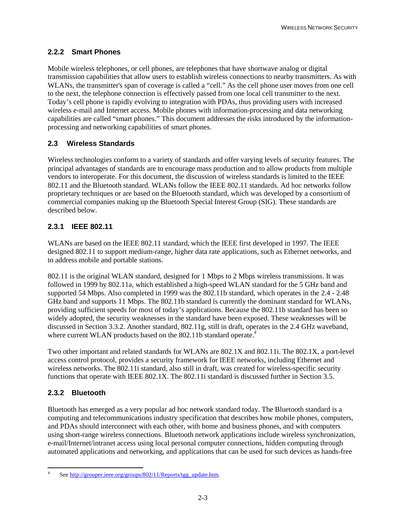#### <span id="page-18-0"></span>**2.2.2 Smart Phones**

Mobile wireless telephones, or cell phones, are telephones that have shortwave analog or digital transmission capabilities that allow users to establish wireless connections to nearby transmitters. As with WLANs, the transmitter's span of coverage is called a "cell." As the cell phone user moves from one cell to the next, the telephone connection is effectively passed from one local cell transmitter to the next. Today's cell phone is rapidly evolving to integration with PDAs, thus providing users with increased wireless e-mail and Internet access. Mobile phones with information-processing and data networking capabilities are called "smart phones." This document addresses the risks introduced by the informationprocessing and networking capabilities of smart phones.

#### **2.3 Wireless Standards**

Wireless technologies conform to a variety of standards and offer varying levels of security features. The principal advantages of standards are to encourage mass production and to allow products from multiple vendors to interoperate. For this document, the discussion of wireless standards is limited to the IEEE 802.11 and the Bluetooth standard. WLANs follow the IEEE 802.11 standards. Ad hoc networks follow proprietary techniques or are based on the Bluetooth standard, which was developed by a consortium of commercial companies making up the Bluetooth Special Interest Group (SIG). These standards are described below.

#### **2.3.1 IEEE 802.11**

WLANs are based on the IEEE 802.11 standard, which the IEEE first developed in 1997. The IEEE designed 802.11 to support medium-range, higher data rate applications, such as Ethernet networks, and to address mobile and portable stations.

802.11 is the original WLAN standard, designed for 1 Mbps to 2 Mbps wireless transmissions. It was followed in 1999 by 802.11a, which established a high-speed WLAN standard for the 5 GHz band and supported 54 Mbps. Also completed in 1999 was the 802.11b standard, which operates in the 2.4 - 2.48 GHz band and supports 11 Mbps. The 802.11b standard is currently the dominant standard for WLANs, providing sufficient speeds for most of today's applications. Because the 802.11b standard has been so widely adopted, the security weaknesses in the standard have been exposed. These weaknesses will be discussed in Section 3.3.2. Another standard, 802.11g, still in draft, operates in the 2.4 GHz waveband, where current WLAN products based on the 802.11b standard operate.*<sup>4</sup>*

Two other important and related standards for WLANs are 802.1X and 802.11i. The 802.1X, a port-level access control protocol, provides a security framework for IEEE networks, including Ethernet and wireless networks. The 802.11i standard, also still in draft, was created for wireless-specific security functions that operate with IEEE 802.1X. The 802.11i standard is discussed further in Section 3.5.

#### **2.3.2 Bluetooth**

Bluetooth has emerged as a very popular ad hoc network standard today. The Bluetooth standard is a computing and telecommunications industry specification that describes how mobile phones, computers, and PDAs should interconnect with each other, with home and business phones, and with computers using short-range wireless connections. Bluetooth network applications include wireless synchronization, e-mail/Internet/intranet access using local personal computer connections, hidden computing through automated applications and networking, and applications that can be used for such devices as hands-free

l 4 See http://grouper.ieee.org/groups/802/11/Reports/tgg\_update.htm.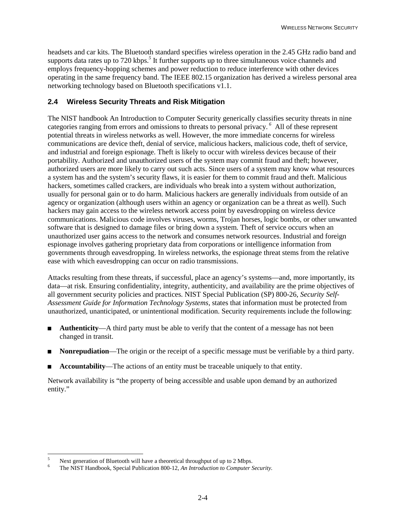<span id="page-19-0"></span>headsets and car kits. The Bluetooth standard specifies wireless operation in the 2.45 GHz radio band and supports data rates up to 720 kbps.<sup>5</sup> It further supports up to three simultaneous voice channels and employs frequency-hopping schemes and power reduction to reduce interference with other devices operating in the same frequency band. The IEEE 802.15 organization has derived a wireless personal area networking technology based on Bluetooth specifications v1.1.

#### **2.4 Wireless Security Threats and Risk Mitigation**

The NIST handbook An Introduction to Computer Security generically classifies security threats in nine categories ranging from errors and omissions to threats to personal privacy.*<sup>6</sup>* All of these represent potential threats in wireless networks as well. However, the more immediate concerns for wireless communications are device theft, denial of service, malicious hackers, malicious code, theft of service, and industrial and foreign espionage. Theft is likely to occur with wireless devices because of their portability. Authorized and unauthorized users of the system may commit fraud and theft; however, authorized users are more likely to carry out such acts. Since users of a system may know what resources a system has and the system's security flaws, it is easier for them to commit fraud and theft. Malicious hackers, sometimes called crackers, are individuals who break into a system without authorization, usually for personal gain or to do harm. Malicious hackers are generally individuals from outside of an agency or organization (although users within an agency or organization can be a threat as well). Such hackers may gain access to the wireless network access point by eavesdropping on wireless device communications. Malicious code involves viruses, worms, Trojan horses, logic bombs, or other unwanted software that is designed to damage files or bring down a system. Theft of service occurs when an unauthorized user gains access to the network and consumes network resources. Industrial and foreign espionage involves gathering proprietary data from corporations or intelligence information from governments through eavesdropping. In wireless networks, the espionage threat stems from the relative ease with which eavesdropping can occur on radio transmissions.

Attacks resulting from these threats, if successful, place an agency's systems—and, more importantly, its data—at risk. Ensuring confidentiality, integrity, authenticity, and availability are the prime objectives of all government security policies and practices. NIST Special Publication (SP) 800-26, *Security Self-Assessment Guide for Information Technology Systems,* states that information must be protected from unauthorized, unanticipated, or unintentional modification. Security requirements include the following:

- ! **Authenticity**—A third party must be able to verify that the content of a message has not been changed in transit.
- **I. Nonrepudiation—The origin or the receipt of a specific message must be verifiable by a third party.**
- ! **Accountability**—The actions of an entity must be traceable uniquely to that entity.

Network availability is "the property of being accessible and usable upon demand by an authorized entity."

l

<sup>5</sup> Next generation of Bluetooth will have a theoretical throughput of up to 2 Mbps.

<sup>6</sup> The NIST Handbook, Special Publication 800-12, *An Introduction to Computer Security.*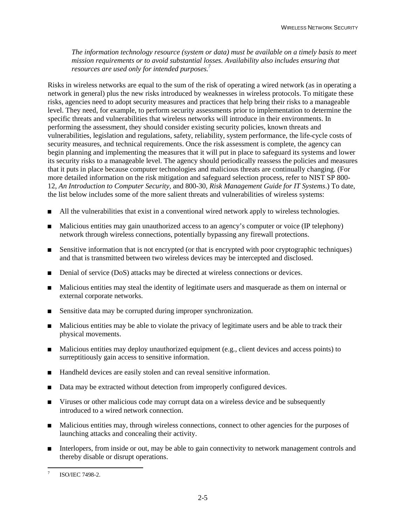*The information technology resource (system or data) must be available on a timely basis to meet mission requirements or to avoid substantial losses. Availability also includes ensuring that resources are used only for intended purposes.7*

Risks in wireless networks are equal to the sum of the risk of operating a wired network (as in operating a network in general) plus the new risks introduced by weaknesses in wireless protocols. To mitigate these risks, agencies need to adopt security measures and practices that help bring their risks to a manageable level. They need, for example, to perform security assessments prior to implementation to determine the specific threats and vulnerabilities that wireless networks will introduce in their environments. In performing the assessment, they should consider existing security policies, known threats and vulnerabilities, legislation and regulations, safety, reliability, system performance, the life-cycle costs of security measures, and technical requirements. Once the risk assessment is complete, the agency can begin planning and implementing the measures that it will put in place to safeguard its systems and lower its security risks to a manageable level. The agency should periodically reassess the policies and measures that it puts in place because computer technologies and malicious threats are continually changing. (For more detailed information on the risk mitigation and safeguard selection process, refer to NIST SP 800- 12, *An Introduction to Computer Security,* and 800-30*, Risk Management Guide for IT Systems*.) To date, the list below includes some of the more salient threats and vulnerabilities of wireless systems:

- ! All the vulnerabilities that exist in a conventional wired network apply to wireless technologies.
- ! Malicious entities may gain unauthorized access to an agency's computer or voice (IP telephony) network through wireless connections, potentially bypassing any firewall protections.
- **Example 3** Sensitive information that is not encrypted (or that is encrypted with poor cryptographic techniques) and that is transmitted between two wireless devices may be intercepted and disclosed.
- **I.** Denial of service (DoS) attacks may be directed at wireless connections or devices.
- ! Malicious entities may steal the identity of legitimate users and masquerade as them on internal or external corporate networks.
- **Example 3** Sensitive data may be corrupted during improper synchronization.
- ! Malicious entities may be able to violate the privacy of legitimate users and be able to track their physical movements.
- $\blacksquare$  Malicious entities may deploy unauthorized equipment (e.g., client devices and access points) to surreptitiously gain access to sensitive information.
- ! Handheld devices are easily stolen and can reveal sensitive information.
- ! Data may be extracted without detection from improperly configured devices.
- **IX** Viruses or other malicious code may corrupt data on a wireless device and be subsequently introduced to a wired network connection.
- ! Malicious entities may, through wireless connections, connect to other agencies for the purposes of launching attacks and concealing their activity.
- ! Interlopers, from inside or out, may be able to gain connectivity to network management controls and thereby disable or disrupt operations.

 $\overline{7}$ <sup>7</sup> ISO/IEC 7498-2.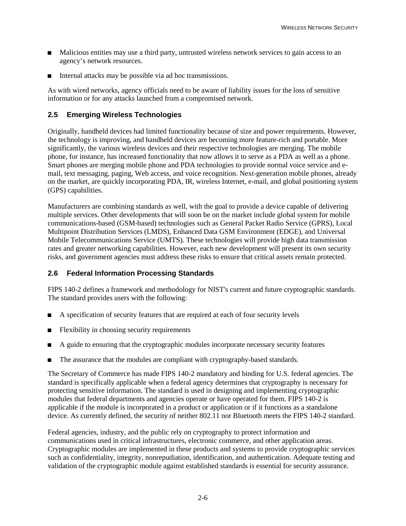- <span id="page-21-0"></span>! Malicious entities may use a third party, untrusted wireless network services to gain access to an agency's network resources.
- $\blacksquare$  Internal attacks may be possible via ad hoc transmissions.

As with wired networks, agency officials need to be aware of liability issues for the loss of sensitive information or for any attacks launched from a compromised network.

#### **2.5 Emerging Wireless Technologies**

Originally, handheld devices had limited functionality because of size and power requirements. However, the technology is improving, and handheld devices are becoming more feature-rich and portable. More significantly, the various wireless devices and their respective technologies are merging. The mobile phone, for instance, has increased functionality that now allows it to serve as a PDA as well as a phone. Smart phones are merging mobile phone and PDA technologies to provide normal voice service and email, text messaging, paging, Web access, and voice recognition. Next-generation mobile phones, already on the market, are quickly incorporating PDA, IR, wireless Internet, e-mail, and global positioning system (GPS) capabilities.

Manufacturers are combining standards as well, with the goal to provide a device capable of delivering multiple services. Other developments that will soon be on the market include global system for mobile communications-based (GSM-based) technologies such as General Packet Radio Service (GPRS), Local Multipoint Distribution Services (LMDS), Enhanced Data GSM Environment (EDGE), and Universal Mobile Telecommunications Service (UMTS). These technologies will provide high data transmission rates and greater networking capabilities. However, each new development will present its own security risks, and government agencies must address these risks to ensure that critical assets remain protected.

#### **2.6 Federal Information Processing Standards**

FIPS 140-2 defines a framework and methodology for NIST's current and future cryptographic standards. The standard provides users with the following:

- ! A specification of security features that are required at each of four security levels
- $\blacksquare$  Flexibility in choosing security requirements
- ! A guide to ensuring that the cryptographic modules incorporate necessary security features
- **I.** The assurance that the modules are compliant with cryptography-based standards.

The Secretary of Commerce has made FIPS 140-2 mandatory and binding for U.S. federal agencies. The standard is specifically applicable when a federal agency determines that cryptography is necessary for protecting sensitive information. The standard is used in designing and implementing cryptographic modules that federal departments and agencies operate or have operated for them. FIPS 140-2 is applicable if the module is incorporated in a product or application or if it functions as a standalone device. As currently defined, the security of neither 802.11 nor Bluetooth meets the FIPS 140-2 standard.

Federal agencies, industry, and the public rely on cryptography to protect information and communications used in critical infrastructures, electronic commerce, and other application areas. Cryptographic modules are implemented in these products and systems to provide cryptographic services such as confidentiality, integrity, nonrepudiation, identification, and authentication. Adequate testing and validation of the cryptographic module against established standards is essential for security assurance.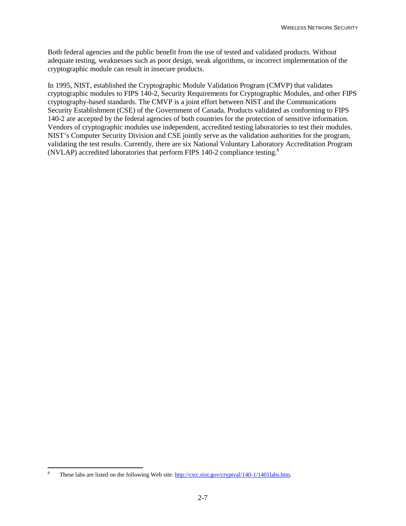Both federal agencies and the public benefit from the use of tested and validated products. Without adequate testing, weaknesses such as poor design, weak algorithms, or incorrect implementation of the cryptographic module can result in insecure products.

In 1995, [NIST,](http://www.nist.gov/) established the [Cryptographic Module Validation Program](http://csrc.nist.gov/cryptval/) (CMVP) that validates cryptographic modules to FIPS 140-2, [Security Requirements for Cryptographic Modules,](http://csrc.nist.gov/publications/fips/fips140-2/fips1402.pdf) and other FIPS cryptography-based standards. The CMVP is a joint effort between NIST and the [Communications](http://www.cse-cst.gc.ca/) [Security Establishment](http://www.cse-cst.gc.ca/) (CSE) of the Government of Canada. Products validated as conforming to FIPS 140-2 are accepted by the federal agencies of both countries for the protection of sensitive information. Vendors of cryptographic modules use independent, accredited testing laboratories to test their modules. NIST's [Computer Security Division](http://csrc.nist.gov/) and CSE jointly serve as the validation authorities for the program, validating the test results. Currently, there are six [National Voluntary Laboratory Accreditation Program](http://ts.nist.gov/ts/htdocs/210/214/214.htm) (NVLAP) accredited laboratories that perform FIPS 140-2 compliance testing.8

l 8 These labs are listed on the following Web site: http://csrc.nist.gov/cryptval/140-1/1401labs.htm.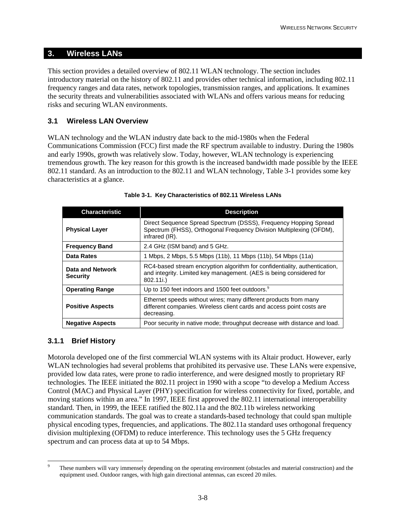#### <span id="page-23-0"></span>**3. Wireless LANs**

This section provides a detailed overview of 802.11 WLAN technology. The section includes introductory material on the history of 802.11 and provides other technical information, including 802.11 frequency ranges and data rates, network topologies, transmission ranges, and applications*.* It examines the security threats and vulnerabilities associated with WLANs and offers various means for reducing risks and securing WLAN environments.

#### **3.1 Wireless LAN Overview**

WLAN technology and the WLAN industry date back to the mid-1980s when the Federal Communications Commission (FCC) first made the RF spectrum available to industry. During the 1980s and early 1990s, growth was relatively slow. Today, however, WLAN technology is experiencing tremendous growth. The key reason for this growth is the increased bandwidth made possible by the IEEE 802.11 standard. As an introduction to the 802.11 and WLAN technology, Table 3-1 provides some key characteristics at a glance.

| <b>Characteristic</b>               | <b>Description</b>                                                                                                                                             |
|-------------------------------------|----------------------------------------------------------------------------------------------------------------------------------------------------------------|
| <b>Physical Layer</b>               | Direct Sequence Spread Spectrum (DSSS), Frequency Hopping Spread<br>Spectrum (FHSS), Orthogonal Frequency Division Multiplexing (OFDM),<br>infrared (IR).      |
| <b>Frequency Band</b>               | 2.4 GHz (ISM band) and 5 GHz.                                                                                                                                  |
| Data Rates                          | 1 Mbps, 2 Mbps, 5.5 Mbps (11b), 11 Mbps (11b), 54 Mbps (11a)                                                                                                   |
| Data and Network<br><b>Security</b> | RC4-based stream encryption algorithm for confidentiality, authentication,<br>and integrity. Limited key management. (AES is being considered for<br>802.11i.) |
| <b>Operating Range</b>              | Up to 150 feet indoors and 1500 feet outdoors. <sup>9</sup>                                                                                                    |
| <b>Positive Aspects</b>             | Ethernet speeds without wires; many different products from many<br>different companies. Wireless client cards and access point costs are<br>decreasing.       |
| <b>Negative Aspects</b>             | Poor security in native mode; throughput decrease with distance and load.                                                                                      |

#### **Table 3-1. Key Characteristics of 802.11 Wireless LANs**

#### **3.1.1 Brief History**

Motorola developed one of the first commercial WLAN systems with its Altair product. However, early WLAN technologies had several problems that prohibited its pervasive use. These LANs were expensive, provided low data rates, were prone to radio interference, and were designed mostly to proprietary RF technologies. The IEEE initiated the 802.11 project in 1990 with a scope "to develop a Medium Access Control (MAC) and Physical Layer (PHY) specification for wireless connectivity for fixed, portable, and moving stations within an area." In 1997, IEEE first approved the 802.11 international interoperability standard. Then, in 1999, the IEEE ratified the 802.11a and the 802.11b wireless networking communication standards. The goal was to create a standards-based technology that could span multiple physical encoding types, frequencies, and applications. The 802.11a standard uses orthogonal frequency division multiplexing (OFDM) to reduce interference. This technology uses the 5 GHz frequency spectrum and can process data at up to 54 Mbps.

 $\overline{\phantom{a}}$ 9 These numbers will vary immensely depending on the operating environment (obstacles and material construction) and the equipment used. Outdoor ranges, with high gain directional antennas, can exceed 20 miles.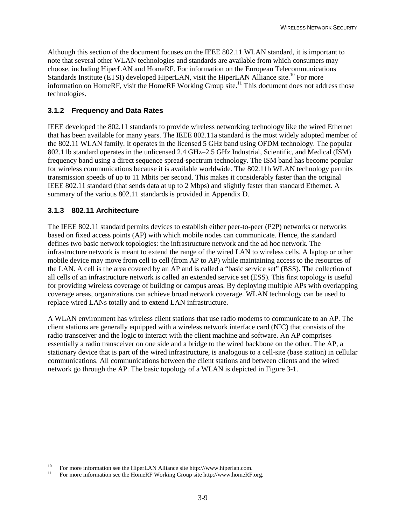<span id="page-24-0"></span>Although this section of the document focuses on the IEEE 802.11 WLAN standard, it is important to note that several other WLAN technologies and standards are available from which consumers may choose, including HiperLAN and HomeRF. For information on the European Telecommunications Standards Institute (ETSI) developed HiperLAN, visit the HiperLAN Alliance site.<sup>10</sup> For more information on HomeRF, visit the HomeRF Working Group site.<sup>11</sup> This document does not address those technologies.

#### **3.1.2 Frequency and Data Rates**

IEEE developed the 802.11 standards to provide wireless networking technology like the wired Ethernet that has been available for many years. The IEEE 802.11a standard is the most widely adopted member of the 802.11 WLAN family. It operates in the licensed 5 GHz band using OFDM technology. The popular 802.11b standard operates in the unlicensed 2.4 GHz–2.5 GHz Industrial, Scientific, and Medical (ISM) frequency band using a direct sequence spread-spectrum technology. The ISM band has become popular for wireless communications because it is available worldwide. The 802.11b WLAN technology permits transmission speeds of up to 11 Mbits per second. This makes it considerably faster than the original IEEE 802.11 standard (that sends data at up to 2 Mbps) and slightly faster than standard Ethernet. A summary of the various 802.11 standards is provided in Appendix D.

#### **3.1.3 802.11 Architecture**

The IEEE 802.11 standard permits devices to establish either peer-to-peer (P2P) networks or networks based on fixed access points (AP) with which mobile nodes can communicate. Hence, the standard defines two basic network topologies: the infrastructure network and the ad hoc network. The infrastructure network is meant to extend the range of the wired LAN to wireless cells. A laptop or other mobile device may move from cell to cell (from AP to AP) while maintaining access to the resources of the LAN. A cell is the area covered by an AP and is called a "basic service set" (BSS). The collection of all cells of an infrastructure network is called an extended service set (ESS). This first topology is useful for providing wireless coverage of building or campus areas. By deploying multiple APs with overlapping coverage areas, organizations can achieve broad network coverage. WLAN technology can be used to replace wired LANs totally and to extend LAN infrastructure.

A WLAN environment has wireless client stations that use radio modems to communicate to an AP. The client stations are generally equipped with a wireless network interface card (NIC) that consists of the radio transceiver and the logic to interact with the client machine and software. An AP comprises essentially a radio transceiver on one side and a bridge to the wired backbone on the other. The AP, a stationary device that is part of the wired infrastructure, is analogous to a cell-site (base station) in cellular communications. All communications between the client stations and between clients and the wired network go through the AP. The basic topology of a WLAN is depicted in Figure 3-1.

<sup>10</sup> <sup>10</sup> For more information see the HiperLAN Alliance site http:///www.hiperlan.com.<br><sup>11</sup> For more information see the HomeBE Working Group site http://www.homeBE

<sup>11</sup> For more information see the HomeRF Working Group site http://www.homeRF.org.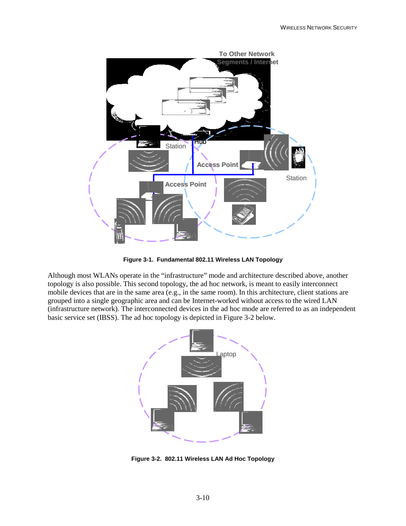<span id="page-25-0"></span>

**Figure 3-1. Fundamental 802.11 Wireless LAN Topology**

Although most WLANs operate in the "infrastructure" mode and architecture described above, another topology is also possible. This second topology, the ad hoc network, is meant to easily interconnect mobile devices that are in the same area (e.g., in the same room). In this architecture, client stations are grouped into a single geographic area and can be Internet-worked without access to the wired LAN (infrastructure network). The interconnected devices in the ad hoc mode are referred to as an independent basic service set (IBSS). The ad hoc topology is depicted in Figure 3-2 below.



**Figure 3-2. 802.11 Wireless LAN Ad Hoc Topology**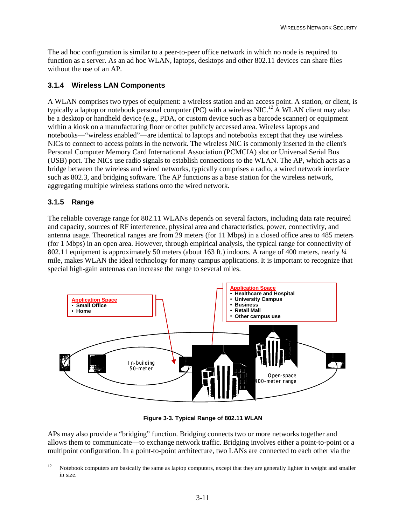<span id="page-26-0"></span>The ad hoc configuration is similar to a peer-to-peer office network in which no node is required to function as a server. As an ad hoc WLAN, laptops, desktops and other 802.11 devices can share files without the use of an AP.

#### **3.1.4 Wireless LAN Components**

A WLAN comprises two types of equipment: a wireless station and an access point. A station, or client, is typically a laptop or notebook personal computer (PC) with a wireless NIC.*<sup>12</sup>* A WLAN client may also be a desktop or handheld device (e.g., PDA, or custom device such as a barcode scanner) or equipment within a kiosk on a manufacturing floor or other publicly accessed area. Wireless laptops and notebooks—"wireless enabled"—are identical to laptops and notebooks except that they use wireless NICs to connect to access points in the network. The wireless NIC is commonly inserted in the client's Personal Computer Memory Card International Association (PCMCIA) slot or Universal Serial Bus (USB) port. The NICs use radio signals to establish connections to the WLAN. The AP, which acts as a bridge between the wireless and wired networks, typically comprises a radio, a wired network interface such as 802.3, and bridging software. The AP functions as a base station for the wireless network, aggregating multiple wireless stations onto the wired network.

#### **3.1.5 Range**

The reliable coverage range for 802.11 WLANs depends on several factors, including data rate required and capacity, sources of RF interference, physical area and characteristics, power, connectivity, and antenna usage. Theoretical ranges are from 29 meters (for 11 Mbps) in a closed office area to 485 meters (for 1 Mbps) in an open area. However, through empirical analysis, the typical range for connectivity of 802.11 equipment is approximately 50 meters (about 163 ft.) indoors. A range of 400 meters, nearly  $\frac{1}{4}$ mile, makes WLAN the ideal technology for many campus applications. It is important to recognize that special high-gain antennas can increase the range to several miles.



**Figure 3-3. Typical Range of 802.11 WLAN**

APs may also provide a "bridging" function. Bridging connects two or more networks together and allows them to communicate—to exchange network traffic. Bridging involves either a point-to-point or a multipoint configuration. In a point-to-point architecture, two LANs are connected to each other via the

 $12$ Notebook computers are basically the same as laptop computers, except that they are generally lighter in weight and smaller in size.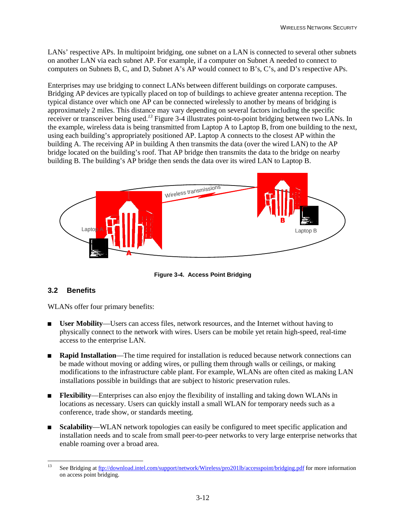<span id="page-27-0"></span>LANs' respective APs. In multipoint bridging, one subnet on a LAN is connected to several other subnets on another LAN via each subnet AP. For example, if a computer on Subnet A needed to connect to computers on Subnets B, C, and D, Subnet A's AP would connect to B's, C's, and D's respective APs.

Enterprises may use bridging to connect LANs between different buildings on corporate campuses. Bridging AP devices are typically placed on top of buildings to achieve greater antenna reception. The typical distance over which one AP can be connected wirelessly to another by means of bridging is approximately 2 miles. This distance may vary depending on several factors including the specific receiver or transceiver being used.*<sup>13</sup>* Figure 3-4 illustrates point-to-point bridging between two LANs. In the example, wireless data is being transmitted from Laptop A to Laptop B, from one building to the next, using each building's appropriately positioned AP. Laptop A connects to the closest AP within the building A. The receiving AP in building A then transmits the data (over the wired LAN) to the AP bridge located on the building's roof. That AP bridge then transmits the data to the bridge on nearby building B. The building's AP bridge then sends the data over its wired LAN to Laptop B.



**Figure 3-4. Access Point Bridging**

#### **3.2 Benefits**

WLANs offer four primary benefits:

- **User Mobility**—Users can access files, network resources, and the Internet without having to physically connect to the network with wires. Users can be mobile yet retain high-speed, real-time access to the enterprise LAN.
- **Rapid Installation**—The time required for installation is reduced because network connections can be made without moving or adding wires, or pulling them through walls or ceilings, or making modifications to the infrastructure cable plant. For example, WLANs are often cited as making LAN installations possible in buildings that are subject to historic preservation rules.
- **Flexibility**—Enterprises can also enjoy the flexibility of installing and taking down WLANs in locations as necessary. Users can quickly install a small WLAN for temporary needs such as a conference, trade show, or standards meeting.
- **Example 1** Scalability—WLAN network topologies can easily be configured to meet specific application and installation needs and to scale from small peer-to-peer networks to very large enterprise networks that enable roaming over a broad area.

 $13$ 13 See Bridging at ftp://download.intel.com/support/network/Wireless/pro201lb/accesspoint/bridging.pdf for more information on access point bridging.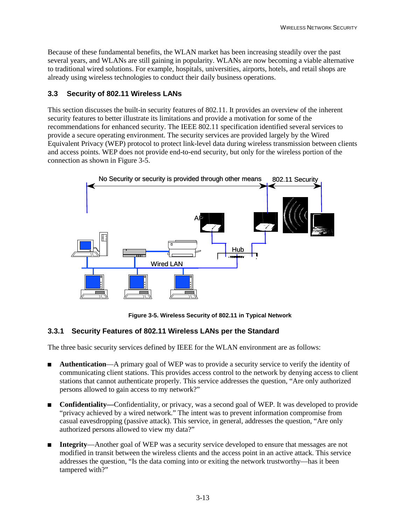<span id="page-28-0"></span>Because of these fundamental benefits, the WLAN market has been increasing steadily over the past several years, and WLANs are still gaining in popularity. WLANs are now becoming a viable alternative to traditional wired solutions. For example, hospitals, universities, airports, hotels, and retail shops are already using wireless technologies to conduct their daily business operations.

#### **3.3 Security of 802.11 Wireless LANs**

This section discusses the built-in security features of 802.11. It provides an overview of the inherent security features to better illustrate its limitations and provide a motivation for some of the recommendations for enhanced security. The IEEE 802.11 specification identified several services to provide a secure operating environment. The security services are provided largely by the Wired Equivalent Privacy (WEP) protocol to protect link-level data during wireless transmission between clients and access points. WEP does not provide end-to-end security, but only for the wireless portion of the connection as shown in Figure 3-5.



**Figure 3-5. Wireless Security of 802.11 in Typical Network**

#### **3.3.1 Security Features of 802.11 Wireless LANs per the Standard**

The three basic security services defined by IEEE for the WLAN environment are as follows:

- **EXECUTE:** Authentication—A primary goal of WEP was to provide a security service to verify the identity of communicating client stations. This provides access control to the network by denying access to client stations that cannot authenticate properly. This service addresses the question, "Are only authorized persons allowed to gain access to my network?"
- **EXECUTE: Confidentiality—Confidentiality, or privacy, was a second goal of WEP. It was developed to provide** "privacy achieved by a wired network." The intent was to prevent information compromise from casual eavesdropping (passive attack). This service, in general, addresses the question, "Are only authorized persons allowed to view my data?"
- **Integrity**—Another goal of WEP was a security service developed to ensure that messages are not modified in transit between the wireless clients and the access point in an active attack. This service addresses the question, "Is the data coming into or exiting the network trustworthy—has it been tampered with?"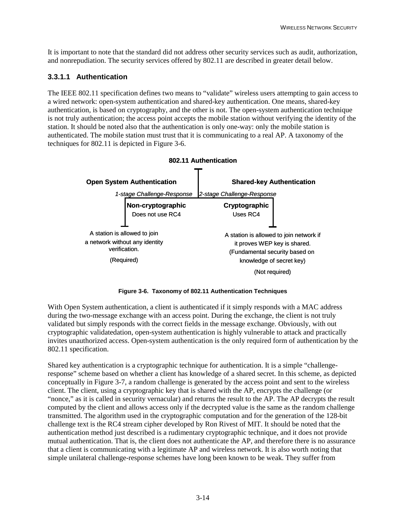<span id="page-29-0"></span>It is important to note that the standard did not address other security services such as audit, authorization, and nonrepudiation. The security services offered by 802.11 are described in greater detail below.

#### **3.3.1.1 Authentication**

The IEEE 802.11 specification defines two means to "validate" wireless users attempting to gain access to a wired network: open-system authentication and shared-key authentication. One means, shared-key authentication, is based on cryptography, and the other is not. The open-system authentication technique is not truly authentication; the access point accepts the mobile station without verifying the identity of the station. It should be noted also that the authentication is only one-way: only the mobile station is authenticated. The mobile station must trust that it is communicating to a real AP. A taxonomy of the techniques for 802.11 is depicted in Figure 3-6.



**Figure 3-6. Taxonomy of 802.11 Authentication Techniques**

With Open System authentication, a client is authenticated if it simply responds with a MAC address during the two-message exchange with an access point. During the exchange, the client is not truly validated but simply responds with the correct fields in the message exchange. Obviously, with out cryptographic validatedation, open-system authentication is highly vulnerable to attack and practically invites unauthorized access. Open-system authentication is the only required form of authentication by the 802.11 specification.

Shared key authentication is a cryptographic technique for authentication. It is a simple "challengeresponse" scheme based on whether a client has knowledge of a shared secret. In this scheme, as depicted conceptually in Figure 3-7, a random challenge is generated by the access point and sent to the wireless client. The client, using a cryptographic key that is shared with the AP, encrypts the challenge (or "nonce," as it is called in security vernacular) and returns the result to the AP. The AP decrypts the result computed by the client and allows access only if the decrypted value is the same as the random challenge transmitted. The algorithm used in the cryptographic computation and for the generation of the 128-bit challenge text is the RC4 stream cipher developed by Ron Rivest of MIT. It should be noted that the authentication method just described is a rudimentary cryptographic technique, and it does not provide mutual authentication. That is, the client does not authenticate the AP, and therefore there is no assurance that a client is communicating with a legitimate AP and wireless network. It is also worth noting that simple unilateral challenge-response schemes have long been known to be weak. They suffer from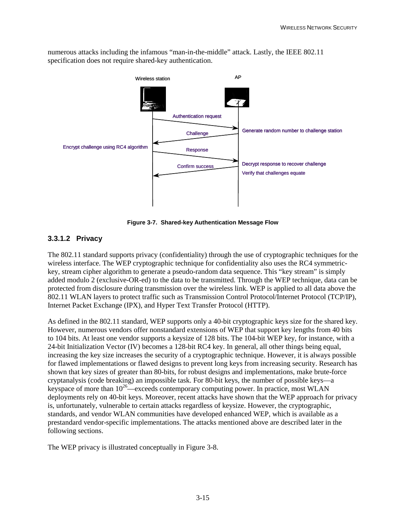<span id="page-30-0"></span>numerous attacks including the infamous "man-in-the-middle" attack. Lastly, the IEEE 802.11 specification does not require shared-key authentication.



**Figure 3-7. Shared-key Authentication Message Flow**

#### **3.3.1.2 Privacy**

The 802.11 standard supports privacy (confidentiality) through the use of cryptographic techniques for the wireless interface. The WEP cryptographic technique for confidentiality also uses the RC4 symmetrickey, stream cipher algorithm to generate a pseudo-random data sequence. This "key stream" is simply added modulo 2 (exclusive-OR-ed) to the data to be transmitted. Through the WEP technique, data can be protected from disclosure during transmission over the wireless link. WEP is applied to all data above the 802.11 WLAN layers to protect traffic such as Transmission Control Protocol/Internet Protocol (TCP/IP), Internet Packet Exchange (IPX), and Hyper Text Transfer Protocol (HTTP).

As defined in the 802.11 standard, WEP supports only a 40-bit cryptographic keys size for the shared key. However, numerous vendors offer nonstandard extensions of WEP that support key lengths from 40 bits to 104 bits. At least one vendor supports a keysize of 128 bits. The 104-bit WEP key, for instance, with a 24-bit Initialization Vector (IV) becomes a 128-bit RC4 key. In general, all other things being equal, increasing the key size increases the security of a cryptographic technique. However, it is always possible for flawed implementations or flawed designs to prevent long keys from increasing security. Research has shown that key sizes of greater than 80-bits, for robust designs and implementations, make brute-force cryptanalysis (code breaking) an impossible task. For 80-bit keys, the number of possible keys—a keyspace of more than  $10^{26}$ —exceeds contemporary computing power. In practice, most WLAN deployments rely on 40-bit keys. Moreover, recent attacks have shown that the WEP approach for privacy is, unfortunately, vulnerable to certain attacks regardless of keysize. However, the cryptographic, standards, and vendor WLAN communities have developed enhanced WEP, which is available as a prestandard vendor-specific implementations. The attacks mentioned above are described later in the following sections.

The WEP privacy is illustrated conceptually in Figure 3-8.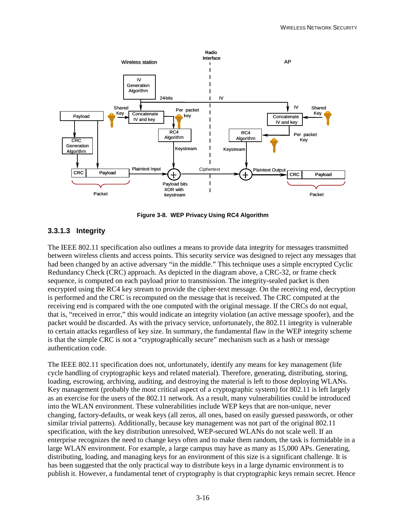<span id="page-31-0"></span>

**Figure 3-8. WEP Privacy Using RC4 Algorithm**

#### **3.3.1.3 Integrity**

The IEEE 802.11 specification also outlines a means to provide data integrity for messages transmitted between wireless clients and access points. This security service was designed to reject any messages that had been changed by an active adversary "in the middle." This technique uses a simple encrypted Cyclic Redundancy Check (CRC) approach. As depicted in the diagram above, a CRC-32, or frame check sequence, is computed on each payload prior to transmission. The integrity-sealed packet is then encrypted using the RC4 key stream to provide the cipher-text message. On the receiving end, decryption is performed and the CRC is recomputed on the message that is received. The CRC computed at the receiving end is compared with the one computed with the original message. If the CRCs do not equal, that is, "received in error," this would indicate an integrity violation (an active message spoofer), and the packet would be discarded. As with the privacy service, unfortunately, the 802.11 integrity is vulnerable to certain attacks regardless of key size. In summary, the fundamental flaw in the WEP integrity scheme is that the simple CRC is not a "cryptographically secure" mechanism such as a hash or message authentication code.

The IEEE 802.11 specification does not, unfortunately, identify any means for key management (life cycle handling of cryptographic keys and related material). Therefore, generating, distributing, storing, loading, escrowing, archiving, auditing, and destroying the material is left to those deploying WLANs. Key management (probably the most critical aspect of a cryptographic system) for 802.11 is left largely as an exercise for the users of the 802.11 network. As a result, many vulnerabilities could be introduced into the WLAN environment. These vulnerabilities include WEP keys that are non-unique, never changing, factory-defaults, or weak keys (all zeros, all ones, based on easily guessed passwords, or other similar trivial patterns). Additionally, because key management was not part of the original 802.11 specification, with the key distribution unresolved, WEP-secured WLANs do not scale well. If an enterprise recognizes the need to change keys often and to make them random, the task is formidable in a large WLAN environment. For example, a large campus may have as many as 15,000 APs. Generating, distributing, loading, and managing keys for an environment of this size is a significant challenge. It is has been suggested that the only practical way to distribute keys in a large dynamic environment is to publish it. However, a fundamental tenet of cryptography is that cryptographic keys remain secret. Hence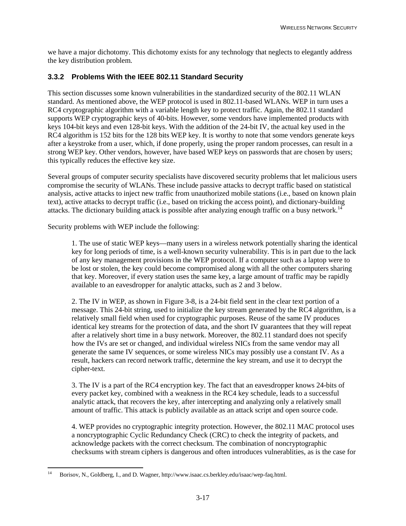<span id="page-32-0"></span>we have a major dichotomy. This dichotomy exists for any technology that neglects to elegantly address the key distribution problem.

#### **3.3.2 Problems With the IEEE 802.11 Standard Security**

This section discusses some known vulnerabilities in the standardized security of the 802.11 WLAN standard. As mentioned above, the WEP protocol is used in 802.11-based WLANs. WEP in turn uses a RC4 cryptographic algorithm with a variable length key to protect traffic. Again, the 802.11 standard supports WEP cryptographic keys of 40-bits. However, some vendors have implemented products with keys 104-bit keys and even 128-bit keys. With the addition of the 24-bit IV, the actual key used in the RC4 algorithm is 152 bits for the 128 bits WEP key. It is worthy to note that some vendors generate keys after a keystroke from a user, which, if done properly, using the proper random processes, can result in a strong WEP key. Other vendors, however, have based WEP keys on passwords that are chosen by users; this typically reduces the effective key size.

Several groups of computer security specialists have discovered security problems that let malicious users compromise the security of WLANs. These include passive attacks to decrypt traffic based on statistical analysis, active attacks to inject new traffic from unauthorized mobile stations (i.e., based on known plain text), active attacks to decrypt traffic (i.e., based on tricking the access point), and dictionary-building attacks. The dictionary building attack is possible after analyzing enough traffic on a busy network.<sup>14</sup>

Security problems with WEP include the following:

1. The use of static WEP keys—many users in a wireless network potentially sharing the identical key for long periods of time, is a well-known security vulnerability. This is in part due to the lack of any key management provisions in the WEP protocol. If a computer such as a laptop were to be lost or stolen, the key could become compromised along with all the other computers sharing that key. Moreover, if every station uses the same key, a large amount of traffic may be rapidly available to an eavesdropper for analytic attacks, such as 2 and 3 below.

2. The IV in WEP, as shown in Figure 3-8, is a 24-bit field sent in the clear text portion of a message. This 24-bit string, used to initialize the key stream generated by the RC4 algorithm, is a relatively small field when used for cryptographic purposes. Reuse of the same IV produces identical key streams for the protection of data, and the short IV guarantees that they will repeat after a relatively short time in a busy network. Moreover, the 802.11 standard does not specify how the IVs are set or changed, and individual wireless NICs from the same vendor may all generate the same IV sequences, or some wireless NICs may possibly use a constant IV. As a result, hackers can record network traffic, determine the key stream, and use it to decrypt the cipher-text.

3. The IV is a part of the RC4 encryption key. The fact that an eavesdropper knows 24-bits of every packet key, combined with a weakness in the RC4 key schedule, leads to a successful analytic attack, that recovers the key, after intercepting and analyzing only a relatively small amount of traffic. This attack is publicly available as an attack script and open source code.

4. WEP provides no cryptographic integrity protection. However, the 802.11 MAC protocol uses a noncryptographic Cyclic Redundancy Check (CRC) to check the integrity of packets, and acknowledge packets with the correct checksum. The combination of noncryptographic checksums with stream ciphers is dangerous and often introduces vulnerablities, as is the case for

l 14 Borisov, N., Goldberg, I., and D. Wagner, http://www.isaac.cs.berkley.edu/isaac/wep-faq.html.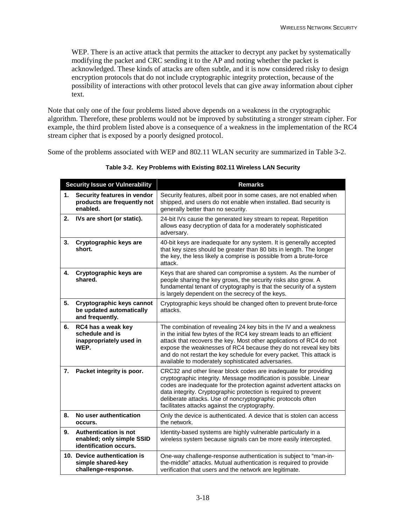<span id="page-33-0"></span>WEP. There is an active attack that permits the attacker to decrypt any packet by systematically modifying the packet and CRC sending it to the AP and noting whether the packet is acknowledged. These kinds of attacks are often subtle, and it is now considered risky to design encryption protocols that do not include cryptographic integrity protection, because of the possibility of interactions with other protocol levels that can give away information about cipher text.

Note that only one of the four problems listed above depends on a weakness in the cryptographic algorithm. Therefore, these problems would not be improved by substituting a stronger stream cipher. For example, the third problem listed above is a consequence of a weakness in the implementation of the RC4 stream cipher that is exposed by a poorly designed protocol.

Some of the problems associated with WEP and 802.11 WLAN security are summarized in Table 3-2.

| <b>Security Issue or Vulnerability</b> |                                                                              | <b>Remarks</b>                                                                                                                                                                                                                                                                                                                                                                                                     |
|----------------------------------------|------------------------------------------------------------------------------|--------------------------------------------------------------------------------------------------------------------------------------------------------------------------------------------------------------------------------------------------------------------------------------------------------------------------------------------------------------------------------------------------------------------|
| 1.                                     | Security features in vendor<br>products are frequently not<br>enabled.       | Security features, albeit poor in some cases, are not enabled when<br>shipped, and users do not enable when installed. Bad security is<br>generally better than no security.                                                                                                                                                                                                                                       |
| 2.                                     | IVs are short (or static).                                                   | 24-bit IVs cause the generated key stream to repeat. Repetition<br>allows easy decryption of data for a moderately sophisticated<br>adversary.                                                                                                                                                                                                                                                                     |
| 3.                                     | Cryptographic keys are<br>short.                                             | 40-bit keys are inadequate for any system. It is generally accepted<br>that key sizes should be greater than 80 bits in length. The longer<br>the key, the less likely a comprise is possible from a brute-force<br>attack.                                                                                                                                                                                        |
| 4.                                     | Cryptographic keys are<br>shared.                                            | Keys that are shared can compromise a system. As the number of<br>people sharing the key grows, the security risks also grow. A<br>fundamental tenant of cryptography is that the security of a system<br>is largely dependent on the secrecy of the keys.                                                                                                                                                         |
| 5.                                     | Cryptographic keys cannot<br>be updated automatically<br>and frequently.     | Cryptographic keys should be changed often to prevent brute-force<br>attacks.                                                                                                                                                                                                                                                                                                                                      |
| 6.                                     | RC4 has a weak key<br>schedule and is<br>inappropriately used in<br>WEP.     | The combination of revealing 24 key bits in the IV and a weakness<br>in the initial few bytes of the RC4 key stream leads to an efficient<br>attack that recovers the key. Most other applications of RC4 do not<br>expose the weaknesses of RC4 because they do not reveal key bits<br>and do not restart the key schedule for every packet. This attack is<br>available to moderately sophisticated adversaries. |
| 7.                                     | Packet integrity is poor.                                                    | CRC32 and other linear block codes are inadequate for providing<br>cryptographic integrity. Message modification is possible. Linear<br>codes are inadequate for the protection against advertent attacks on<br>data integrity. Cryptographic protection is required to prevent<br>deliberate attacks. Use of noncryptographic protocols often<br>facilitates attacks against the cryptography.                    |
| 8.                                     | No user authentication<br>occurs.                                            | Only the device is authenticated. A device that is stolen can access<br>the network.                                                                                                                                                                                                                                                                                                                               |
| 9.                                     | Authentication is not<br>enabled; only simple SSID<br>identification occurs. | Identity-based systems are highly vulnerable particularly in a<br>wireless system because signals can be more easily intercepted.                                                                                                                                                                                                                                                                                  |
|                                        | 10. Device authentication is<br>simple shared-key<br>challenge-response.     | One-way challenge-response authentication is subject to "man-in-<br>the-middle" attacks. Mutual authentication is required to provide<br>verification that users and the network are legitimate.                                                                                                                                                                                                                   |

**Table 3-2. Key Problems with Existing 802.11 Wireless LAN Security**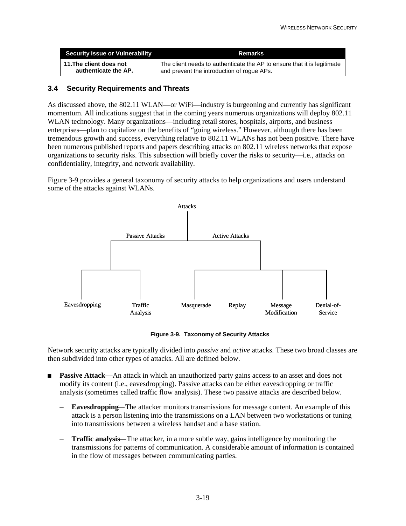<span id="page-34-0"></span>

| <b>Security Issue or Vulnerability</b> | <b>Remarks</b>                                                          |
|----------------------------------------|-------------------------------------------------------------------------|
| 11. The client does not                | The client needs to authenticate the AP to ensure that it is legitimate |
| authenticate the AP.                   | and prevent the introduction of roque APs.                              |

#### **3.4 Security Requirements and Threats**

As discussed above, the 802.11 WLAN—or WiFi—industry is burgeoning and currently has significant momentum. All indications suggest that in the coming years numerous organizations will deploy 802.11 WLAN technology. Many organizations—including retail stores, hospitals, airports, and business enterprises—plan to capitalize on the benefits of "going wireless." However, although there has been tremendous growth and success, everything relative to 802.11 WLANs has not been positive. There have been numerous published reports and papers describing attacks on 802.11 wireless networks that expose organizations to security risks. This subsection will briefly cover the risks to security—i.e., attacks on confidentiality, integrity, and network availability.

Figure 3-9 provides a general taxonomy of security attacks to help organizations and users understand some of the attacks against WLANs.



**Figure 3-9. Taxonomy of Security Attacks**

Network security attacks are typically divided into *passive* and *active* attacks. These two broad classes are then subdivided into other types of attacks. All are defined below.

- **Passive Attack—An attack in which an unauthorized party gains access to an asset and does not** modify its content (i.e., eavesdropping). Passive attacks can be either eavesdropping or traffic analysis (sometimes called traffic flow analysis). These two passive attacks are described below.
	- **Eavesdropping***—*The attacker monitors transmissions for message content. An example of this attack is a person listening into the transmissions on a LAN between two workstations or tuning into transmissions between a wireless handset and a base station.
	- **Traffic analysis***—*The attacker, in a more subtle way, gains intelligence by monitoring the transmissions for patterns of communication. A considerable amount of information is contained in the flow of messages between communicating parties.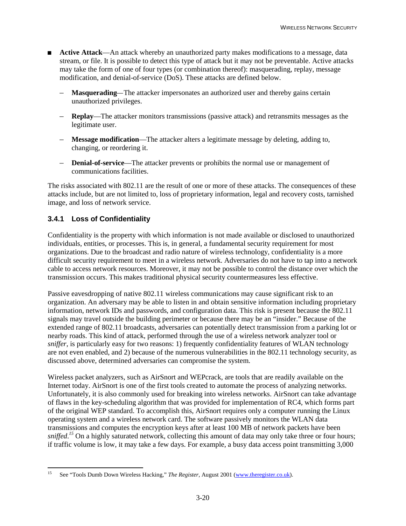- <span id="page-35-0"></span>**EXECUTE:** Active Attack—An attack whereby an unauthorized party makes modifications to a message, data stream, or file. It is possible to detect this type of attack but it may not be preventable. Active attacks may take the form of one of four types (or combination thereof): masquerading, replay, message modification, and denial-of-service (DoS). These attacks are defined below.
	- **Masquerading***—*The attacker impersonates an authorized user and thereby gains certain unauthorized privileges.
	- **Replay**—The attacker monitors transmissions (passive attack) and retransmits messages as the legitimate user.
	- **Message modification**—The attacker alters a legitimate message by deleting, adding to, changing, or reordering it.
	- **Denial-of-service**—The attacker prevents or prohibits the normal use or management of communications facilities.

The risks associated with 802.11 are the result of one or more of these attacks. The consequences of these attacks include, but are not limited to, loss of proprietary information, legal and recovery costs, tarnished image, and loss of network service.

#### **3.4.1 Loss of Confidentiality**

Confidentiality is the property with which information is not made available or disclosed to unauthorized individuals, entities, or processes. This is, in general, a fundamental security requirement for most organizations. Due to the broadcast and radio nature of wireless technology, confidentiality is a more difficult security requirement to meet in a wireless network. Adversaries do not have to tap into a network cable to access network resources. Moreover, it may not be possible to control the distance over which the transmission occurs. This makes traditional physical security countermeasures less effective.

Passive eavesdropping of native 802.11 wireless communications may cause significant risk to an organization. An adversary may be able to listen in and obtain sensitive information including proprietary information, network IDs and passwords, and configuration data. This risk is present because the 802.11 signals may travel outside the building perimeter or because there may be an "insider." Because of the extended range of 802.11 broadcasts, adversaries can potentially detect transmission from a parking lot or nearby roads. This kind of attack, performed through the use of a wireless network analyzer tool or *sniffer*, is particularly easy for two reasons: 1) frequently confidentiality features of WLAN technology are not even enabled, and 2) because of the numerous vulnerabilities in the 802.11 technology security, as discussed above, determined adversaries can compromise the system.

Wireless packet analyzers, such as AirSnort and WEPcrack, are tools that are readily available on the Internet today. AirSnort is one of the first tools created to automate the process of analyzing networks. Unfortunately, it is also commonly used for breaking into wireless networks. AirSnort can take advantage of flaws in the key-scheduling algorithm that was provided for implementation of RC4, which forms part of the original WEP standard. To accomplish this, AirSnort requires only a computer running the Linux operating system and a wireless network card. The software passively monitors the WLAN data transmissions and computes the encryption keys after at least 100 MB of network packets have been sniffed.<sup>15</sup> On a highly saturated network, collecting this amount of data may only take three or four hours; if traffic volume is low, it may take a few days. For example, a busy data access point transmitting 3,000

l 15 See "Tools Dumb Down Wireless Hacking," *The Register*, August 2001 (www.theregister.co.uk).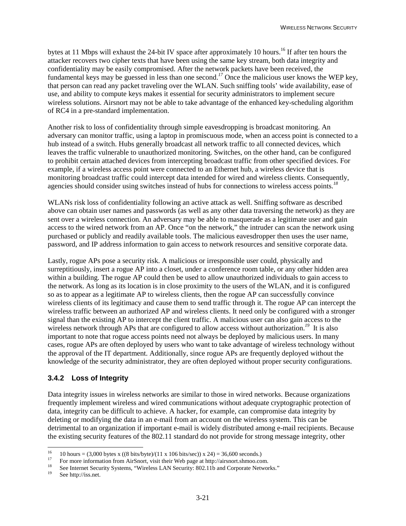bytes at 11 Mbps will exhaust the 24-bit IV space after approximately 10 hours.<sup>16</sup> If after ten hours the attacker recovers two cipher texts that have been using the same key stream, both data integrity and confidentiality may be easily compromised. After the network packets have been received, the fundamental keys may be guessed in less than one second.*<sup>17</sup>* Once the malicious user knows the WEP key, that person can read any packet traveling over the WLAN. Such sniffing tools' wide availability, ease of use, and ability to compute keys makes it essential for security administrators to implement secure wireless solutions. Airsnort may not be able to take advantage of the enhanced key-scheduling algorithm of RC4 in a pre-standard implementation.

Another risk to loss of confidentiality through simple eavesdropping is broadcast monitoring. An adversary can monitor traffic, using a laptop in promiscuous mode, when an access point is connected to a hub instead of a switch. Hubs generally broadcast all network traffic to all connected devices, which leaves the traffic vulnerable to unauthorized monitoring. Switches, on the other hand, can be configured to prohibit certain attached devices from intercepting broadcast traffic from other specified devices. For example, if a wireless access point were connected to an Ethernet hub, a wireless device that is monitoring broadcast traffic could intercept data intended for wired and wireless clients. Consequently, agencies should consider using switches instead of hubs for connections to wireless access points.*<sup>18</sup>*

WLANs risk loss of confidentiality following an active attack as well. Sniffing software as described above can obtain user names and passwords (as well as any other data traversing the network) as they are sent over a wireless connection. An adversary may be able to masquerade as a legitimate user and gain access to the wired network from an AP. Once "on the network," the intruder can scan the network using purchased or publicly and readily available tools. The malicious eavesdropper then uses the user name, password, and IP address information to gain access to network resources and sensitive corporate data.

Lastly, rogue APs pose a security risk. A malicious or irresponsible user could, physically and surreptitiously, insert a rogue AP into a closet, under a conference room table, or any other hidden area within a building. The rogue AP could then be used to allow unauthorized individuals to gain access to the network. As long as its location is in close proximity to the users of the WLAN, and it is configured so as to appear as a legitimate AP to wireless clients, then the rogue AP can successfully convince wireless clients of its legitimacy and cause them to send traffic through it. The rogue AP can intercept the wireless traffic between an authorized AP and wireless clients. It need only be configured with a stronger signal than the existing AP to intercept the client traffic. A malicious user can also gain access to the wireless network through APs that are configured to allow access without authorization.*<sup>19</sup>* It is also important to note that rogue access points need not always be deployed by malicious users. In many cases, rogue APs are often deployed by users who want to take advantage of wireless technology without the approval of the IT department. Additionally, since rogue APs are frequently deployed without the knowledge of the security administrator, they are often deployed without proper security configurations.

# **3.4.2 Loss of Integrity**

Data integrity issues in wireless networks are similar to those in wired networks. Because organizations frequently implement wireless and wired communications without adequate cryptographic protection of data, integrity can be difficult to achieve. A hacker, for example, can compromise data integrity by deleting or modifying the data in an e-mail from an account on the wireless system. This can be detrimental to an organization if important e-mail is widely distributed among e-mail recipients. Because the existing security features of the 802.11 standard do not provide for strong message integrity, other

<sup>16</sup> <sup>16</sup> 10 hours = (3,000 bytes x ((8 bits/byte)/(11 x 106 bits/sec)) x 24) = 36,600 seconds.)

<sup>&</sup>lt;sup>17</sup> For more information from AirSnort, visit their Web page at http://airsnort.shmoo.com.<br><sup>18</sup> See Internet Security Systems "Wireless LAN Security: 802.11b and Corporate Network

<sup>&</sup>lt;sup>18</sup> See Internet Security Systems, "Wireless LAN Security: 802.11b and Corporate Networks."<br><sup>19</sup> See http://iss.net

See http://iss.net.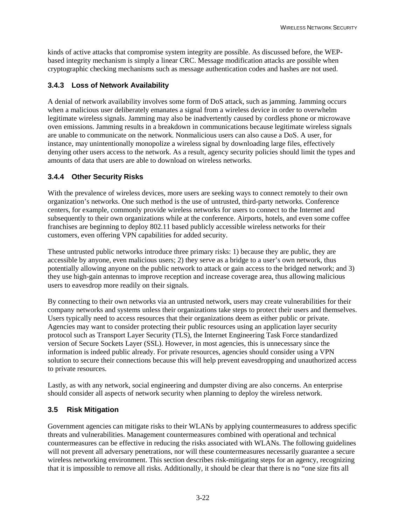kinds of active attacks that compromise system integrity are possible. As discussed before, the WEPbased integrity mechanism is simply a linear CRC. Message modification attacks are possible when cryptographic checking mechanisms such as message authentication codes and hashes are not used.

#### **3.4.3 Loss of Network Availability**

A denial of network availability involves some form of DoS attack, such as jamming. Jamming occurs when a malicious user deliberately emanates a signal from a wireless device in order to overwhelm legitimate wireless signals. Jamming may also be inadvertently caused by cordless phone or microwave oven emissions. Jamming results in a breakdown in communications because legitimate wireless signals are unable to communicate on the network. Nonmalicious users can also cause a DoS. A user, for instance, may unintentionally monopolize a wireless signal by downloading large files, effectively denying other users access to the network. As a result, agency security policies should limit the types and amounts of data that users are able to download on wireless networks.

#### **3.4.4 Other Security Risks**

With the prevalence of wireless devices, more users are seeking ways to connect remotely to their own organization's networks. One such method is the use of untrusted, third-party networks. Conference centers, for example, commonly provide wireless networks for users to connect to the Internet and subsequently to their own organizations while at the conference. Airports, hotels, and even some coffee franchises are beginning to deploy 802.11 based publicly accessible wireless networks for their customers, even offering VPN capabilities for added security.

These untrusted public networks introduce three primary risks: 1) because they are public, they are accessible by anyone, even malicious users; 2) they serve as a bridge to a user's own network, thus potentially allowing anyone on the public network to attack or gain access to the bridged network; and 3) they use high-gain antennas to improve reception and increase coverage area, thus allowing malicious users to eavesdrop more readily on their signals.

By connecting to their own networks via an untrusted network, users may create vulnerabilities for their company networks and systems unless their organizations take steps to protect their users and themselves. Users typically need to access resources that their organizations deem as either public or private. Agencies may want to consider protecting their public resources using an application layer security protocol such as Transport Layer Security (TLS), the Internet Engineering Task Force standardized version of Secure Sockets Layer (SSL). However, in most agencies, this is unnecessary since the information is indeed public already. For private resources, agencies should consider using a VPN solution to secure their connections because this will help prevent eavesdropping and unauthorized access to private resources.

Lastly, as with any network, social engineering and dumpster diving are also concerns. An enterprise should consider all aspects of network security when planning to deploy the wireless network.

# **3.5 Risk Mitigation**

Government agencies can mitigate risks to their WLANs by applying countermeasures to address specific threats and vulnerabilities. Management countermeasures combined with operational and technical countermeasures can be effective in reducing the risks associated with WLANs. The following guidelines will not prevent all adversary penetrations, nor will these countermeasures necessarily guarantee a secure wireless networking environment. This section describes risk-mitigating steps for an agency, recognizing that it is impossible to remove all risks. Additionally, it should be clear that there is no "one size fits all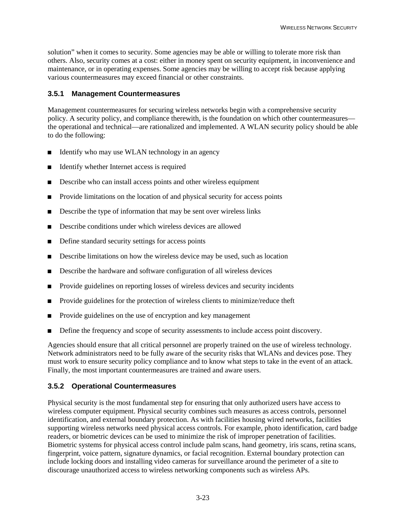solution" when it comes to security. Some agencies may be able or willing to tolerate more risk than others. Also, security comes at a cost: either in money spent on security equipment, in inconvenience and maintenance, or in operating expenses. Some agencies may be willing to accept risk because applying various countermeasures may exceed financial or other constraints.

#### **3.5.1 Management Countermeasures**

Management countermeasures for securing wireless networks begin with a comprehensive security policy. A security policy, and compliance therewith, is the foundation on which other countermeasures the operational and technical—are rationalized and implemented. A WLAN security policy should be able to do the following:

- **IDENTIFY IDENTIFY** who may use WLAN technology in an agency
- Identify whether Internet access is required
- ! Describe who can install access points and other wireless equipment
- **Provide limitations on the location of and physical security for access points**
- **EXECUTE:** Describe the type of information that may be sent over wireless links
- ! Describe conditions under which wireless devices are allowed
- $\blacksquare$  Define standard security settings for access points
- **EXECR** Describe limitations on how the wireless device may be used, such as location
- **EXECRED** Describe the hardware and software configuration of all wireless devices
- ! Provide guidelines on reporting losses of wireless devices and security incidents
- **Provide guidelines for the protection of wireless clients to minimize/reduce theft**
- ! Provide guidelines on the use of encryption and key management
- ! Define the frequency and scope of security assessments to include access point discovery.

Agencies should ensure that all critical personnel are properly trained on the use of wireless technology. Network administrators need to be fully aware of the security risks that WLANs and devices pose. They must work to ensure security policy compliance and to know what steps to take in the event of an attack. Finally, the most important countermeasures are trained and aware users.

#### **3.5.2 Operational Countermeasures**

Physical security is the most fundamental step for ensuring that only authorized users have access to wireless computer equipment. Physical security combines such measures as access controls, personnel identification, and external boundary protection. As with facilities housing wired networks, facilities supporting wireless networks need physical access controls. For example, photo identification, card badge readers, or biometric devices can be used to minimize the risk of improper penetration of facilities. Biometric systems for physical access control include palm scans, hand geometry, iris scans, retina scans, fingerprint, voice pattern, signature dynamics, or facial recognition. External boundary protection can include locking doors and installing video cameras for surveillance around the perimeter of a site to discourage unauthorized access to wireless networking components such as wireless APs.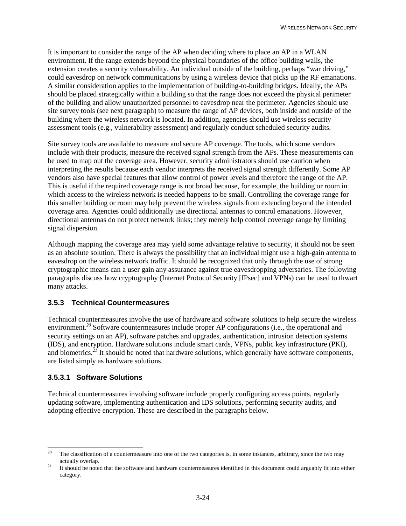It is important to consider the range of the AP when deciding where to place an AP in a WLAN environment. If the range extends beyond the physical boundaries of the office building walls, the extension creates a security vulnerability. An individual outside of the building, perhaps "war driving," could eavesdrop on network communications by using a wireless device that picks up the RF emanations. A similar consideration applies to the implementation of building-to-building bridges. Ideally, the APs should be placed strategically within a building so that the range does not exceed the physical perimeter of the building and allow unauthorized personnel to eavesdrop near the perimeter. Agencies should use site survey tools (see next paragraph) to measure the range of AP devices, both inside and outside of the building where the wireless network is located. In addition, agencies should use wireless security assessment tools (e.g., vulnerability assessment) and regularly conduct scheduled security audits.

Site survey tools are available to measure and secure AP coverage. The tools, which some vendors include with their products, measure the received signal strength from the APs. These measurements can be used to map out the coverage area. However, security administrators should use caution when interpreting the results because each vendor interprets the received signal strength differently. Some AP vendors also have special features that allow control of power levels and therefore the range of the AP. This is useful if the required coverage range is not broad because, for example, the building or room in which access to the wireless network is needed happens to be small. Controlling the coverage range for this smaller building or room may help prevent the wireless signals from extending beyond the intended coverage area. Agencies could additionally use directional antennas to control emanations. However, directional antennas do not protect network links; they merely help control coverage range by limiting signal dispersion.

Although mapping the coverage area may yield some advantage relative to security, it should not be seen as an absolute solution. There is always the possibility that an individual might use a high-gain antenna to eavesdrop on the wireless network traffic. It should be recognized that only through the use of strong cryptographic means can a user gain any assurance against true eavesdropping adversaries. The following paragraphs discuss how cryptography (Internet Protocol Security [IPsec] and VPNs) can be used to thwart many attacks.

# **3.5.3 Technical Countermeasures**

Technical countermeasures involve the use of hardware and software solutions to help secure the wireless environment.<sup>20</sup> Software countermeasures include proper AP configurations (i.e., the operational and security settings on an AP), software patches and upgrades, authentication, intrusion detection systems (IDS), and encryption. Hardware solutions include smart cards, VPNs, public key infrastructure (PKI), and biometrics.*<sup>21</sup>* It should be noted that hardware solutions, which generally have software components, are listed simply as hardware solutions.

#### **3.5.3.1 Software Solutions**

Technical countermeasures involving software include properly configuring access points, regularly updating software, implementing authentication and IDS solutions, performing security audits, and adopting effective encryption. These are described in the paragraphs below.

 $20$ The classification of a countermeasure into one of the two categories is, in some instances, arbitrary, since the two may

actually overlap.<br><sup>21</sup> It should be noted that the software and hardware countermeasures identified in this document could arguably fit into either category.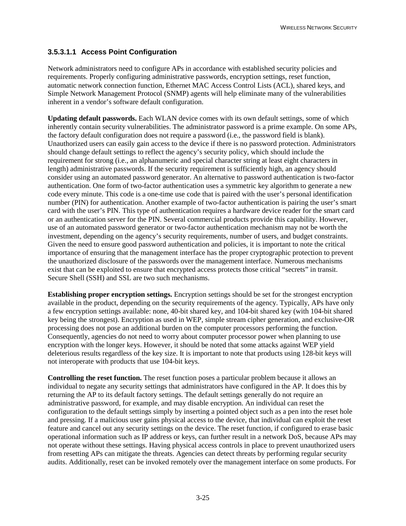# **3.5.3.1.1 Access Point Configuration**

Network administrators need to configure APs in accordance with established security policies and requirements. Properly configuring administrative passwords, encryption settings, reset function, automatic network connection function, Ethernet MAC Access Control Lists (ACL), shared keys, and Simple Network Management Protocol (SNMP) agents will help eliminate many of the vulnerabilities inherent in a vendor's software default configuration.

**Updating default passwords.** Each WLAN device comes with its own default settings, some of which inherently contain security vulnerabilities. The administrator password is a prime example. On some APs, the factory default configuration does not require a password (i.e., the password field is blank). Unauthorized users can easily gain access to the device if there is no password protection. Administrators should change default settings to reflect the agency's security policy, which should include the requirement for strong (i.e., an alphanumeric and special character string at least eight characters in length) administrative passwords. If the security requirement is sufficiently high, an agency should consider using an automated password generator. An alternative to password authentication is two-factor authentication. One form of two-factor authentication uses a symmetric key algorithm to generate a new code every minute. This code is a one-time use code that is paired with the user's personal identification number (PIN) for authentication. Another example of two-factor authentication is pairing the user's smart card with the user's PIN. This type of authentication requires a hardware device reader for the smart card or an authentication server for the PIN. Several commercial products provide this capability. However, use of an automated password generator or two-factor authentication mechanism may not be worth the investment, depending on the agency's security requirements, number of users, and budget constraints. Given the need to ensure good password authentication and policies, it is important to note the critical importance of ensuring that the management interface has the proper cryptographic protection to prevent the unauthorized disclosure of the passwords over the management interface. Numerous mechanisms exist that can be exploited to ensure that encrypted access protects those critical "secrets" in transit. Secure Shell (SSH) and SSL are two such mechanisms.

**Establishing proper encryption settings.** Encryption settings should be set for the strongest encryption available in the product, depending on the security requirements of the agency. Typically, APs have only a few encryption settings available: none, 40-bit shared key, and 104-bit shared key (with 104-bit shared key being the strongest). Encryption as used in WEP, simple stream cipher generation, and exclusive-OR processing does not pose an additional burden on the computer processors performing the function. Consequently, agencies do not need to worry about computer processor power when planning to use encryption with the longer keys. However, it should be noted that some attacks against WEP yield deleterious results regardless of the key size. It is important to note that products using 128-bit keys will not interoperate with products that use 104-bit keys.

**Controlling the reset function.** The reset function poses a particular problem because it allows an individual to negate any security settings that administrators have configured in the AP. It does this by returning the AP to its default factory settings. The default settings generally do not require an administrative password, for example, and may disable encryption. An individual can reset the configuration to the default settings simply by inserting a pointed object such as a pen into the reset hole and pressing. If a malicious user gains physical access to the device, that individual can exploit the reset feature and cancel out any security settings on the device. The reset function, if configured to erase basic operational information such as IP address or keys, can further result in a network DoS, because APs may not operate without these settings. Having physical access controls in place to prevent unauthorized users from resetting APs can mitigate the threats. Agencies can detect threats by performing regular security audits. Additionally, reset can be invoked remotely over the management interface on some products. For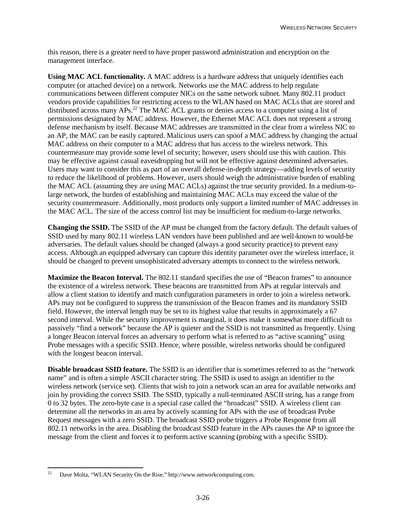this reason, there is a greater need to have proper password administration and encryption on the management interface.

**Using MAC ACL functionality.** A MAC address is a hardware address that uniquely identifies each computer (or attached device) on a network. Networks use the MAC address to help regulate communications between different computer NICs on the same network subnet. Many 802.11 product vendors provide capabilities for restricting access to the WLAN based on MAC ACLs that are stored and distributed across many APs.*<sup>22</sup>* The MAC ACL grants or denies access to a computer using a list of permissions designated by MAC address. However, the Ethernet MAC ACL does not represent a strong defense mechanism by itself. Because MAC addresses are transmitted in the clear from a wireless NIC to an AP, the MAC can be easily captured. Malicious users can spoof a MAC address by changing the actual MAC address on their computer to a MAC address that has access to the wireless network. This countermeasure may provide some level of security; however, users should use this with caution. This may be effective against casual eavesdropping but will not be effective against determined adversaries. Users may want to consider this as part of an overall defense-in-depth strategy—adding levels of security to reduce the likelihood of problems. However, users should weigh the administrative burden of enabling the MAC ACL (assuming they are using MAC ACLs) against the true security provided. In a medium-tolarge network, the burden of establishing and maintaining MAC ACLs may exceed the value of the security countermeasure. Additionally, most products only support a limited number of MAC addresses in the MAC ACL. The size of the access control list may be insufficient for medium-to-large networks.

**Changing the SSID.** The SSID of the AP must be changed from the factory default. The default values of SSID used by many 802.11 wireless LAN vendors have been published and are well-known to would-be adversaries. The default values should be changed (always a good security practice) to prevent easy access. Although an equipped adversary can capture this identity parameter over the wireless interface, it should be changed to prevent unsophisticated adversary attempts to connect to the wireless network.

Maximize the Beacon Interval. The 802.11 standard specifies the use of "Beacon frames" to announce the existence of a wireless network. These beacons are transmitted from APs at regular intervals and allow a client station to identify and match configuration parameters in order to join a wireless network. APs may not be configured to suppress the transmission of the Beacon frames and its mandatory SSID field. However, the interval length may be set to its highest value that results in approximately a 67 second interval. While the security improvement is marginal, it does make it somewhat more difficult to passively "find a network" because the AP is quieter and the SSID is not transmitted as frequently. Using a longer Beacon interval forces an adversary to perform what is referred to as "active scanning" using Probe messages with a specific SSID. Hence, where possible, wireless networks should be configured with the longest beacon interval.

**Disable broadcast SSID feature.** The SSID is an identifier that is sometimes referred to as the "network name" and is often a simple ASCII character string. The SSID is used to assign an identifier to the wireless network (service set). Clients that wish to join a network scan an area for available networks and join by providing the correct SSID. The SSID, typically a null-terminated ASCII string, has a range from 0 to 32 bytes. The zero-byte case is a special case called the "broadcast" SSID. A wireless client can determine all the networks in an area by actively scanning for APs with the use of broadcast Probe Request messages with a zero SSID. The broadcast SSID probe triggers a Probe Response from all 802.11 networks in the area. Disabling the broadcast SSID feature in the APs causes the AP to ignore the message from the client and forces it to perform active scanning (probing with a specific SSID).

<sup>1</sup> Dave Molta, "WLAN Security On the Rise," http://www.networkcomputing.com.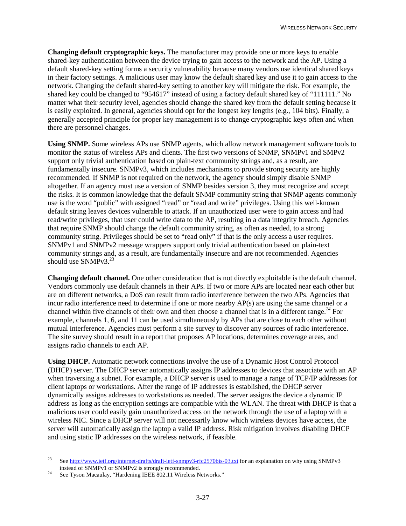**Changing default cryptographic keys.** The manufacturer may provide one or more keys to enable shared-key authentication between the device trying to gain access to the network and the AP. Using a default shared-key setting forms a security vulnerability because many vendors use identical shared keys in their factory settings. A malicious user may know the default shared key and use it to gain access to the network. Changing the default shared-key setting to another key will mitigate the risk. For example, the shared key could be changed to "954617" instead of using a factory default shared key of "111111." No matter what their security level, agencies should change the shared key from the default setting because it is easily exploited. In general, agencies should opt for the longest key lengths (e.g., 104 bits). Finally, a generally accepted principle for proper key management is to change cryptographic keys often and when there are personnel changes.

**Using SNMP.** Some wireless APs use SNMP agents, which allow network management software tools to monitor the status of wireless APs and clients. The first two versions of SNMP, SNMPv1 and SMPv2 support only trivial authentication based on plain-text community strings and, as a result, are fundamentally insecure. SNMPv3, which includes mechanisms to provide strong security are highly recommended. If SNMP is not required on the network, the agency should simply disable SNMP altogether. If an agency must use a version of SNMP besides version 3, they must recognize and accept the risks. It is common knowledge that the default SNMP community string that SNMP agents commonly use is the word "public" with assigned "read" or "read and write" privileges. Using this well-known default string leaves devices vulnerable to attack. If an unauthorized user were to gain access and had read/write privileges, that user could write data to the AP, resulting in a data integrity breach. Agencies that require SNMP should change the default community string, as often as needed, to a strong community string. Privileges should be set to "read only" if that is the only access a user requires. SNMPv1 and SNMPv2 message wrappers support only trivial authentication based on plain-text community strings and, as a result, are fundamentally insecure and are not recommended. Agencies should use SNMPv3.<sup>23</sup>

**Changing default channel.** One other consideration that is not directly exploitable is the default channel. Vendors commonly use default channels in their APs. If two or more APs are located near each other but are on different networks, a DoS can result from radio interference between the two APs. Agencies that incur radio interference need to determine if one or more nearby AP(s) are using the same channel or a channel within five channels of their own and then choose a channel that is in a different range.*<sup>24</sup>* For example, channels 1, 6, and 11 can be used simultaneously by APs that are close to each other without mutual interference. Agencies must perform a site survey to discover any sources of radio interference. The site survey should result in a report that proposes AP locations, determines coverage areas, and assigns radio channels to each AP.

**Using DHCP.** Automatic network connections involve the use of a Dynamic Host Control Protocol (DHCP) server. The DHCP server automatically assigns IP addresses to devices that associate with an AP when traversing a subnet. For example, a DHCP server is used to manage a range of TCP/IP addresses for client laptops or workstations. After the range of IP addresses is established, the DHCP server dynamically assigns addresses to workstations as needed. The server assigns the device a dynamic IP address as long as the encryption settings are compatible with the WLAN. The threat with DHCP is that a malicious user could easily gain unauthorized access on the network through the use of a laptop with a wireless NIC. Since a DHCP server will not necessarily know which wireless devices have access, the server will automatically assign the laptop a valid IP address. Risk mitigation involves disabling DHCP and using static IP addresses on the wireless network, if feasible.

 $23$ See http://www.ietf.org/internet-drafts/draft-ietf-snmpv3-rfc2570bis-03.txt for an explanation on why using SNMPv3

instead of SNMPv1 or SNMPv2 is strongly recommended.<br><sup>24</sup> See Tyson Macaulay, "Hardening IEEE 802.11 Wireless Networks."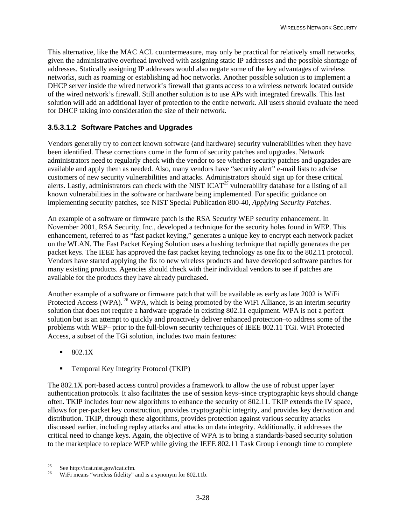This alternative, like the MAC ACL countermeasure, may only be practical for relatively small networks, given the administrative overhead involved with assigning static IP addresses and the possible shortage of addresses. Statically assigning IP addresses would also negate some of the key advantages of wireless networks, such as roaming or establishing ad hoc networks. Another possible solution is to implement a DHCP server inside the wired network's firewall that grants access to a wireless network located outside of the wired network's firewall. Still another solution is to use APs with integrated firewalls. This last solution will add an additional layer of protection to the entire network. All users should evaluate the need for DHCP taking into consideration the size of their network.

#### **3.5.3.1.2 Software Patches and Upgrades**

Vendors generally try to correct known software (and hardware) security vulnerabilities when they have been identified. These corrections come in the form of security patches and upgrades. Network administrators need to regularly check with the vendor to see whether security patches and upgrades are available and apply them as needed. Also, many vendors have "security alert" e-mail lists to advise customers of new security vulnerabilities and attacks. Administrators should sign up for these critical alerts. Lastly, administrators can check with the NIST ICAT*<sup>25</sup>* vulnerability database for a listing of all known vulnerabilities in the software or hardware being implemented. For specific guidance on implementing security patches, see NIST Special Publication 800-40, *Applying Security Patches*.

An example of a software or firmware patch is the RSA Security WEP security enhancement. In November 2001, RSA Security, Inc., developed a technique for the security holes found in WEP. This enhancement, referred to as "fast packet keying," generates a unique key to encrypt each network packet on the WLAN. The Fast Packet Keying Solution uses a hashing technique that rapidly generates the per packet keys. The IEEE has approved the fast packet keying technology as one fix to the 802.11 protocol. Vendors have started applying the fix to new wireless products and have developed software patches for many existing products. Agencies should check with their individual vendors to see if patches are available for the products they have already purchased.

Another example of a software or firmware patch that will be available as early as late 2002 is WiFi Protected Access (WPA). <sup>26</sup> WPA, which is being promoted by the WiFi Alliance, is an interim security solution that does not require a hardware upgrade in existing 802.11 equipment. WPA is not a perfect solution but is an attempt to quickly and proactively deliver enhanced protection–to address some of the problems with WEP– prior to the full-blown security techniques of IEEE 802.11 TGi. WiFi Protected Access, a subset of the TGi solution, includes two main features:

- $-802.1X$
- **Temporal Key Integrity Protocol (TKIP)**

The 802.1X port-based access control provides a framework to allow the use of robust upper layer authentication protocols. It also facilitates the use of session keys–since cryptographic keys should change often. TKIP includes four new algorithms to enhance the security of 802.11. TKIP extends the IV space, allows for per-packet key construction, provides cryptographic integrity, and provides key derivation and distribution. TKIP, through these algorithms, provides protection against various security attacks discussed earlier, including replay attacks and attacks on data integrity. Additionally, it addresses the critical need to change keys. Again, the objective of WPA is to bring a standards-based security solution to the marketplace to replace WEP while giving the IEEE 802.11 Task Group i enough time to complete

<sup>25</sup> <sup>25</sup> See http://icat.nist.gov/icat.cfm.<br><sup>26</sup> WiEi means "wireless fidelity"

WiFi means "wireless fidelity" and is a synonym for 802.11b.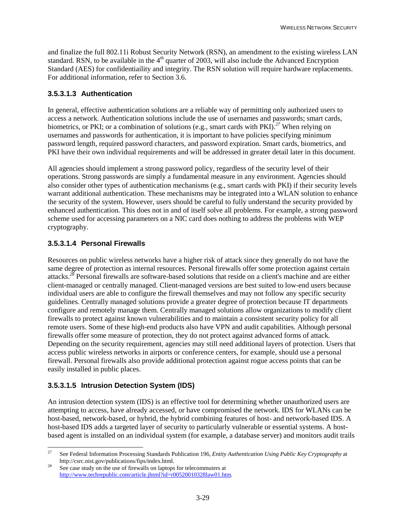and finalize the full 802.11i Robust Security Network (RSN), an amendment to the existing wireless LAN standard. RSN, to be available in the  $4<sup>th</sup>$  quarter of 2003, will also include the Advanced Encryption Standard (AES) for confidentiaility and integrity. The RSN solution will require hardware replacements. For additional information, refer to Section 3.6.

# **3.5.3.1.3 Authentication**

In general, effective authentication solutions are a reliable way of permitting only authorized users to access a network. Authentication solutions include the use of usernames and passwords; smart cards, biometrics, or PKI; or a combination of solutions (e.g., smart cards with PKI).*<sup>27</sup>* When relying on usernames and passwords for authentication, it is important to have policies specifying minimum password length, required password characters, and password expiration. Smart cards, biometrics, and PKI have their own individual requirements and will be addressed in greater detail later in this document.

All agencies should implement a strong password policy, regardless of the security level of their operations. Strong passwords are simply a fundamental measure in any environment. Agencies should also consider other types of authentication mechanisms (e.g., smart cards with PKI) if their security levels warrant additional authentication. These mechanisms may be integrated into a WLAN solution to enhance the security of the system. However, users should be careful to fully understand the security provided by enhanced authentication. This does not in and of itself solve all problems. For example, a strong password scheme used for accessing parameters on a NIC card does nothing to address the problems with WEP cryptography.

# **3.5.3.1.4 Personal Firewalls**

Resources on public wireless networks have a higher risk of attack since they generally do not have the same degree of protection as internal resources. Personal firewalls offer some protection against certain attacks.*<sup>28</sup>* Personal firewalls are software-based solutions that reside on a client's machine and are either client-managed or centrally managed. Client-managed versions are best suited to low-end users because individual users are able to configure the firewall themselves and may not follow any specific security guidelines. Centrally managed solutions provide a greater degree of protection because IT departments configure and remotely manage them. Centrally managed solutions allow organizations to modify client firewalls to protect against known vulnerabilities and to maintain a consistent security policy for all remote users. Some of these high-end products also have VPN and audit capabilities. Although personal firewalls offer some measure of protection, they do not protect against advanced forms of attack. Depending on the security requirement, agencies may still need additional layers of protection. Users that access public wireless networks in airports or conference centers, for example, should use a personal firewall. Personal firewalls also provide additional protection against rogue access points that can be easily installed in public places.

# **3.5.3.1.5 Intrusion Detection System (IDS)**

An intrusion detection system (IDS) is an effective tool for determining whether unauthorized users are attempting to access, have already accessed, or have compromised the network. IDS for WLANs can be host-based, network-based, or hybrid, the hybrid combining features of host- and network-based IDS. A host-based IDS adds a targeted layer of security to particularly vulnerable or essential systems. A hostbased agent is installed on an individual system (for example, a database server) and monitors audit trails

 $27$ 27 See Federal Information Processing Standards Publication 196, *Entity Authentication Using Public Key Cryptography* at

http://csrc.nist.gov/publications/fips/index.html.<br><sup>28</sup> See case study on the use of firewalls on laptops for telecommuters at http://www.techrepublic.com/article.jhtml?id=r00520010328law01.htm.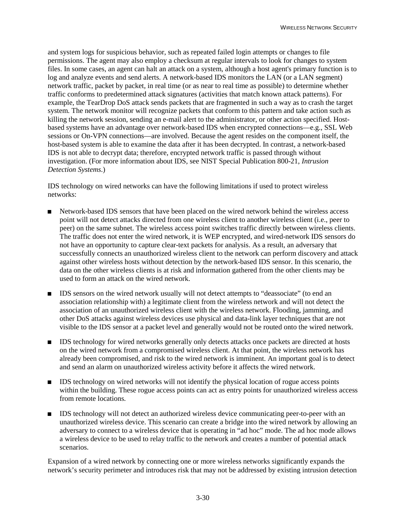and system logs for suspicious behavior, such as repeated failed login attempts or changes to file permissions. The agent may also employ a checksum at regular intervals to look for changes to system files. In some cases, an agent can halt an attack on a system, although a host agent's primary function is to log and analyze events and send alerts. A network-based IDS monitors the LAN (or a LAN segment) network traffic, packet by packet, in real time (or as near to real time as possible) to determine whether traffic conforms to predetermined attack signatures (activities that match known attack patterns). For example, the TearDrop DoS attack sends packets that are fragmented in such a way as to crash the target system. The network monitor will recognize packets that conform to this pattern and take action such as killing the network session, sending an e-mail alert to the administrator, or other action specified. Hostbased systems have an advantage over network-based IDS when encrypted connections—e.g., SSL Web sessions or On-VPN connections—are involved. Because the agent resides on the component itself, the host-based system is able to examine the data after it has been decrypted. In contrast, a network-based IDS is not able to decrypt data; therefore, encrypted network traffic is passed through without investigation. (For more information about IDS, see NIST Special Publication 800-21, *Intrusion Detection Systems*.)

IDS technology on wired networks can have the following limitations if used to protect wireless networks:

- ! Network-based IDS sensors that have been placed on the wired network behind the wireless access point will not detect attacks directed from one wireless client to another wireless client (i.e., peer to peer) on the same subnet. The wireless access point switches traffic directly between wireless clients. The traffic does not enter the wired network, it is WEP encrypted, and wired-network IDS sensors do not have an opportunity to capture clear-text packets for analysis. As a result, an adversary that successfully connects an unauthorized wireless client to the network can perform discovery and attack against other wireless hosts without detection by the network-based IDS sensor. In this scenario, the data on the other wireless clients is at risk and information gathered from the other clients may be used to form an attack on the wired network.
- **IDS** sensors on the wired network usually will not detect attempts to "deassociate" (to end an association relationship with) a legitimate client from the wireless network and will not detect the association of an unauthorized wireless client with the wireless network. Flooding, jamming, and other DoS attacks against wireless devices use physical and data-link layer techniques that are not visible to the IDS sensor at a packet level and generally would not be routed onto the wired network.
- **IDS** technology for wired networks generally only detects attacks once packets are directed at hosts on the wired network from a compromised wireless client. At that point, the wireless network has already been compromised, and risk to the wired network is imminent. An important goal is to detect and send an alarm on unauthorized wireless activity before it affects the wired network.
- **IDS** technology on wired networks will not identify the physical location of rogue access points within the building. These rogue access points can act as entry points for unauthorized wireless access from remote locations.
- ! IDS technology will not detect an authorized wireless device communicating peer-to-peer with an unauthorized wireless device. This scenario can create a bridge into the wired network by allowing an adversary to connect to a wireless device that is operating in "ad hoc" mode. The ad hoc mode allows a wireless device to be used to relay traffic to the network and creates a number of potential attack scenarios.

Expansion of a wired network by connecting one or more wireless networks significantly expands the network's security perimeter and introduces risk that may not be addressed by existing intrusion detection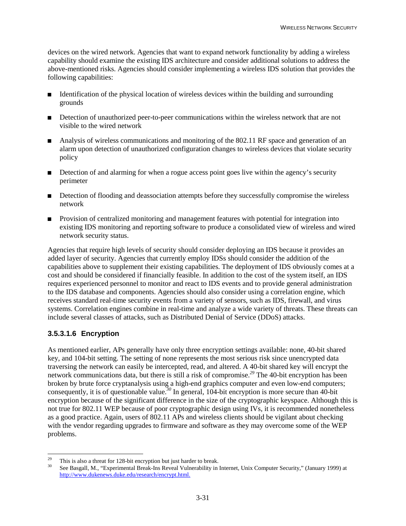devices on the wired network. Agencies that want to expand network functionality by adding a wireless capability should examine the existing IDS architecture and consider additional solutions to address the above-mentioned risks. Agencies should consider implementing a wireless IDS solution that provides the following capabilities:

- ! Identification of the physical location of wireless devices within the building and surrounding grounds
- **EXECTED** Detection of unauthorized peer-to-peer communications within the wireless network that are not visible to the wired network
- ! Analysis of wireless communications and monitoring of the 802.11 RF space and generation of an alarm upon detection of unauthorized configuration changes to wireless devices that violate security policy
- **EXECUTE:** Detection of and alarming for when a rogue access point goes live within the agency's security perimeter
- **EXECT** Detection of flooding and deassociation attempts before they successfully compromise the wireless network
- **Provision of centralized monitoring and management features with potential for integration into** existing IDS monitoring and reporting software to produce a consolidated view of wireless and wired network security status.

Agencies that require high levels of security should consider deploying an IDS because it provides an added layer of security. Agencies that currently employ IDSs should consider the addition of the capabilities above to supplement their existing capabilities. The deployment of IDS obviously comes at a cost and should be considered if financially feasible. In addition to the cost of the system itself, an IDS requires experienced personnel to monitor and react to IDS events and to provide general administration to the IDS database and components. Agencies should also consider using a correlation engine, which receives standard real-time security events from a variety of sensors, such as IDS, firewall, and virus systems. Correlation engines combine in real-time and analyze a wide variety of threats. These threats can include several classes of attacks, such as Distributed Denial of Service (DDoS) attacks.

# **3.5.3.1.6 Encryption**

As mentioned earlier, APs generally have only three encryption settings available: none, 40-bit shared key, and 104-bit setting. The setting of none represents the most serious risk since unencrypted data traversing the network can easily be intercepted, read, and altered. A 40-bit shared key will encrypt the network communications data, but there is still a risk of compromise.*<sup>29</sup>* The 40-bit encryption has been broken by brute force cryptanalysis using a high-end graphics computer and even low-end computers; consequently, it is of questionable value.*<sup>30</sup>* In general, 104-bit encryption is more secure than 40-bit encryption because of the significant difference in the size of the cryptographic keyspace. Although this is not true for 802.11 WEP because of poor cryptographic design using IVs, it is recommended nonetheless as a good practice. Again, users of 802.11 APs and wireless clients should be vigilant about checking with the vendor regarding upgrades to firmware and software as they may overcome some of the WEP problems.

 $29$ <sup>29</sup> This is also a threat for 128-bit encryption but just harder to break.

<sup>30</sup> See Basgall, M., "Experimental Break-Ins Reveal Vulnerability in Internet, Unix Computer Security," (January 1999) at http://www.dukenews.duke.edu/research/encrypt.html.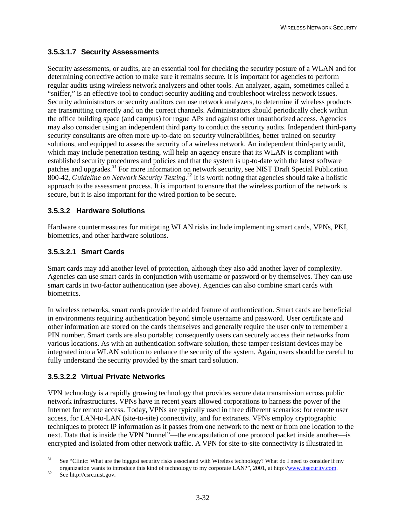# **3.5.3.1.7 Security Assessments**

Security assessments, or audits, are an essential tool for checking the security posture of a WLAN and for determining corrective action to make sure it remains secure. It is important for agencies to perform regular audits using wireless network analyzers and other tools. An analyzer, again, sometimes called a "sniffer," is an effective tool to conduct security auditing and troubleshoot wireless network issues. Security administrators or security auditors can use network analyzers, to determine if wireless products are transmitting correctly and on the correct channels. Administrators should periodically check within the office building space (and campus) for rogue APs and against other unauthorized access. Agencies may also consider using an independent third party to conduct the security audits. Independent third-party security consultants are often more up-to-date on security vulnerabilities, better trained on security solutions, and equipped to assess the security of a wireless network. An independent third-party audit, which may include penetration testing, will help an agency ensure that its WLAN is compliant with established security procedures and policies and that the system is up-to-date with the latest software patches and upgrades.*<sup>31</sup>* For more information on network security, see NIST Draft Special Publication 800-42, *Guideline on Network Security Testing*. *<sup>32</sup>* It is worth noting that agencies should take a holistic approach to the assessment process. It is important to ensure that the wireless portion of the network is secure, but it is also important for the wired portion to be secure.

#### **3.5.3.2 Hardware Solutions**

Hardware countermeasures for mitigating WLAN risks include implementing smart cards, VPNs, PKI, biometrics, and other hardware solutions.

#### **3.5.3.2.1 Smart Cards**

Smart cards may add another level of protection, although they also add another layer of complexity. Agencies can use smart cards in conjunction with username or password or by themselves. They can use smart cards in two-factor authentication (see above). Agencies can also combine smart cards with biometrics.

In wireless networks, smart cards provide the added feature of authentication. Smart cards are beneficial in environments requiring authentication beyond simple username and password. User certificate and other information are stored on the cards themselves and generally require the user only to remember a PIN number. Smart cards are also portable; consequently users can securely access their networks from various locations. As with an authentication software solution, these tamper-resistant devices may be integrated into a WLAN solution to enhance the security of the system. Again, users should be careful to fully understand the security provided by the smart card solution.

# **3.5.3.2.2 Virtual Private Networks**

VPN technology is a rapidly growing technology that provides secure data transmission across public network infrastructures. VPNs have in recent years allowed corporations to harness the power of the Internet for remote access. Today, VPNs are typically used in three different scenarios: for remote user access, for LAN-to-LAN (site-to-site) connectivity, and for extranets. VPNs employ cryptographic techniques to protect IP information as it passes from one network to the next or from one location to the next. Data that is inside the VPN "tunnel"—the encapsulation of one protocol packet inside another—is encrypted and isolated from other network traffic. A VPN for site-to-site connectivity is illustrated in

 $\overline{31}$ See "Clinic: What are the biggest security risks associated with Wireless technology? What do I need to consider if my organization wants to introduce this kind of technology to my corporate LAN?", 2001, at http://www.itsecurity.com.<br>See http://csrc.nist.gov.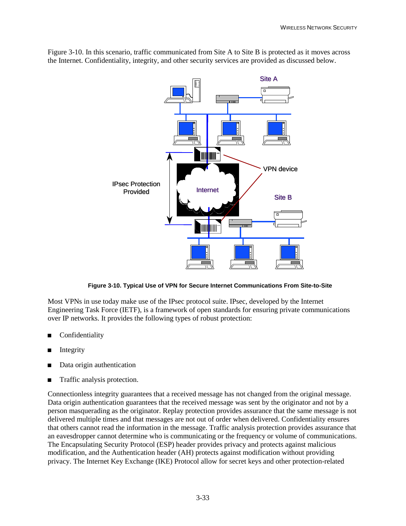

Figure 3-10. In this scenario, traffic communicated from Site A to Site B is protected as it moves across the Internet. Confidentiality, integrity, and other security services are provided as discussed below.

**Figure 3-10. Typical Use of VPN for Secure Internet Communications From Site-to-Site**

Most VPNs in use today make use of the IPsec protocol suite. IPsec, developed by the Internet Engineering Task Force (IETF), is a framework of open standards for ensuring private communications over IP networks. It provides the following types of robust protection:

- **Confidentiality**
- **Integrity**
- Data origin authentication
- ! Traffic analysis protection.

Connectionless integrity guarantees that a received message has not changed from the original message. Data origin authentication guarantees that the received message was sent by the originator and not by a person masquerading as the originator. Replay protection provides assurance that the same message is not delivered multiple times and that messages are not out of order when delivered. Confidentiality ensures that others cannot read the information in the message. Traffic analysis protection provides assurance that an eavesdropper cannot determine who is communicating or the frequency or volume of communications. The Encapsulating Security Protocol (ESP) header provides privacy and protects against malicious modification, and the Authentication header (AH) protects against modification without providing privacy. The Internet Key Exchange (IKE) Protocol allow for secret keys and other protection-related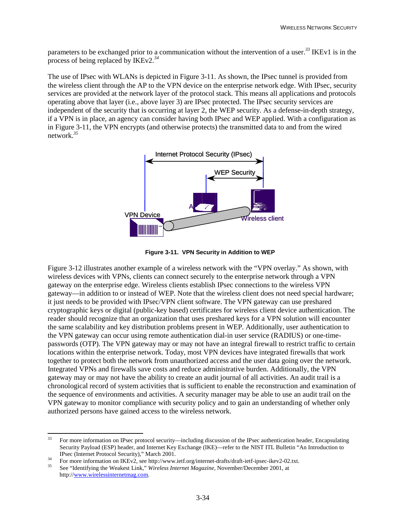parameters to be exchanged prior to a communication without the intervention of a user.*<sup>33</sup>* IKEv1 is in the process of being replaced by IKEv2.*<sup>34</sup>*

The use of IPsec with WLANs is depicted in Figure 3-11. As shown, the IPsec tunnel is provided from the wireless client through the AP to the VPN device on the enterprise network edge. With IPsec, security services are provided at the network layer of the protocol stack. This means all applications and protocols operating above that layer (i.e., above layer 3) are IPsec protected. The IPsec security services are independent of the security that is occurring at layer 2, the WEP security. As a defense-in-depth strategy, if a VPN is in place, an agency can consider having both IPsec and WEP applied. With a configuration as in Figure 3-11, the VPN encrypts (and otherwise protects) the transmitted data to and from the wired network.*<sup>35</sup>*





Figure 3-12 illustrates another example of a wireless network with the "VPN overlay." As shown, with wireless devices with VPNs, clients can connect securely to the enterprise network through a VPN gateway on the enterprise edge. Wireless clients establish IPsec connections to the wireless VPN gateway—in addition to or instead of WEP. Note that the wireless client does not need special hardware; it just needs to be provided with IPsec/VPN client software. The VPN gateway can use preshared cryptographic keys or digital (public-key based) certificates for wireless client device authentication. The reader should recognize that an organization that uses preshared keys for a VPN solution will encounter the same scalability and key distribution problems present in WEP. Additionally, user authentication to the VPN gateway can occur using remote authentication dial-in user service (RADIUS) or one-timepasswords (OTP). The VPN gateway may or may not have an integral firewall to restrict traffic to certain locations within the enterprise network. Today, most VPN devices have integrated firewalls that work together to protect both the network from unauthorized access and the user data going over the network. Integrated VPNs and firewalls save costs and reduce administrative burden. Additionally, the VPN gateway may or may not have the ability to create an audit journal of all activities. An audit trail is a chronological record of system activities that is sufficient to enable the reconstruction and examination of the sequence of environments and activities. A security manager may be able to use an audit trail on the VPN gateway to monitor compliance with security policy and to gain an understanding of whether only authorized persons have gained access to the wireless network.

 $33$ 33 For more information on IPsec protocol security—including discussion of the IPsec authentication header, Encapsulating Security Payload (ESP) header, and Internet Key Exchange (IKE)—refer to the NIST ITL Bulletin "An Introduction to

IPsec (Internet Protocol Security)," March 2001.<br>
For more information on IKEv2, see http://www.ietf.org/internet-drafts/draft-ietf-ipsec-ikev2-02.txt.<br>
<sup>35</sup>

<sup>35</sup> See "Identifying the Weakest Link," *Wireless Internet Magazine*, November/December 2001, at http://www.wirelessinternetmag.com.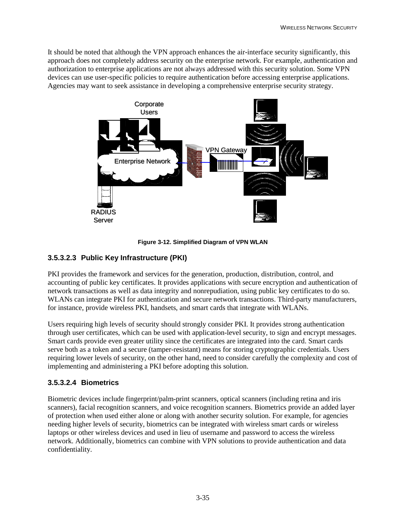It should be noted that although the VPN approach enhances the air-interface security significantly, this approach does not completely address security on the enterprise network. For example, authentication and authorization to enterprise applications are not always addressed with this security solution. Some VPN devices can use user-specific policies to require authentication before accessing enterprise applications. Agencies may want to seek assistance in developing a comprehensive enterprise security strategy.



**Figure 3-12. Simplified Diagram of VPN WLAN**

#### **3.5.3.2.3 Public Key Infrastructure (PKI)**

PKI provides the framework and services for the generation, production, distribution, control, and accounting of public key certificates. It provides applications with secure encryption and authentication of network transactions as well as data integrity and nonrepudiation, using public key certificates to do so. WLANs can integrate PKI for authentication and secure network transactions. Third-party manufacturers, for instance, provide wireless PKI, handsets, and smart cards that integrate with WLANs.

Users requiring high levels of security should strongly consider PKI. It provides strong authentication through user certificates, which can be used with application-level security, to sign and encrypt messages. Smart cards provide even greater utility since the certificates are integrated into the card. Smart cards serve both as a token and a secure (tamper-resistant) means for storing cryptographic credentials. Users requiring lower levels of security, on the other hand, need to consider carefully the complexity and cost of implementing and administering a PKI before adopting this solution.

#### **3.5.3.2.4 Biometrics**

Biometric devices include fingerprint/palm-print scanners, optical scanners (including retina and iris scanners), facial recognition scanners, and voice recognition scanners. Biometrics provide an added layer of protection when used either alone or along with another security solution. For example, for agencies needing higher levels of security, biometrics can be integrated with wireless smart cards or wireless laptops or other wireless devices and used in lieu of username and password to access the wireless network. Additionally, biometrics can combine with VPN solutions to provide authentication and data confidentiality.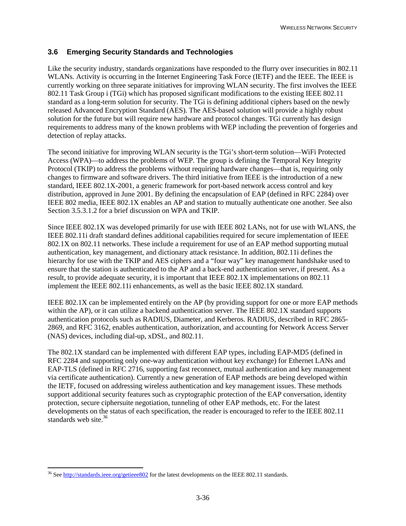#### **3.6 Emerging Security Standards and Technologies**

Like the security industry, standards organizations have responded to the flurry over insecurities in 802.11 WLANs. Activity is occurring in the Internet Engineering Task Force (IETF) and the IEEE. The IEEE is currently working on three separate initiatives for improving WLAN security. The first involves the IEEE 802.11 Task Group i (TGi) which has proposed significant modifications to the existing IEEE 802.11 standard as a long-term solution for security. The TGi is defining additional ciphers based on the newly released Advanced Encryption Standard (AES). The AES-based solution will provide a highly robust solution for the future but will require new hardware and protocol changes. TGi currently has design requirements to address many of the known problems with WEP including the prevention of forgeries and detection of replay attacks.

The second initiative for improving WLAN security is the TGi's short-term solution—WiFi Protected Access (WPA)—to address the problems of WEP. The group is defining the Temporal Key Integrity Protocol (TKIP) to address the problems without requiring hardware changes—that is, requiring only changes to firmware and software drivers. The third initiative from IEEE is the introduction of a new standard, IEEE 802.1X-2001, a generic framework for port-based network access control and key distribution, approved in June 2001. By defining the encapsulation of EAP (defined in RFC 2284) over IEEE 802 media, IEEE 802.1X enables an AP and station to mutually authenticate one another. See also Section 3.5.3.1.2 for a brief discussion on WPA and TKIP.

Since IEEE 802.1X was developed primarily for use with IEEE 802 LANs, not for use with WLANS, the IEEE 802.11i draft standard defines additional capabilities required for secure implementation of IEEE 802.1X on 802.11 networks. These include a requirement for use of an EAP method supporting mutual authentication, key management, and dictionary attack resistance. In addition, 802.11i defines the hierarchy for use with the TKIP and AES ciphers and a "four way" key management handshake used to ensure that the station is authenticated to the AP and a back-end authentication server, if present. As a result, to provide adequate security, it is important that IEEE 802.1X implementations on 802.11 implement the IEEE 802.11i enhancements, as well as the basic IEEE 802.1X standard.

IEEE 802.1X can be implemented entirely on the AP (by providing support for one or more EAP methods within the AP), or it can utilize a backend authentication server. The IEEE 802.1X standard supports authentication protocols such as RADIUS, Diameter, and Kerberos. RADIUS, described in RFC 2865- 2869, and RFC 3162, enables authentication, authorization, and accounting for Network Access Server (NAS) devices, including dial-up, xDSL, and 802.11.

The 802.1X standard can be implemented with different EAP types, including EAP-MD5 (defined in RFC 2284 and supporting only one-way authentication without key exchange) for Ethernet LANs and EAP-TLS (defined in RFC 2716, supporting fast reconnect, mutual authentication and key management via certificate authentication). Currently a new generation of EAP methods are being developed within the IETF, focused on addressing wireless authentication and key management issues. These methods support additional security features such as cryptographic protection of the EAP conversation, identity protection, secure ciphersuite negotiation, tunneling of other EAP methods, etc. For the latest developments on the status of each specification, the reader is encouraged to refer to the IEEE 802.11 standards web site. $36$ 

l

<sup>&</sup>lt;sup>36</sup> See http://standards.ieee.org/getieee802 for the latest developments on the IEEE 802.11 standards.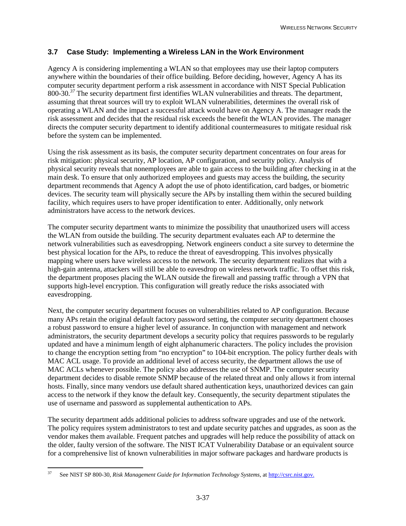# **3.7 Case Study: Implementing a Wireless LAN in the Work Environment**

Agency A is considering implementing a WLAN so that employees may use their laptop computers anywhere within the boundaries of their office building. Before deciding, however, Agency A has its computer security department perform a risk assessment in accordance with NIST Special Publication 800-30.*<sup>37</sup>* The security department first identifies WLAN vulnerabilities and threats. The department, assuming that threat sources will try to exploit WLAN vulnerabilities, determines the overall risk of operating a WLAN and the impact a successful attack would have on Agency A. The manager reads the risk assessment and decides that the residual risk exceeds the benefit the WLAN provides. The manager directs the computer security department to identify additional countermeasures to mitigate residual risk before the system can be implemented.

Using the risk assessment as its basis, the computer security department concentrates on four areas for risk mitigation: physical security, AP location, AP configuration, and security policy. Analysis of physical security reveals that nonemployees are able to gain access to the building after checking in at the main desk. To ensure that only authorized employees and guests may access the building, the security department recommends that Agency A adopt the use of photo identification, card badges, or biometric devices. The security team will physically secure the APs by installing them within the secured building facility, which requires users to have proper identification to enter. Additionally, only network administrators have access to the network devices.

The computer security department wants to minimize the possibility that unauthorized users will access the WLAN from outside the building. The security department evaluates each AP to determine the network vulnerabilities such as eavesdropping. Network engineers conduct a site survey to determine the best physical location for the APs, to reduce the threat of eavesdropping. This involves physically mapping where users have wireless access to the network. The security department realizes that with a high-gain antenna, attackers will still be able to eavesdrop on wireless network traffic. To offset this risk, the department proposes placing the WLAN outside the firewall and passing traffic through a VPN that supports high-level encryption. This configuration will greatly reduce the risks associated with eavesdropping.

Next, the computer security department focuses on vulnerabilities related to AP configuration. Because many APs retain the original default factory password setting, the computer security department chooses a robust password to ensure a higher level of assurance. In conjunction with management and network administrators, the security department develops a security policy that requires passwords to be regularly updated and have a minimum length of eight alphanumeric characters. The policy includes the provision to change the encryption setting from "no encryption" to 104-bit encryption. The policy further deals with MAC ACL usage. To provide an additional level of access security, the department allows the use of MAC ACLs whenever possible. The policy also addresses the use of SNMP. The computer security department decides to disable remote SNMP because of the related threat and only allows it from internal hosts. Finally, since many vendors use default shared authentication keys, unauthorized devices can gain access to the network if they know the default key. Consequently, the security department stipulates the use of username and password as supplemental authentication to APs.

The security department adds additional policies to address software upgrades and use of the network. The policy requires system administrators to test and update security patches and upgrades, as soon as the vendor makes them available. Frequent patches and upgrades will help reduce the possibility of attack on the older, faulty version of the software. The NIST ICAT Vulnerability Database or an equivalent source for a comprehensive list of known vulnerabilities in major software packages and hardware products is

<sup>37</sup> 37 See NIST SP 800-30, *Risk Management Guide for Information Technology Systems,* at http://csrc.nist.gov.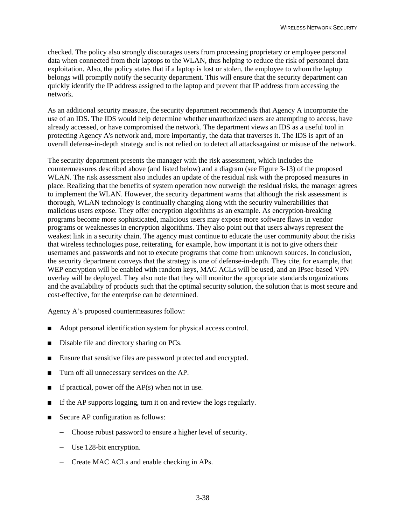checked. The policy also strongly discourages users from processing proprietary or employee personal data when connected from their laptops to the WLAN, thus helping to reduce the risk of personnel data exploitation. Also, the policy states that if a laptop is lost or stolen, the employee to whom the laptop belongs will promptly notify the security department. This will ensure that the security department can quickly identify the IP address assigned to the laptop and prevent that IP address from accessing the network.

As an additional security measure, the security department recommends that Agency A incorporate the use of an IDS. The IDS would help determine whether unauthorized users are attempting to access, have already accessed, or have compromised the network. The department views an IDS as a useful tool in protecting Agency A's network and, more importantly, the data that traverses it. The IDS is aprt of an overall defense-in-depth strategy and is not relied on to detect all attacksagainst or misuse of the network.

The security department presents the manager with the risk assessment, which includes the countermeasures described above (and listed below) and a diagram (see Figure 3-13) of the proposed WLAN. The risk assessment also includes an update of the residual risk with the proposed measures in place. Realizing that the benefits of system operation now outweigh the residual risks, the manager agrees to implement the WLAN. However, the security department warns that although the risk assessment is thorough, WLAN technology is continually changing along with the security vulnerabilities that malicious users expose. They offer encryption algorithms as an example. As encryption-breaking programs become more sophisticated, malicious users may expose more software flaws in vendor programs or weaknesses in encryption algorithms. They also point out that users always represent the weakest link in a security chain. The agency must continue to educate the user community about the risks that wireless technologies pose, reiterating, for example, how important it is not to give others their usernames and passwords and not to execute programs that come from unknown sources. In conclusion, the security department conveys that the strategy is one of defense-in-depth. They cite, for example, that WEP encryption will be enabled with random keys, MAC ACLs will be used, and an IPsec-based VPN overlay will be deployed. They also note that they will monitor the appropriate standards organizations and the availability of products such that the optimal security solution, the solution that is most secure and cost-effective, for the enterprise can be determined.

Agency A's proposed countermeasures follow:

- Adopt personal identification system for physical access control.
- **I.** Disable file and directory sharing on PCs.
- **Ensure that sensitive files are password protected and encrypted.**
- ! Turn off all unnecessary services on the AP.
- $\blacksquare$  If practical, power off the AP(s) when not in use.
- ! If the AP supports logging, turn it on and review the logs regularly.
- Secure AP configuration as follows:
	- Choose robust password to ensure a higher level of security.
	- Use 128-bit encryption.
	- Create MAC ACLs and enable checking in APs.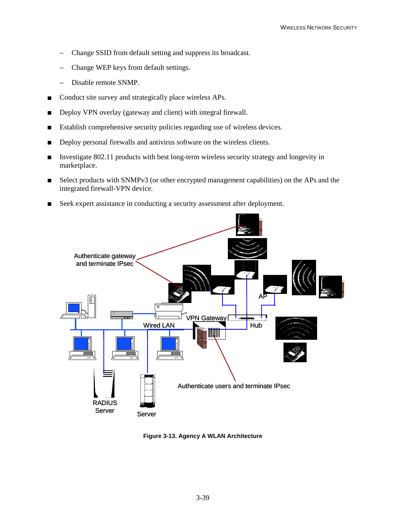- Change SSID from default setting and suppress its broadcast.
- Change WEP keys from default settings.
- Disable remote SNMP.
- Conduct site survey and strategically place wireless APs.
- **Deploy VPN overlay (gateway and client) with integral firewall.**
- **Establish comprehensive security policies regarding use of wireless devices.**
- **Deploy personal firewalls and antivirus software on the wireless clients.**
- **IDED** Investigate 802.11 products with best long-term wireless security strategy and longevity in marketplace.
- **EXECUTE:** Select products with SNMPv3 (or other encrypted management capabilities) on the APs and the integrated firewall-VPN device.
- **EXECUTE:** Seek expert assistance in conducting a security assessment after deployment.



**Figure 3-13. Agency A WLAN Architecture**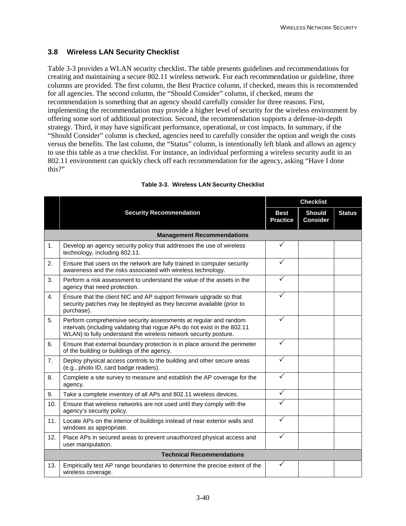#### **3.8 Wireless LAN Security Checklist**

Table 3-3 provides a WLAN security checklist. The table presents guidelines and recommendations for creating and maintaining a secure 802.11 wireless network. For each recommendation or guideline, three columns are provided. The first column, the Best Practice column, if checked, means this is recommended for all agencies. The second column, the "Should Consider" column, if checked, means the recommendation is something that an agency should carefully consider for three reasons. First, implementing the recommendation may provide a higher level of security for the wireless environment by offering some sort of additional protection. Second, the recommendation supports a defense-in-depth strategy. Third, it may have significant performance, operational, or cost impacts. In summary, if the "Should Consider" column is checked, agencies need to carefully consider the option and weigh the costs versus the benefits. The last column, the "Status" column, is intentionally left blank and allows an agency to use this table as a true checklist. For instance, an individual performing a wireless security audit in an 802.11 environment can quickly check off each recommendation for the agency, asking "Have I done this?"

|                |                                                                                                                                                                                                                   |                                | <b>Checklist</b>                 |               |  |
|----------------|-------------------------------------------------------------------------------------------------------------------------------------------------------------------------------------------------------------------|--------------------------------|----------------------------------|---------------|--|
|                | <b>Security Recommendation</b>                                                                                                                                                                                    | <b>Best</b><br><b>Practice</b> | <b>Should</b><br><b>Consider</b> | <b>Status</b> |  |
|                | <b>Management Recommendations</b>                                                                                                                                                                                 |                                |                                  |               |  |
| 1.             | Develop an agency security policy that addresses the use of wireless<br>technology, including 802.11.                                                                                                             | ✓                              |                                  |               |  |
| 2.             | Ensure that users on the network are fully trained in computer security<br>awareness and the risks associated with wireless technology.                                                                           | ✓                              |                                  |               |  |
| 3.             | Perform a risk assessment to understand the value of the assets in the<br>agency that need protection.                                                                                                            | $\checkmark$                   |                                  |               |  |
| $\mathbf{4}$ . | Ensure that the client NIC and AP support firmware upgrade so that<br>security patches may be deployed as they become available (prior to<br>purchase).                                                           | ✓                              |                                  |               |  |
| 5.             | Perform comprehensive security assessments at regular and random<br>intervals (including validating that rogue APs do not exist in the 802.11<br>WLAN) to fully understand the wireless network security posture. | $\checkmark$                   |                                  |               |  |
| 6.             | Ensure that external boundary protection is in place around the perimeter<br>of the building or buildings of the agency.                                                                                          | ✓                              |                                  |               |  |
| 7 <sub>1</sub> | Deploy physical access controls to the building and other secure areas<br>(e.g., photo ID, card badge readers).                                                                                                   | ✓                              |                                  |               |  |
| 8.             | Complete a site survey to measure and establish the AP coverage for the<br>agency.                                                                                                                                | $\checkmark$                   |                                  |               |  |
| 9.             | Take a complete inventory of all APs and 802.11 wireless devices.                                                                                                                                                 | $\checkmark$                   |                                  |               |  |
| 10.            | Ensure that wireless networks are not used until they comply with the<br>agency's security policy.                                                                                                                | ✓                              |                                  |               |  |
| 11.            | Locate APs on the interior of buildings instead of near exterior walls and<br>windows as appropriate.                                                                                                             | ✓                              |                                  |               |  |
| 12.            | Place APs in secured areas to prevent unauthorized physical access and<br>user manipulation.                                                                                                                      | $\checkmark$                   |                                  |               |  |
|                | <b>Technical Recommendations</b>                                                                                                                                                                                  |                                |                                  |               |  |
| 13.            | Empirically test AP range boundaries to determine the precise extent of the<br>wireless coverage.                                                                                                                 | $\checkmark$                   |                                  |               |  |

#### **Table 3-3. Wireless LAN Security Checklist**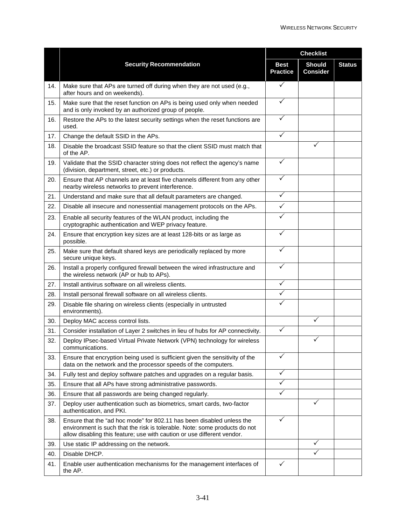|     |                                                                                                                                                                                                                                |                                | <b>Checklist</b>                 |               |  |
|-----|--------------------------------------------------------------------------------------------------------------------------------------------------------------------------------------------------------------------------------|--------------------------------|----------------------------------|---------------|--|
|     | <b>Security Recommendation</b>                                                                                                                                                                                                 | <b>Best</b><br><b>Practice</b> | <b>Should</b><br><b>Consider</b> | <b>Status</b> |  |
| 14. | Make sure that APs are turned off during when they are not used (e.g.,<br>after hours and on weekends).                                                                                                                        | $\checkmark$                   |                                  |               |  |
| 15. | Make sure that the reset function on APs is being used only when needed<br>and is only invoked by an authorized group of people.                                                                                               | $\checkmark$                   |                                  |               |  |
| 16. | Restore the APs to the latest security settings when the reset functions are<br>used.                                                                                                                                          | ✓                              |                                  |               |  |
| 17. | Change the default SSID in the APs.                                                                                                                                                                                            | $\checkmark$                   |                                  |               |  |
| 18. | Disable the broadcast SSID feature so that the client SSID must match that<br>of the AP.                                                                                                                                       |                                | ✓                                |               |  |
| 19. | Validate that the SSID character string does not reflect the agency's name<br>(division, department, street, etc.) or products.                                                                                                | $\checkmark$                   |                                  |               |  |
| 20. | Ensure that AP channels are at least five channels different from any other<br>nearby wireless networks to prevent interference.                                                                                               | ✓                              |                                  |               |  |
| 21. | Understand and make sure that all default parameters are changed.                                                                                                                                                              | ✓                              |                                  |               |  |
| 22. | Disable all insecure and nonessential management protocols on the APs.                                                                                                                                                         | $\checkmark$                   |                                  |               |  |
| 23. | Enable all security features of the WLAN product, including the<br>cryptographic authentication and WEP privacy feature.                                                                                                       | ✓                              |                                  |               |  |
| 24. | Ensure that encryption key sizes are at least 128-bits or as large as<br>possible.                                                                                                                                             | ✓                              |                                  |               |  |
| 25. | Make sure that default shared keys are periodically replaced by more<br>secure unique keys.                                                                                                                                    | ✓                              |                                  |               |  |
| 26. | Install a properly configured firewall between the wired infrastructure and<br>the wireless network (AP or hub to APs).                                                                                                        | ✓                              |                                  |               |  |
| 27. | Install antivirus software on all wireless clients.                                                                                                                                                                            | ✓                              |                                  |               |  |
| 28. | Install personal firewall software on all wireless clients.                                                                                                                                                                    | $\checkmark$                   |                                  |               |  |
| 29. | Disable file sharing on wireless clients (especially in untrusted<br>environments).                                                                                                                                            | ✓                              |                                  |               |  |
| 30. | Deploy MAC access control lists.                                                                                                                                                                                               |                                | ✓                                |               |  |
| 31. | Consider installation of Layer 2 switches in lieu of hubs for AP connectivity.                                                                                                                                                 | $\checkmark$                   |                                  |               |  |
| 32. | Deploy IPsec-based Virtual Private Network (VPN) technology for wireless<br>communications.                                                                                                                                    |                                | ✓                                |               |  |
| 33. | Ensure that encryption being used is sufficient given the sensitivity of the<br>data on the network and the processor speeds of the computers.                                                                                 | $\checkmark$                   |                                  |               |  |
| 34. | Fully test and deploy software patches and upgrades on a regular basis.                                                                                                                                                        | $\checkmark$                   |                                  |               |  |
| 35. | Ensure that all APs have strong administrative passwords.                                                                                                                                                                      | ✓                              |                                  |               |  |
| 36. | Ensure that all passwords are being changed regularly.                                                                                                                                                                         | $\checkmark$                   |                                  |               |  |
| 37. | Deploy user authentication such as biometrics, smart cards, two-factor<br>authentication, and PKI.                                                                                                                             |                                | ✓                                |               |  |
| 38. | Ensure that the "ad hoc mode" for 802.11 has been disabled unless the<br>environment is such that the risk is tolerable. Note: some products do not<br>allow disabling this feature; use with caution or use different vendor. | $\checkmark$                   |                                  |               |  |
| 39. | Use static IP addressing on the network.                                                                                                                                                                                       |                                | ✓                                |               |  |
| 40. | Disable DHCP.                                                                                                                                                                                                                  |                                | $\checkmark$                     |               |  |
| 41. | Enable user authentication mechanisms for the management interfaces of<br>the AP.                                                                                                                                              | $\checkmark$                   |                                  |               |  |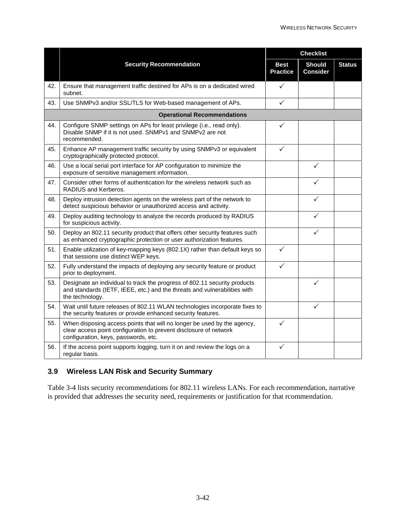|     |                                                                                                                                                                                      |                                | <b>Checklist</b>                 |               |  |
|-----|--------------------------------------------------------------------------------------------------------------------------------------------------------------------------------------|--------------------------------|----------------------------------|---------------|--|
|     | <b>Security Recommendation</b>                                                                                                                                                       | <b>Best</b><br><b>Practice</b> | <b>Should</b><br><b>Consider</b> | <b>Status</b> |  |
| 42. | Ensure that management traffic destined for APs is on a dedicated wired<br>subnet.                                                                                                   | $\checkmark$                   |                                  |               |  |
| 43. | Use SNMPv3 and/or SSL/TLS for Web-based management of APs.                                                                                                                           | ✓                              |                                  |               |  |
|     | <b>Operational Recommendations</b>                                                                                                                                                   |                                |                                  |               |  |
| 44. | Configure SNMP settings on APs for least privilege (i.e., read only).<br>Disable SNMP if it is not used. SNMPv1 and SNMPv2 are not<br>recommended.                                   | ✓                              |                                  |               |  |
| 45. | Enhance AP management traffic security by using SNMPv3 or equivalent<br>cryptographically protected protocol.                                                                        | $\checkmark$                   |                                  |               |  |
| 46. | Use a local serial port interface for AP configuration to minimize the<br>exposure of sensitive management information.                                                              |                                | ✓                                |               |  |
| 47. | Consider other forms of authentication for the wireless network such as<br>RADIUS and Kerberos.                                                                                      |                                | ✓                                |               |  |
| 48. | Deploy intrusion detection agents on the wireless part of the network to<br>detect suspicious behavior or unauthorized access and activity.                                          |                                | ✓                                |               |  |
| 49. | Deploy auditing technology to analyze the records produced by RADIUS<br>for suspicious activity.                                                                                     |                                | ✓                                |               |  |
| 50. | Deploy an 802.11 security product that offers other security features such<br>as enhanced cryptographic protection or user authorization features.                                   |                                | ✓                                |               |  |
| 51. | Enable utilization of key-mapping keys (802.1X) rather than default keys so<br>that sessions use distinct WEP keys.                                                                  | ✓                              |                                  |               |  |
| 52. | Fully understand the impacts of deploying any security feature or product<br>prior to deployment.                                                                                    | ✓                              |                                  |               |  |
| 53. | Designate an individual to track the progress of 802.11 security products<br>and standards (IETF, IEEE, etc.) and the threats and vulnerabilities with<br>the technology.            |                                | ✓                                |               |  |
| 54. | Wait until future releases of 802.11 WLAN technologies incorporate fixes to<br>the security features or provide enhanced security features.                                          |                                | ✓                                |               |  |
| 55. | When disposing access points that will no longer be used by the agency,<br>clear access point configuration to prevent disclosure of network<br>configuration, keys, passwords, etc. | ✓                              |                                  |               |  |
| 56. | If the access point supports logging, turn it on and review the logs on a<br>regular basis.                                                                                          | ✓                              |                                  |               |  |

# **3.9 Wireless LAN Risk and Security Summary**

Table 3-4 lists security recommendations for 802.11 wireless LANs. For each recommendation, narrative is provided that addresses the security need, requirements or justification for that rcommendation.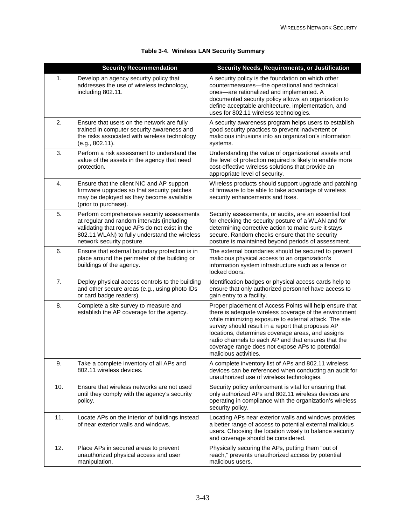|                  | <b>Security Recommendation</b>                                                                                                                                                                                          | Security Needs, Requirements, or Justification                                                                                                                                                                                                                                                                                                                                                                           |
|------------------|-------------------------------------------------------------------------------------------------------------------------------------------------------------------------------------------------------------------------|--------------------------------------------------------------------------------------------------------------------------------------------------------------------------------------------------------------------------------------------------------------------------------------------------------------------------------------------------------------------------------------------------------------------------|
| 1.               | Develop an agency security policy that<br>addresses the use of wireless technology,<br>including 802.11.                                                                                                                | A security policy is the foundation on which other<br>countermeasures-the operational and technical<br>ones-are rationalized and implemented. A<br>documented security policy allows an organization to<br>define acceptable architecture, implementation, and<br>uses for 802.11 wireless technologies.                                                                                                                 |
| 2.               | Ensure that users on the network are fully<br>trained in computer security awareness and<br>the risks associated with wireless technology<br>(e.g., 802.11).                                                            | A security awareness program helps users to establish<br>good security practices to prevent inadvertent or<br>malicious intrusions into an organization's information<br>systems.                                                                                                                                                                                                                                        |
| 3.               | Perform a risk assessment to understand the<br>value of the assets in the agency that need<br>protection.                                                                                                               | Understanding the value of organizational assets and<br>the level of protection required is likely to enable more<br>cost-effective wireless solutions that provide an<br>appropriate level of security.                                                                                                                                                                                                                 |
| $\overline{4}$ . | Ensure that the client NIC and AP support<br>firmware upgrades so that security patches<br>may be deployed as they become available<br>(prior to purchase).                                                             | Wireless products should support upgrade and patching<br>of firmware to be able to take advantage of wireless<br>security enhancements and fixes.                                                                                                                                                                                                                                                                        |
| 5.               | Perform comprehensive security assessments<br>at regular and random intervals (including<br>validating that rogue APs do not exist in the<br>802.11 WLAN) to fully understand the wireless<br>network security posture. | Security assessments, or audits, are an essential tool<br>for checking the security posture of a WLAN and for<br>determining corrective action to make sure it stays<br>secure. Random checks ensure that the security<br>posture is maintained beyond periods of assessment.                                                                                                                                            |
| 6.               | Ensure that external boundary protection is in<br>place around the perimeter of the building or<br>buildings of the agency.                                                                                             | The external boundaries should be secured to prevent<br>malicious physical access to an organization's<br>information system infrastructure such as a fence or<br>locked doors.                                                                                                                                                                                                                                          |
| 7.               | Deploy physical access controls to the building<br>and other secure areas (e.g., using photo IDs<br>or card badge readers).                                                                                             | Identification badges or physical access cards help to<br>ensure that only authorized personnel have access to<br>gain entry to a facility.                                                                                                                                                                                                                                                                              |
| 8.               | Complete a site survey to measure and<br>establish the AP coverage for the agency.                                                                                                                                      | Proper placement of Access Points will help ensure that<br>there is adequate wireless coverage of the environment<br>while minimizing exposure to external attack. The site<br>survey should result in a report that proposes AP<br>locations, determines coverage areas, and assigns<br>radio channels to each AP and that ensures that the<br>coverage range does not expose APs to potential<br>malicious activities. |
| 9.               | Take a complete inventory of all APs and<br>802.11 wireless devices.                                                                                                                                                    | A complete inventory list of APs and 802.11 wireless<br>devices can be referenced when conducting an audit for<br>unauthorized use of wireless technologies.                                                                                                                                                                                                                                                             |
| 10.              | Ensure that wireless networks are not used<br>until they comply with the agency's security<br>policy.                                                                                                                   | Security policy enforcement is vital for ensuring that<br>only authorized APs and 802.11 wireless devices are<br>operating in compliance with the organization's wireless<br>security policy.                                                                                                                                                                                                                            |
| 11.              | Locate APs on the interior of buildings instead<br>of near exterior walls and windows.                                                                                                                                  | Locating APs near exterior walls and windows provides<br>a better range of access to potential external malicious<br>users. Choosing the location wisely to balance security<br>and coverage should be considered.                                                                                                                                                                                                       |
| 12.              | Place APs in secured areas to prevent<br>unauthorized physical access and user<br>manipulation.                                                                                                                         | Physically securing the APs, putting them "out of<br>reach," prevents unauthorized access by potential<br>malicious users.                                                                                                                                                                                                                                                                                               |

#### **Table 3-4. Wireless LAN Security Summary**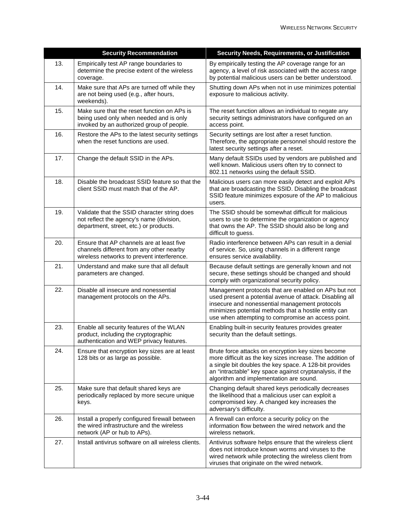|     | <b>Security Recommendation</b>                                                                                                      | Security Needs, Requirements, or Justification                                                                                                                                                                                                                                    |
|-----|-------------------------------------------------------------------------------------------------------------------------------------|-----------------------------------------------------------------------------------------------------------------------------------------------------------------------------------------------------------------------------------------------------------------------------------|
| 13. | Empirically test AP range boundaries to<br>determine the precise extent of the wireless<br>coverage.                                | By empirically testing the AP coverage range for an<br>agency, a level of risk associated with the access range<br>by potential malicious users can be better understood.                                                                                                         |
| 14. | Make sure that APs are turned off while they<br>are not being used (e.g., after hours,<br>weekends).                                | Shutting down APs when not in use minimizes potential<br>exposure to malicious activity.                                                                                                                                                                                          |
| 15. | Make sure that the reset function on APs is<br>being used only when needed and is only<br>invoked by an authorized group of people. | The reset function allows an individual to negate any<br>security settings administrators have configured on an<br>access point.                                                                                                                                                  |
| 16. | Restore the APs to the latest security settings<br>when the reset functions are used.                                               | Security settings are lost after a reset function.<br>Therefore, the appropriate personnel should restore the<br>latest security settings after a reset.                                                                                                                          |
| 17. | Change the default SSID in the APs.                                                                                                 | Many default SSIDs used by vendors are published and<br>well known. Malicious users often try to connect to<br>802.11 networks using the default SSID.                                                                                                                            |
| 18. | Disable the broadcast SSID feature so that the<br>client SSID must match that of the AP.                                            | Malicious users can more easily detect and exploit APs<br>that are broadcasting the SSID. Disabling the broadcast<br>SSID feature minimizes exposure of the AP to malicious<br>users.                                                                                             |
| 19. | Validate that the SSID character string does<br>not reflect the agency's name (division,<br>department, street, etc.) or products.  | The SSID should be somewhat difficult for malicious<br>users to use to determine the organization or agency<br>that owns the AP. The SSID should also be long and<br>difficult to guess.                                                                                          |
| 20. | Ensure that AP channels are at least five<br>channels different from any other nearby<br>wireless networks to prevent interference. | Radio interference between APs can result in a denial<br>of service. So, using channels in a different range<br>ensures service availability.                                                                                                                                     |
| 21. | Understand and make sure that all default<br>parameters are changed.                                                                | Because default settings are generally known and not<br>secure, these settings should be changed and should<br>comply with organizational security policy.                                                                                                                        |
| 22. | Disable all insecure and nonessential<br>management protocols on the APs.                                                           | Management protocols that are enabled on APs but not<br>used present a potential avenue of attack. Disabling all<br>insecure and nonessential management protocols<br>minimizes potential methods that a hostile entity can<br>use when attempting to compromise an access point. |
| 23. | Enable all security features of the WLAN<br>product, including the cryptographic<br>authentication and WEP privacy features.        | Enabling built-in security features provides greater<br>security than the default settings.                                                                                                                                                                                       |
| 24. | Ensure that encryption key sizes are at least<br>128 bits or as large as possible.                                                  | Brute force attacks on encryption key sizes become<br>more difficult as the key sizes increase. The addition of<br>a single bit doubles the key space. A 128-bit provides<br>an "intractable" key space against cryptanalysis, if the<br>algorithm and implementation are sound.  |
| 25. | Make sure that default shared keys are<br>periodically replaced by more secure unique<br>keys.                                      | Changing default shared keys periodically decreases<br>the likelihood that a malicious user can exploit a<br>compromised key. A changed key increases the<br>adversary's difficulty.                                                                                              |
| 26. | Install a properly configured firewall between<br>the wired infrastructure and the wireless<br>network (AP or hub to APs).          | A firewall can enforce a security policy on the<br>information flow between the wired network and the<br>wireless network.                                                                                                                                                        |
| 27. | Install antivirus software on all wireless clients.                                                                                 | Antivirus software helps ensure that the wireless client<br>does not introduce known worms and viruses to the<br>wired network while protecting the wireless client from<br>viruses that originate on the wired network.                                                          |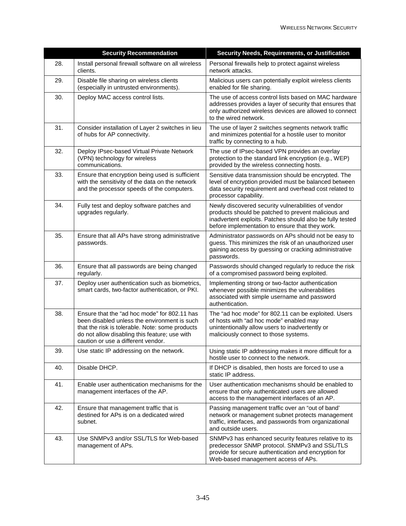|     | <b>Security Recommendation</b>                                                                                                                                                                                                         | Security Needs, Requirements, or Justification                                                                                                                                                                             |
|-----|----------------------------------------------------------------------------------------------------------------------------------------------------------------------------------------------------------------------------------------|----------------------------------------------------------------------------------------------------------------------------------------------------------------------------------------------------------------------------|
| 28. | Install personal firewall software on all wireless<br>clients.                                                                                                                                                                         | Personal firewalls help to protect against wireless<br>network attacks.                                                                                                                                                    |
| 29. | Disable file sharing on wireless clients<br>(especially in untrusted environments).                                                                                                                                                    | Malicious users can potentially exploit wireless clients<br>enabled for file sharing.                                                                                                                                      |
| 30. | Deploy MAC access control lists.                                                                                                                                                                                                       | The use of access control lists based on MAC hardware<br>addresses provides a layer of security that ensures that<br>only authorized wireless devices are allowed to connect<br>to the wired network.                      |
| 31. | Consider installation of Layer 2 switches in lieu<br>of hubs for AP connectivity.                                                                                                                                                      | The use of layer 2 switches segments network traffic<br>and minimizes potential for a hostile user to monitor<br>traffic by connecting to a hub.                                                                           |
| 32. | Deploy IPsec-based Virtual Private Network<br>(VPN) technology for wireless<br>communications.                                                                                                                                         | The use of IPsec-based VPN provides an overlay<br>protection to the standard link encryption (e.g., WEP)<br>provided by the wireless connecting hosts.                                                                     |
| 33. | Ensure that encryption being used is sufficient<br>with the sensitivity of the data on the network<br>and the processor speeds of the computers.                                                                                       | Sensitive data transmission should be encrypted. The<br>level of encryption provided must be balanced between<br>data security requirement and overhead cost related to<br>processor capability.                           |
| 34. | Fully test and deploy software patches and<br>upgrades regularly.                                                                                                                                                                      | Newly discovered security vulnerabilities of vendor<br>products should be patched to prevent malicious and<br>inadvertent exploits. Patches should also be fully tested<br>before implementation to ensure that they work. |
| 35. | Ensure that all APs have strong administrative<br>passwords.                                                                                                                                                                           | Administrator passwords on APs should not be easy to<br>guess. This minimizes the risk of an unauthorized user<br>gaining access by guessing or cracking administrative<br>passwords.                                      |
| 36. | Ensure that all passwords are being changed<br>regularly.                                                                                                                                                                              | Passwords should changed regularly to reduce the risk<br>of a compromised password being exploited.                                                                                                                        |
| 37. | Deploy user authentication such as biometrics,<br>smart cards, two-factor authentication, or PKI.                                                                                                                                      | Implementing strong or two-factor authentication<br>whenever possible minimizes the vulnerabilities<br>associated with simple username and password<br>authentication.                                                     |
| 38. | Ensure that the "ad hoc mode" for 802.11 has<br>been disabled unless the environment is such<br>that the risk is tolerable. Note: some products<br>do not allow disabling this feature; use with<br>caution or use a different vendor. | The "ad hoc mode" for 802.11 can be exploited. Users<br>of hosts with "ad hoc mode" enabled may<br>unintentionally allow users to inadvertently or<br>maliciously connect to those systems.                                |
| 39. | Use static IP addressing on the network.                                                                                                                                                                                               | Using static IP addressing makes it more difficult for a<br>hostile user to connect to the network.                                                                                                                        |
| 40. | Disable DHCP.                                                                                                                                                                                                                          | If DHCP is disabled, then hosts are forced to use a<br>static IP address.                                                                                                                                                  |
| 41. | Enable user authentication mechanisms for the<br>management interfaces of the AP.                                                                                                                                                      | User authentication mechanisms should be enabled to<br>ensure that only authenticated users are allowed<br>access to the management interfaces of an AP.                                                                   |
| 42. | Ensure that management traffic that is<br>destined for APs is on a dedicated wired<br>subnet.                                                                                                                                          | Passing management traffic over an "out of band"<br>network or management subnet protects management<br>traffic, interfaces, and passwords from organizational<br>and outside users.                                       |
| 43. | Use SNMPv3 and/or SSL/TLS for Web-based<br>management of APs.                                                                                                                                                                          | SNMPv3 has enhanced security features relative to its<br>predecessor SNMP protocol. SNMPv3 and SSL/TLS<br>provide for secure authentication and encryption for<br>Web-based management access of APs.                      |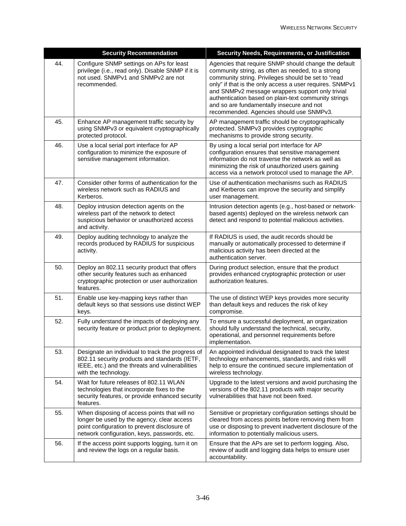|     | <b>Security Recommendation</b>                                                                                                                                                             | Security Needs, Requirements, or Justification                                                                                                                                                                                                                                                                                                                                                                                    |
|-----|--------------------------------------------------------------------------------------------------------------------------------------------------------------------------------------------|-----------------------------------------------------------------------------------------------------------------------------------------------------------------------------------------------------------------------------------------------------------------------------------------------------------------------------------------------------------------------------------------------------------------------------------|
| 44. | Configure SNMP settings on APs for least<br>privilege (i.e., read only). Disable SNMP if it is<br>not used. SNMPv1 and SNMPv2 are not<br>recommended.                                      | Agencies that require SNMP should change the default<br>community string, as often as needed, to a strong<br>community string. Privileges should be set to "read<br>only" if that is the only access a user requires. SNMPv1<br>and SNMPv2 message wrappers support only trivial<br>authentication based on plain-text community strings<br>and so are fundamentally insecure and not<br>recommended. Agencies should use SNMPv3. |
| 45. | Enhance AP management traffic security by<br>using SNMPv3 or equivalent cryptographically<br>protected protocol.                                                                           | AP management traffic should be cryptographically<br>protected. SNMPv3 provides cryptographic<br>mechanisms to provide strong security.                                                                                                                                                                                                                                                                                           |
| 46. | Use a local serial port interface for AP<br>configuration to minimize the exposure of<br>sensitive management information.                                                                 | By using a local serial port interface for AP<br>configuration ensures that sensitive management<br>information do not traverse the network as well as<br>minimizing the risk of unauthorized users gaining<br>access via a network protocol used to manage the AP.                                                                                                                                                               |
| 47. | Consider other forms of authentication for the<br>wireless network such as RADIUS and<br>Kerberos.                                                                                         | Use of authentication mechanisms such as RADIUS<br>and Kerberos can improve the security and simplify<br>user management.                                                                                                                                                                                                                                                                                                         |
| 48. | Deploy intrusion detection agents on the<br>wireless part of the network to detect<br>suspicious behavior or unauthorized access<br>and activity.                                          | Intrusion detection agents (e.g., host-based or network-<br>based agents) deployed on the wireless network can<br>detect and respond to potential malicious activities.                                                                                                                                                                                                                                                           |
| 49. | Deploy auditing technology to analyze the<br>records produced by RADIUS for suspicious<br>activity.                                                                                        | If RADIUS is used, the audit records should be<br>manually or automatically processed to determine if<br>malicious activity has been directed at the<br>authentication server.                                                                                                                                                                                                                                                    |
| 50. | Deploy an 802.11 security product that offers<br>other security features such as enhanced<br>cryptographic protection or user authorization<br>features.                                   | During product selection, ensure that the product<br>provides enhanced cryptographic protection or user<br>authorization features.                                                                                                                                                                                                                                                                                                |
| 51. | Enable use key-mapping keys rather than<br>default keys so that sessions use distinct WEP<br>keys.                                                                                         | The use of distinct WEP keys provides more security<br>than default keys and reduces the risk of key<br>compromise.                                                                                                                                                                                                                                                                                                               |
| 52. | Fully understand the impacts of deploying any<br>security feature or product prior to deployment.                                                                                          | To ensure a successful deployment, an organization<br>should fully understand the technical, security,<br>operational, and personnel requirements before<br>implementation.                                                                                                                                                                                                                                                       |
| 53. | Designate an individual to track the progress of<br>802.11 security products and standards (IETF,<br>IEEE, etc.) and the threats and vulnerabilities<br>with the technology.               | An appointed individual designated to track the latest<br>technology enhancements, standards, and risks will<br>help to ensure the continued secure implementation of<br>wireless technology.                                                                                                                                                                                                                                     |
| 54. | Wait for future releases of 802.11 WLAN<br>technologies that incorporate fixes to the<br>security features, or provide enhanced security<br>features.                                      | Upgrade to the latest versions and avoid purchasing the<br>versions of the 802.11 products with major security<br>vulnerabilities that have not been fixed.                                                                                                                                                                                                                                                                       |
| 55. | When disposing of access points that will no<br>longer be used by the agency, clear access<br>point configuration to prevent disclosure of<br>network configuration, keys, passwords, etc. | Sensitive or proprietary configuration settings should be<br>cleared from access points before removing them from<br>use or disposing to prevent inadvertent disclosure of the<br>information to potentially malicious users.                                                                                                                                                                                                     |
| 56. | If the access point supports logging, turn it on<br>and review the logs on a regular basis.                                                                                                | Ensure that the APs are set to perform logging. Also,<br>review of audit and logging data helps to ensure user<br>accountability.                                                                                                                                                                                                                                                                                                 |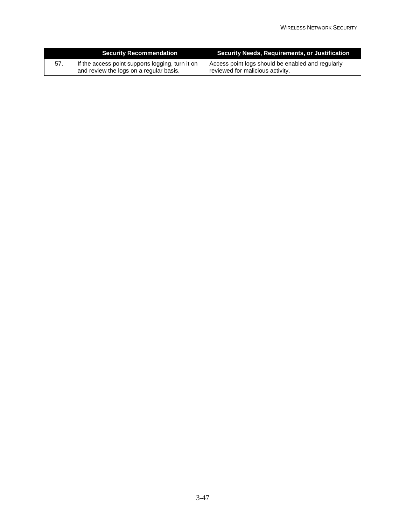|     | Security Recommendation                                                                     | Security Needs, Requirements, or Justification                                        |
|-----|---------------------------------------------------------------------------------------------|---------------------------------------------------------------------------------------|
| 57. | If the access point supports logging, turn it on<br>and review the logs on a regular basis. | Access point logs should be enabled and regularly<br>reviewed for malicious activity. |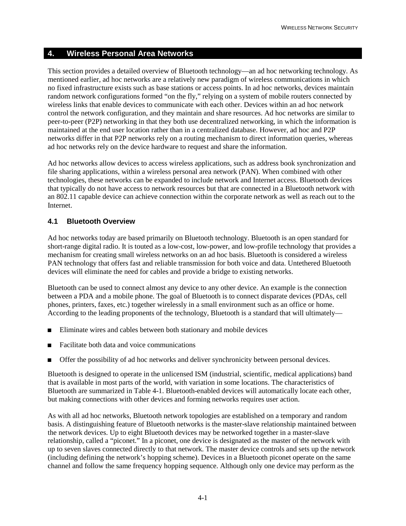#### **4. Wireless Personal Area Networks**

This section provides a detailed overview of Bluetooth technology—an ad hoc networking technology. As mentioned earlier, ad hoc networks are a relatively new paradigm of wireless communications in which no fixed infrastructure exists such as base stations or access points. In ad hoc networks, devices maintain random network configurations formed "on the fly," relying on a system of mobile routers connected by wireless links that enable devices to communicate with each other. Devices within an ad hoc network control the network configuration, and they maintain and share resources. Ad hoc networks are similar to peer-to-peer (P2P) networking in that they both use decentralized networking, in which the information is maintained at the end user location rather than in a centralized database. However, ad hoc and P2P networks differ in that P2P networks rely on a routing mechanism to direct information queries, whereas ad hoc networks rely on the device hardware to request and share the information.

Ad hoc networks allow devices to access wireless applications, such as address book synchronization and file sharing applications, within a wireless personal area network (PAN). When combined with other technologies, these networks can be expanded to include network and Internet access. Bluetooth devices that typically do not have access to network resources but that are connected in a Bluetooth network with an 802.11 capable device can achieve connection within the corporate network as well as reach out to the Internet.

#### **4.1 Bluetooth Overview**

Ad hoc networks today are based primarily on Bluetooth technology. Bluetooth is an open standard for short-range digital radio. It is touted as a low-cost, low-power, and low-profile technology that provides a mechanism for creating small wireless networks on an ad hoc basis. Bluetooth is considered a wireless PAN technology that offers fast and reliable transmission for both voice and data. Untethered Bluetooth devices will eliminate the need for cables and provide a bridge to existing networks.

Bluetooth can be used to connect almost any device to any other device. An example is the connection between a PDA and a mobile phone. The goal of Bluetooth is to connect disparate devices (PDAs, cell phones, printers, faxes, etc.) together wirelessly in a small environment such as an office or home. According to the leading proponents of the technology, Bluetooth is a standard that will ultimately—

- ! Eliminate wires and cables between both stationary and mobile devices
- ! Facilitate both data and voice communications
- **If the possibility of ad hoc networks and deliver synchronicity between personal devices.**

Bluetooth is designed to operate in the unlicensed ISM (industrial, scientific, medical applications) band that is available in most parts of the world, with variation in some locations. The characteristics of Bluetooth are summarized in Table 4-1. Bluetooth-enabled devices will automatically locate each other, but making connections with other devices and forming networks requires user action.

As with all ad hoc networks, Bluetooth network topologies are established on a temporary and random basis. A distinguishing feature of Bluetooth networks is the master-slave relationship maintained between the network devices. Up to eight Bluetooth devices may be networked together in a master-slave relationship, called a "piconet." In a piconet, one device is designated as the master of the network with up to seven slaves connected directly to that network. The master device controls and sets up the network (including defining the network's hopping scheme). Devices in a Bluetooth piconet operate on the same channel and follow the same frequency hopping sequence. Although only one device may perform as the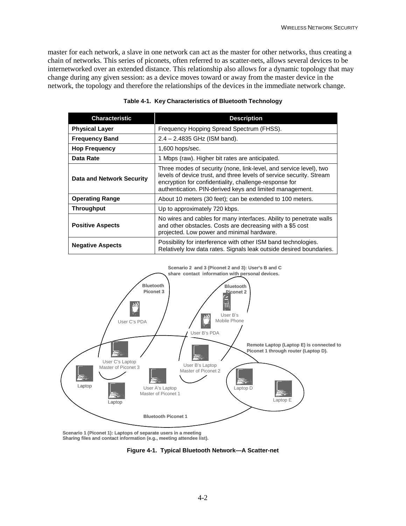master for each network, a slave in one network can act as the master for other networks, thus creating a chain of networks. This series of piconets, often referred to as scatter-nets, allows several devices to be internetworked over an extended distance. This relationship also allows for a dynamic topology that may change during any given session: as a device moves toward or away from the master device in the network, the topology and therefore the relationships of the devices in the immediate network change.

| <b>Characteristic</b>     | <b>Description</b>                                                                                                                                                                                                                                               |
|---------------------------|------------------------------------------------------------------------------------------------------------------------------------------------------------------------------------------------------------------------------------------------------------------|
| <b>Physical Layer</b>     | Frequency Hopping Spread Spectrum (FHSS).                                                                                                                                                                                                                        |
| <b>Frequency Band</b>     | $2.4 - 2.4835$ GHz (ISM band).                                                                                                                                                                                                                                   |
| <b>Hop Frequency</b>      | 1,600 hops/sec.                                                                                                                                                                                                                                                  |
| Data Rate                 | 1 Mbps (raw). Higher bit rates are anticipated.                                                                                                                                                                                                                  |
| Data and Network Security | Three modes of security (none, link-level, and service level), two<br>levels of device trust, and three levels of service security. Stream<br>encryption for confidentiality, challenge-response for<br>authentication. PIN-derived keys and limited management. |
| <b>Operating Range</b>    | About 10 meters (30 feet); can be extended to 100 meters.                                                                                                                                                                                                        |
| <b>Throughput</b>         | Up to approximately 720 kbps.                                                                                                                                                                                                                                    |
| <b>Positive Aspects</b>   | No wires and cables for many interfaces. Ability to penetrate walls<br>and other obstacles. Costs are decreasing with a \$5 cost<br>projected. Low power and minimal hardware.                                                                                   |
| <b>Negative Aspects</b>   | Possibility for interference with other ISM band technologies.<br>Relatively low data rates. Signals leak outside desired boundaries.                                                                                                                            |

#### **Table 4-1. Key Characteristics of Bluetooth Technology**



**Scenario 1 (Piconet 1): Laptops of separate users in a meeting Sharing files and contact information (e.g., meeting attendee list).**

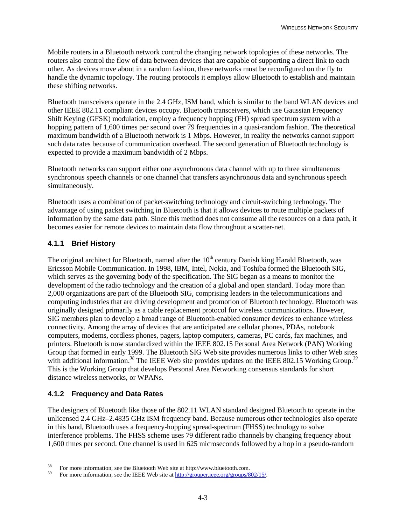Mobile routers in a Bluetooth network control the changing network topologies of these networks. The routers also control the flow of data between devices that are capable of supporting a direct link to each other. As devices move about in a random fashion, these networks must be reconfigured on the fly to handle the dynamic topology. The routing protocols it employs allow Bluetooth to establish and maintain these shifting networks.

Bluetooth transceivers operate in the 2.4 GHz, ISM band, which is similar to the band WLAN devices and other IEEE 802.11 compliant devices occupy. Bluetooth transceivers, which use Gaussian Frequency Shift Keying (GFSK) modulation, employ a frequency hopping (FH) spread spectrum system with a hopping pattern of 1,600 times per second over 79 frequencies in a quasi-random fashion. The theoretical maximum bandwidth of a Bluetooth network is 1 Mbps. However, in reality the networks cannot support such data rates because of communication overhead. The second generation of Bluetooth technology is expected to provide a maximum bandwidth of 2 Mbps.

Bluetooth networks can support either one asynchronous data channel with up to three simultaneous synchronous speech channels or one channel that transfers asynchronous data and synchronous speech simultaneously.

Bluetooth uses a combination of packet-switching technology and circuit-switching technology. The advantage of using packet switching in Bluetooth is that it allows devices to route multiple packets of information by the same data path. Since this method does not consume all the resources on a data path, it becomes easier for remote devices to maintain data flow throughout a scatter-net.

# **4.1.1 Brief History**

The original architect for Bluetooth, named after the  $10<sup>th</sup>$  century Danish king Harald Bluetooth, was Ericsson Mobile Communication. In 1998, IBM, Intel, Nokia, and Toshiba formed the Bluetooth SIG, which serves as the governing body of the specification. The SIG began as a means to monitor the development of the radio technology and the creation of a global and open standard. Today more than 2,000 organizations are part of the Bluetooth SIG, comprising leaders in the telecommunications and computing industries that are driving development and promotion of Bluetooth technology. Bluetooth was originally designed primarily as a cable replacement protocol for wireless communications. However, SIG members plan to develop a broad range of Bluetooth-enabled consumer devices to enhance wireless connectivity. Among the array of devices that are anticipated are cellular phones, PDAs, notebook computers, modems, cordless phones, pagers, laptop computers, cameras, PC cards, fax machines, and printers. Bluetooth is now standardized within the IEEE 802.15 Personal Area Network (PAN) Working Group that formed in early 1999. The Bluetooth SIG Web site provides numerous links to other Web sites with additional information.<sup>38</sup> The IEEE Web site provides updates on the IEEE 802.15 Working Group.<sup>39</sup> This is the Working Group that develops Personal Area Networking consensus standards for short distance wireless networks, or WPANs.

# **4.1.2 Frequency and Data Rates**

The designers of Bluetooth like those of the 802.11 WLAN standard designed Bluetooth to operate in the unlicensed 2.4 GHz–2.4835 GHz ISM frequency band. Because numerous other technologies also operate in this band, Bluetooth uses a frequency-hopping spread-spectrum (FHSS) technology to solve interference problems. The FHSS scheme uses 79 different radio channels by changing frequency about 1,600 times per second. One channel is used in 625 microseconds followed by a hop in a pseudo-random

<sup>38</sup> <sup>38</sup> For more information, see the Bluetooth Web site at http://www.bluetooth.com.<br><sup>39</sup> For more information, see the IEEE Web site at http://grouper.ieee.org/groupe/8

<sup>39</sup> For more information, see the IEEE Web site at http://grouper.ieee.org/groups/802/15/.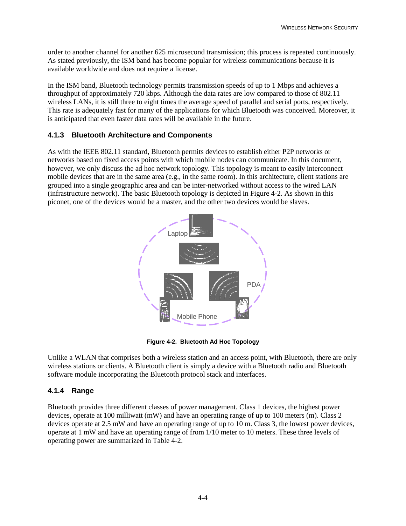order to another channel for another 625 microsecond transmission; this process is repeated continuously. As stated previously, the ISM band has become popular for wireless communications because it is available worldwide and does not require a license.

In the ISM band, Bluetooth technology permits transmission speeds of up to 1 Mbps and achieves a throughput of approximately 720 kbps. Although the data rates are low compared to those of 802.11 wireless LANs, it is still three to eight times the average speed of parallel and serial ports, respectively. This rate is adequately fast for many of the applications for which Bluetooth was conceived. Moreover, it is anticipated that even faster data rates will be available in the future.

#### **4.1.3 Bluetooth Architecture and Components**

As with the IEEE 802.11 standard, Bluetooth permits devices to establish either P2P networks or networks based on fixed access points with which mobile nodes can communicate. In this document, however, we only discuss the ad hoc network topology. This topology is meant to easily interconnect mobile devices that are in the same area (e.g., in the same room). In this architecture, client stations are grouped into a single geographic area and can be inter-networked without access to the wired LAN (infrastructure network). The basic Bluetooth topology is depicted in Figure 4-2. As shown in this piconet, one of the devices would be a master, and the other two devices would be slaves.



**Figure 4-2. Bluetooth Ad Hoc Topology**

Unlike a WLAN that comprises both a wireless station and an access point, with Bluetooth, there are only wireless stations or clients. A Bluetooth client is simply a device with a Bluetooth radio and Bluetooth software module incorporating the Bluetooth protocol stack and interfaces.

# **4.1.4 Range**

Bluetooth provides three different classes of power management. Class 1 devices, the highest power devices, operate at 100 milliwatt (mW) and have an operating range of up to 100 meters (m). Class 2 devices operate at 2.5 mW and have an operating range of up to 10 m. Class 3, the lowest power devices, operate at 1 mW and have an operating range of from 1/10 meter to 10 meters. These three levels of operating power are summarized in Table 4-2.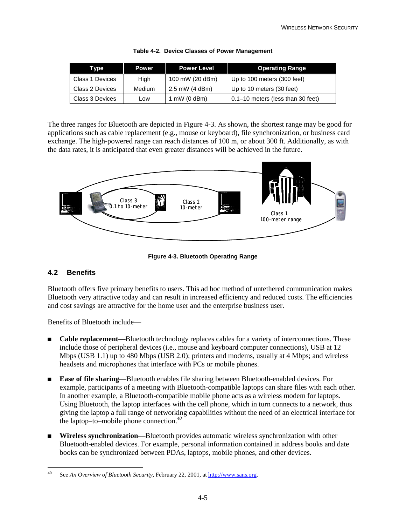| Type            | <b>Power</b> | <b>Power Level</b> | <b>Operating Range</b>                |
|-----------------|--------------|--------------------|---------------------------------------|
| Class 1 Devices | High         | 100 mW (20 dBm)    | Up to 100 meters (300 feet)           |
| Class 2 Devices | Medium       | 2.5 mW (4 dBm)     | Up to 10 meters (30 feet)             |
| Class 3 Devices | Low          | 1 mW $(0$ dBm $)$  | $0.1 - 10$ meters (less than 30 feet) |

| Table 4-2. Device Classes of Power Management |  |
|-----------------------------------------------|--|
|-----------------------------------------------|--|

The three ranges for Bluetooth are depicted in Figure 4-3. As shown, the shortest range may be good for applications such as cable replacement (e.g., mouse or keyboard), file synchronization, or business card exchange. The high-powered range can reach distances of 100 m, or about 300 ft. Additionally, as with the data rates, it is anticipated that even greater distances will be achieved in the future.



**Figure 4-3. Bluetooth Operating Range**

#### **4.2 Benefits**

Bluetooth offers five primary benefits to users. This ad hoc method of untethered communication makes Bluetooth very attractive today and can result in increased efficiency and reduced costs. The efficiencies and cost savings are attractive for the home user and the enterprise business user.

Benefits of Bluetooth include—

- $\blacksquare$  **Cable replacement**—Bluetooth technology replaces cables for a variety of interconnections. These include those of peripheral devices (i.e., mouse and keyboard computer connections), USB at 12 Mbps (USB 1.1) up to 480 Mbps (USB 2.0); printers and modems, usually at 4 Mbps; and wireless headsets and microphones that interface with PCs or mobile phones.
- **Ease of file sharing—Bluetooth enables file sharing between Bluetooth-enabled devices. For** example, participants of a meeting with Bluetooth-compatible laptops can share files with each other. In another example, a Bluetooth-compatible mobile phone acts as a wireless modem for laptops. Using Bluetooth, the laptop interfaces with the cell phone, which in turn connects to a network, thus giving the laptop a full range of networking capabilities without the need of an electrical interface for the laptop–to–mobile phone connection.*<sup>40</sup>*
- ! **Wireless synchronization**—Bluetooth provides automatic wireless synchronization with other Bluetooth-enabled devices. For example, personal information contained in address books and date books can be synchronized between PDAs, laptops, mobile phones, and other devices.

l 40 See *An Overview of Bluetooth Security,* February 22, 2001, at http://www.sans.org.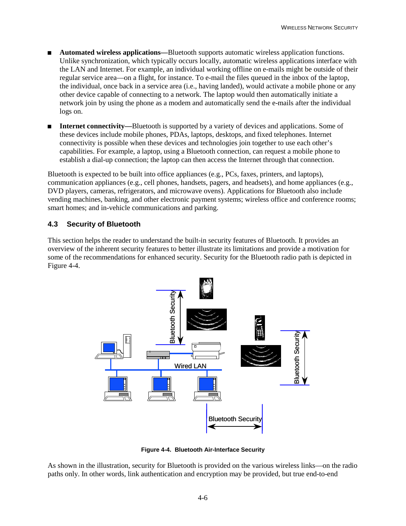- ! **Automated wireless applications—**Bluetooth supports automatic wireless application functions. Unlike synchronization, which typically occurs locally, automatic wireless applications interface with the LAN and Internet. For example, an individual working offline on e-mails might be outside of their regular service area—on a flight, for instance. To e-mail the files queued in the inbox of the laptop, the individual, once back in a service area (i.e., having landed), would activate a mobile phone or any other device capable of connecting to a network. The laptop would then automatically initiate a network join by using the phone as a modem and automatically send the e-mails after the individual logs on.
- **Internet connectivity—**Bluetooth is supported by a variety of devices and applications. Some of these devices include mobile phones, PDAs, laptops, desktops, and fixed telephones. Internet connectivity is possible when these devices and technologies join together to use each other's capabilities. For example, a laptop, using a Bluetooth connection, can request a mobile phone to establish a dial-up connection; the laptop can then access the Internet through that connection.

Bluetooth is expected to be built into office appliances (e.g., PCs, faxes, printers, and laptops), communication appliances (e.g., cell phones, handsets, pagers, and headsets), and home appliances (e.g., DVD players, cameras, refrigerators, and microwave ovens). Applications for Bluetooth also include vending machines, banking, and other electronic payment systems; wireless office and conference rooms; smart homes; and in-vehicle communications and parking.

#### **4.3 Security of Bluetooth**

This section helps the reader to understand the built-in security features of Bluetooth. It provides an overview of the inherent security features to better illustrate its limitations and provide a motivation for some of the recommendations for enhanced security. Security for the Bluetooth radio path is depicted in Figure 4-4.



**Figure 4-4. Bluetooth Air-Interface Security**

As shown in the illustration, security for Bluetooth is provided on the various wireless links—on the radio paths only. In other words, link authentication and encryption may be provided, but true end-to-end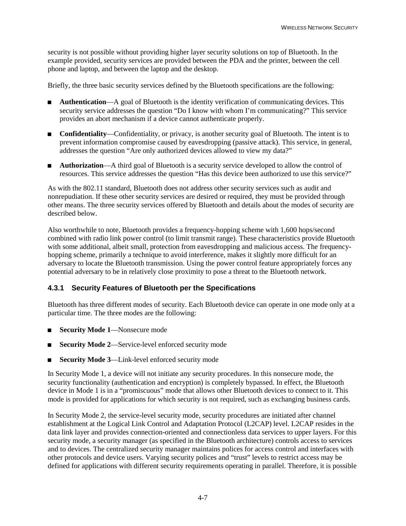security is not possible without providing higher layer security solutions on top of Bluetooth. In the example provided, security services are provided between the PDA and the printer, between the cell phone and laptop, and between the laptop and the desktop.

Briefly, the three basic security services defined by the Bluetooth specifications are the following:

- **Authentication**—A goal of Bluetooth is the identity verification of communicating devices. This security service addresses the question "Do I know with whom I'm communicating?" This service provides an abort mechanism if a device cannot authenticate properly.
- **EXECUTE: Confidentiality—Confidentiality, or privacy, is another security goal of Bluetooth. The intent is to** prevent information compromise caused by eavesdropping (passive attack). This service, in general, addresses the question "Are only authorized devices allowed to view my data?"
- **EXECUTE:** Authorization—A third goal of Bluetooth is a security service developed to allow the control of resources. This service addresses the question "Has this device been authorized to use this service?"

As with the 802.11 standard, Bluetooth does not address other security services such as audit and nonrepudiation. If these other security services are desired or required, they must be provided through other means. The three security services offered by Bluetooth and details about the modes of security are described below.

Also worthwhile to note, Bluetooth provides a frequency-hopping scheme with 1,600 hops/second combined with radio link power control (to limit transmit range). These characteristics provide Bluetooth with some additional, albeit small, protection from eavesdropping and malicious access. The frequencyhopping scheme, primarily a technique to avoid interference, makes it slightly more difficult for an adversary to locate the Bluetooth transmission. Using the power control feature appropriately forces any potential adversary to be in relatively close proximity to pose a threat to the Bluetooth network.

#### **4.3.1 Security Features of Bluetooth per the Specifications**

Bluetooth has three different modes of security. Each Bluetooth device can operate in one mode only at a particular time. The three modes are the following:

- **Security Mode 1—Nonsecure mode**
- **Security Mode 2—Service-level enforced security mode**
- **Security Mode 3—Link-level enforced security mode**

In Security Mode 1, a device will not initiate any security procedures. In this nonsecure mode, the security functionality (authentication and encryption) is completely bypassed. In effect, the Bluetooth device in Mode 1 is in a "promiscuous" mode that allows other Bluetooth devices to connect to it. This mode is provided for applications for which security is not required, such as exchanging business cards.

In Security Mode 2, the service-level security mode, security procedures are initiated after channel establishment at the Logical Link Control and Adaptation Protocol (L2CAP) level. L2CAP resides in the data link layer and provides connection-oriented and connectionless data services to upper layers. For this security mode, a security manager (as specified in the Bluetooth architecture) controls access to services and to devices. The centralized security manager maintains polices for access control and interfaces with other protocols and device users. Varying security polices and "trust" levels to restrict access may be defined for applications with different security requirements operating in parallel. Therefore, it is possible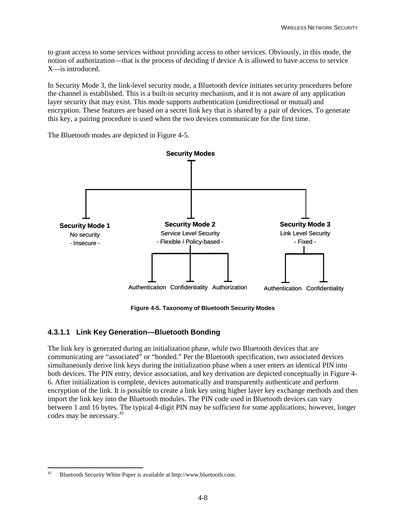to grant access to some services without providing access to other services. Obviously, in this mode, the notion of authorization—that is the process of deciding if device A is allowed to have access to service X—is introduced.

In Security Mode 3, the link-level security mode, a Bluetooth device initiates security procedures before the channel is established. This is a built-in security mechanism, and it is not aware of any application layer security that may exist. This mode supports authentication (unidirectional or mutual) and encryption. These features are based on a secret link key that is shared by a pair of devices. To generate this key, a pairing procedure is used when the two devices communicate for the first time.

The Bluetooth modes are depicted in Figure 4-5.



**Figure 4-5. Taxonomy of Bluetooth Security Modes**

#### **4.3.1.1 Link Key Generation—Bluetooth Bonding**

The link key is generated during an initialization phase, while two Bluetooth devices that are communicating are "associated" or "bonded." Per the Bluetooth specification, two associated devices simultaneously derive link keys during the initialization phase when a user enters an identical PIN into both devices. The PIN entry, device association, and key derivation are depicted conceptually in Figure 4- 6. After initialization is complete, devices automatically and transparently authenticate and perform encryption of the link. It is possible to create a link key using higher layer key exchange methods and then import the link key into the Bluetooth modules. The PIN code used in Bluetooth devices can vary between 1 and 16 bytes. The typical 4-digit PIN may be sufficient for some applications; however, longer codes may be necessary.*<sup>41</sup>*

l 41 Bluetooth Security White Paper is available at http://www.bluetooth.com.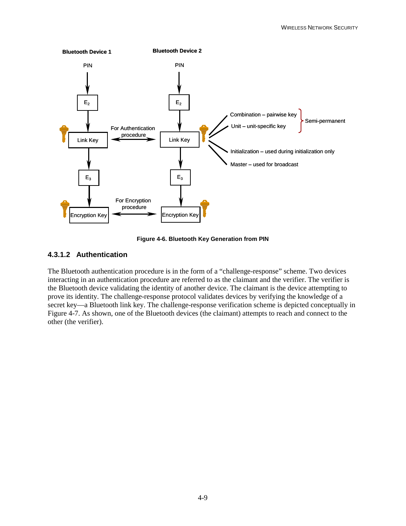

**Figure 4-6. Bluetooth Key Generation from PIN**

# **4.3.1.2 Authentication**

The Bluetooth authentication procedure is in the form of a "challenge-response" scheme. Two devices interacting in an authentication procedure are referred to as the claimant and the verifier. The verifier is the Bluetooth device validating the identity of another device. The claimant is the device attempting to prove its identity. The challenge-response protocol validates devices by verifying the knowledge of a secret key—a Bluetooth link key. The challenge-response verification scheme is depicted conceptually in Figure 4-7. As shown, one of the Bluetooth devices (the claimant) attempts to reach and connect to the other (the verifier).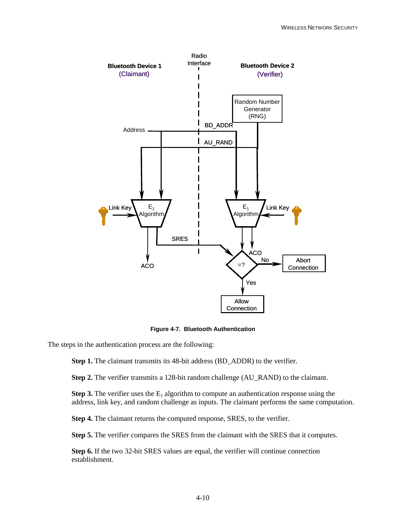

**Figure 4-7. Bluetooth Authentication**

The steps in the authentication process are the following:

**Step 1.** The claimant transmits its 48-bit address (BD\_ADDR) to the verifier.

**Step 2.** The verifier transmits a 128-bit random challenge (AU\_RAND) to the claimant.

**Step 3.** The verifier uses the  $E_1$  algorithm to compute an authentication response using the address, link key, and random challenge as inputs. The claimant performs the same computation.

**Step 4.** The claimant returns the computed response, SRES, to the verifier.

**Step 5.** The verifier compares the SRES from the claimant with the SRES that it computes.

**Step 6.** If the two 32-bit SRES values are equal, the verifier will continue connection establishment.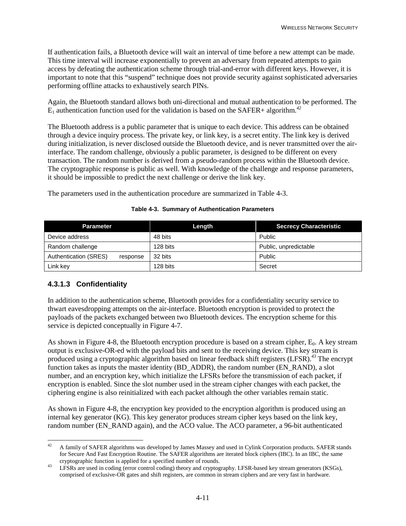If authentication fails, a Bluetooth device will wait an interval of time before a new attempt can be made. This time interval will increase exponentially to prevent an adversary from repeated attempts to gain access by defeating the authentication scheme through trial-and-error with different keys. However, it is important to note that this "suspend" technique does not provide security against sophisticated adversaries performing offline attacks to exhaustively search PINs.

Again, the Bluetooth standard allows both uni-directional and mutual authentication to be performed. The  $E_1$  authentication function used for the validation is based on the SAFER+ algorithm.<sup>42</sup>

The Bluetooth address is a public parameter that is unique to each device. This address can be obtained through a device inquiry process. The private key, or link key, is a secret entity. The link key is derived during initialization, is never disclosed outside the Bluetooth device, and is never transmitted over the airinterface. The random challenge, obviously a public parameter, is designed to be different on every transaction. The random number is derived from a pseudo-random process within the Bluetooth device. The cryptographic response is public as well. With knowledge of the challenge and response parameters, it should be impossible to predict the next challenge or derive the link key.

The parameters used in the authentication procedure are summarized in Table 4-3.

| <b>Parameter</b>                         | Length   | <b>Secrecy Characteristic</b> |
|------------------------------------------|----------|-------------------------------|
| Device address                           | 48 bits  | Public                        |
| Random challenge                         | 128 bits | Public, unpredictable         |
| <b>Authentication (SRES)</b><br>response | 32 bits  | Public                        |
| Link key                                 | 128 bits | Secret                        |

#### **Table 4-3. Summary of Authentication Parameters**

## **4.3.1.3 Confidentiality**

l

In addition to the authentication scheme, Bluetooth provides for a confidentiality security service to thwart eavesdropping attempts on the air-interface. Bluetooth encryption is provided to protect the payloads of the packets exchanged between two Bluetooth devices. The encryption scheme for this service is depicted conceptually in Figure 4-7.

As shown in Figure 4-8, the Bluetooth encryption procedure is based on a stream cipher,  $E_0$ . A key stream output is exclusive-OR-ed with the payload bits and sent to the receiving device. This key stream is produced using a cryptographic algorithm based on linear feedback shift registers (LFSR).*<sup>43</sup>* The encrypt function takes as inputs the master identity (BD\_ADDR), the random number (EN\_RAND), a slot number, and an encryption key, which initialize the LFSRs before the transmission of each packet, if encryption is enabled. Since the slot number used in the stream cipher changes with each packet, the ciphering engine is also reinitialized with each packet although the other variables remain static.

As shown in Figure 4-8, the encryption key provided to the encryption algorithm is produced using an internal key generator (KG). This key generator produces stream cipher keys based on the link key, random number (EN\_RAND again), and the ACO value. The ACO parameter, a 96-bit authenticated

<sup>42</sup> A family of SAFER algorithms was developed by James Massey and used in Cylink Corporation products. SAFER stands for Secure And Fast Encryption Routine. The SAFER algorithms are iterated block ciphers (IBC). In an IBC, the same

cryptographic function is applied for a specified number of rounds.<br>43 LFSRs are used in coding (error control coding) theory and cryptography. LFSR-based key stream generators (KSGs), comprised of exclusive-OR gates and shift registers, are common in stream ciphers and are very fast in hardware.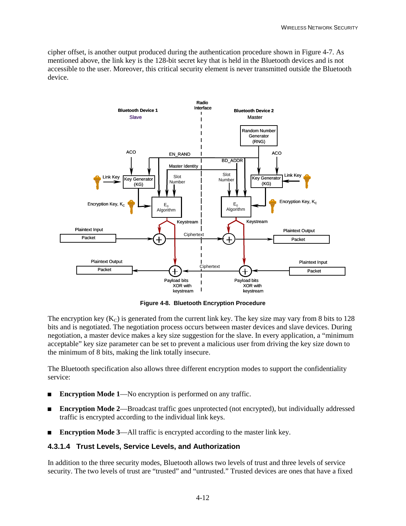cipher offset, is another output produced during the authentication procedure shown in Figure 4-7. As mentioned above, the link key is the 128-bit secret key that is held in the Bluetooth devices and is not accessible to the user. Moreover, this critical security element is never transmitted outside the Bluetooth device.



**Figure 4-8. Bluetooth Encryption Procedure**

The encryption key  $(K_C)$  is generated from the current link key. The key size may vary from 8 bits to 128 bits and is negotiated. The negotiation process occurs between master devices and slave devices. During negotiation, a master device makes a key size suggestion for the slave. In every application, a "minimum acceptable" key size parameter can be set to prevent a malicious user from driving the key size down to the minimum of 8 bits, making the link totally insecure.

The Bluetooth specification also allows three different encryption modes to support the confidentiality service:

- **Encryption Mode 1—No encryption is performed on any traffic.**
- ! **Encryption Mode 2**—Broadcast traffic goes unprotected (not encrypted), but individually addressed traffic is encrypted according to the individual link keys.
- **Encryption Mode 3—All traffic is encrypted according to the master link key.**

#### **4.3.1.4 Trust Levels, Service Levels, and Authorization**

In addition to the three security modes, Bluetooth allows two levels of trust and three levels of service security. The two levels of trust are "trusted" and "untrusted." Trusted devices are ones that have a fixed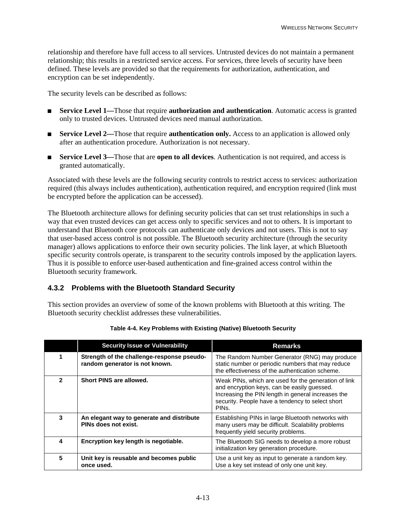relationship and therefore have full access to all services. Untrusted devices do not maintain a permanent relationship; this results in a restricted service access. For services, three levels of security have been defined. These levels are provided so that the requirements for authorization, authentication, and encryption can be set independently.

The security levels can be described as follows:

- **Exercise Level 1—Those that require <b>authorization and authentication**. Automatic access is granted only to trusted devices. Untrusted devices need manual authorization.
- **Exercise Level 2—Those that require <b>authentication only.** Access to an application is allowed only after an authentication procedure. Authorization is not necessary.
- **Service Level 3—Those that are <b>open to all devices**. Authentication is not required, and access is granted automatically.

Associated with these levels are the following security controls to restrict access to services: authorization required (this always includes authentication), authentication required, and encryption required (link must be encrypted before the application can be accessed).

The Bluetooth architecture allows for defining security policies that can set trust relationships in such a way that even trusted devices can get access only to specific services and not to others. It is important to understand that Bluetooth core protocols can authenticate only devices and not users. This is not to say that user-based access control is not possible. The Bluetooth security architecture (through the security manager) allows applications to enforce their own security policies. The link layer, at which Bluetooth specific security controls operate, is transparent to the security controls imposed by the application layers. Thus it is possible to enforce user-based authentication and fine-grained access control within the Bluetooth security framework.

## **4.3.2 Problems with the Bluetooth Standard Security**

This section provides an overview of some of the known problems with Bluetooth at this writing. The Bluetooth security checklist addresses these vulnerabilities.

|              | <b>Security Issue or Vulnerability</b>                                       | <b>Remarks</b>                                                                                                                                                                                                                    |  |
|--------------|------------------------------------------------------------------------------|-----------------------------------------------------------------------------------------------------------------------------------------------------------------------------------------------------------------------------------|--|
|              | Strength of the challenge-response pseudo-<br>random generator is not known. | The Random Number Generator (RNG) may produce<br>static number or periodic numbers that may reduce<br>the effectiveness of the authentication scheme.                                                                             |  |
| $\mathbf{2}$ | Short PINS are allowed.                                                      | Weak PINs, which are used for the generation of link<br>and encryption keys, can be easily guessed.<br>Increasing the PIN length in general increases the<br>security. People have a tendency to select short<br>PIN <sub>s</sub> |  |
| 3            | An elegant way to generate and distribute<br>PINs does not exist.            | Establishing PINs in large Bluetooth networks with<br>many users may be difficult. Scalability problems<br>frequently yield security problems.                                                                                    |  |
| 4            | Encryption key length is negotiable.                                         | The Bluetooth SIG needs to develop a more robust<br>initialization key generation procedure.                                                                                                                                      |  |
| 5            | Unit key is reusable and becomes public<br>once used.                        | Use a unit key as input to generate a random key.<br>Use a key set instead of only one unit key.                                                                                                                                  |  |

#### **Table 4-4. Key Problems with Existing (Native) Bluetooth Security**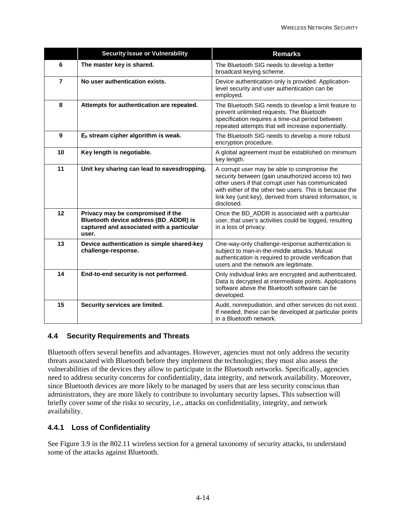|                | <b>Security Issue or Vulnerability</b>                                                                                           | <b>Remarks</b>                                                                                                                                                                                                                                                                               |
|----------------|----------------------------------------------------------------------------------------------------------------------------------|----------------------------------------------------------------------------------------------------------------------------------------------------------------------------------------------------------------------------------------------------------------------------------------------|
| 6              | The master key is shared.                                                                                                        | The Bluetooth SIG needs to develop a better<br>broadcast keying scheme.                                                                                                                                                                                                                      |
| $\overline{7}$ | No user authentication exists.                                                                                                   | Device authentication only is provided. Application-<br>level security and user authentication can be<br>employed.                                                                                                                                                                           |
| 8              | Attempts for authentication are repeated.                                                                                        | The Bluetooth SIG needs to develop a limit feature to<br>prevent unlimited requests. The Bluetooth<br>specification requires a time-out period between<br>repeated attempts that will increase exponentially.                                                                                |
| 9              | $E_0$ stream cipher algorithm is weak.                                                                                           | The Bluetooth SIG needs to develop a more robust<br>encryption procedure.                                                                                                                                                                                                                    |
| 10             | Key length is negotiable.                                                                                                        | A global agreement must be established on minimum<br>key length.                                                                                                                                                                                                                             |
| 11             | Unit key sharing can lead to eavesdropping.                                                                                      | A corrupt user may be able to compromise the<br>security between (gain unauthorized access to) two<br>other users if that corrupt user has communicated<br>with either of the other two users. This is because the<br>link key (unit key), derived from shared information, is<br>disclosed. |
| 12             | Privacy may be compromised if the<br>Bluetooth device address (BD_ADDR) is<br>captured and associated with a particular<br>user. | Once the BD_ADDR is associated with a particular<br>user, that user's activities could be logged, resulting<br>in a loss of privacy.                                                                                                                                                         |
| 13             | Device authentication is simple shared-key<br>challenge-response.                                                                | One-way-only challenge-response authentication is<br>subject to man-in-the-middle attacks. Mutual<br>authentication is required to provide verification that<br>users and the network are legitimate.                                                                                        |
| 14             | End-to-end security is not performed.                                                                                            | Only individual links are encrypted and authenticated.<br>Data is decrypted at intermediate points. Applications<br>software above the Bluetooth software can be<br>developed.                                                                                                               |
| 15             | Security services are limited.                                                                                                   | Audit, nonrepudiation, and other services do not exist.<br>If needed, these can be developed at particular points<br>in a Bluetooth network.                                                                                                                                                 |

## **4.4 Security Requirements and Threats**

Bluetooth offers several benefits and advantages. However, agencies must not only address the security threats associated with Bluetooth before they implement the technologies; they must also assess the vulnerabilities of the devices they allow to participate in the Bluetooth networks. Specifically, agencies need to address security concerns for confidentiality, data integrity, and network availability. Moreover, since Bluetooth devices are more likely to be managed by users that are less security conscious than administrators, they are more likely to contribute to involuntary security lapses. This subsection will briefly cover some of the risks to security, i.e., attacks on confidentiality, integrity, and network availability.

## **4.4.1 Loss of Confidentiality**

See Figure 3.9 in the 802.11 wireless section for a general taxonomy of security attacks, to understand some of the attacks against Bluetooth.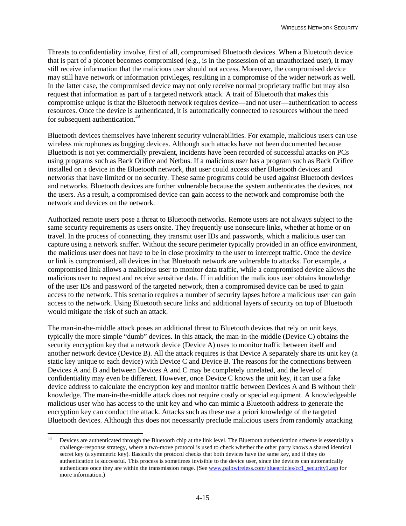Threats to confidentiality involve, first of all, compromised Bluetooth devices. When a Bluetooth device that is part of a piconet becomes compromised (e.g., is in the possession of an unauthorized user), it may still receive information that the malicious user should not access. Moreover, the compromised device may still have network or information privileges, resulting in a compromise of the wider network as well. In the latter case, the compromised device may not only receive normal proprietary traffic but may also request that information as part of a targeted network attack. A trait of Bluetooth that makes this compromise unique is that the Bluetooth network requires device—and not user—authentication to access resources. Once the device is authenticated, it is automatically connected to resources without the need for subsequent authentication.*<sup>44</sup>*

Bluetooth devices themselves have inherent security vulnerabilities. For example, malicious users can use wireless microphones as bugging devices. Although such attacks have not been documented because Bluetooth is not yet commercially prevalent, incidents have been recorded of successful attacks on PCs using programs such as Back Orifice and Netbus. If a malicious user has a program such as Back Orifice installed on a device in the Bluetooth network, that user could access other Bluetooth devices and networks that have limited or no security. These same programs could be used against Bluetooth devices and networks. Bluetooth devices are further vulnerable because the system authenticates the devices, not the users. As a result, a compromised device can gain access to the network and compromise both the network and devices on the network.

Authorized remote users pose a threat to Bluetooth networks. Remote users are not always subject to the same security requirements as users onsite. They frequently use nonsecure links, whether at home or on travel. In the process of connecting, they transmit user IDs and passwords, which a malicious user can capture using a network sniffer. Without the secure perimeter typically provided in an office environment, the malicious user does not have to be in close proximity to the user to intercept traffic. Once the device or link is compromised, all devices in that Bluetooth network are vulnerable to attacks. For example, a compromised link allows a malicious user to monitor data traffic, while a compromised device allows the malicious user to request and receive sensitive data. If in addition the malicious user obtains knowledge of the user IDs and password of the targeted network, then a compromised device can be used to gain access to the network. This scenario requires a number of security lapses before a malicious user can gain access to the network. Using Bluetooth secure links and additional layers of security on top of Bluetooth would mitigate the risk of such an attack.

The man-in-the-middle attack poses an additional threat to Bluetooth devices that rely on unit keys, typically the more simple "dumb" devices. In this attack, the man-in-the-middle (Device C) obtains the security encryption key that a network device (Device A) uses to monitor traffic between itself and another network device (Device B). All the attack requires is that Device A separately share its unit key (a static key unique to each device) with Device C and Device B. The reasons for the connections between Devices A and B and between Devices A and C may be completely unrelated, and the level of confidentiality may even be different. However, once Device C knows the unit key, it can use a fake device address to calculate the encryption key and monitor traffic between Devices A and B without their knowledge. The man-in-the-middle attack does not require costly or special equipment. A knowledgeable malicious user who has access to the unit key and who can mimic a Bluetooth address to generate the encryption key can conduct the attack. Attacks such as these use a priori knowledge of the targeted Bluetooth devices. Although this does not necessarily preclude malicious users from randomly attacking

l

Devices are authenticated through the Bluetooth chip at the link level. The Bluetooth authentication scheme is essentially a challenge-response strategy, where a two-move protocol is used to check whether the other party knows a shared identical secret key (a symmetric key). Basically the protocol checks that both devices have the same key, and if they do authentication is successful. This process is sometimes invisible to the device user, since the devices can automatically authenticate once they are within the transmission range. (See www.palowireless.com/bluearticles/cc1\_security1.asp for more information.)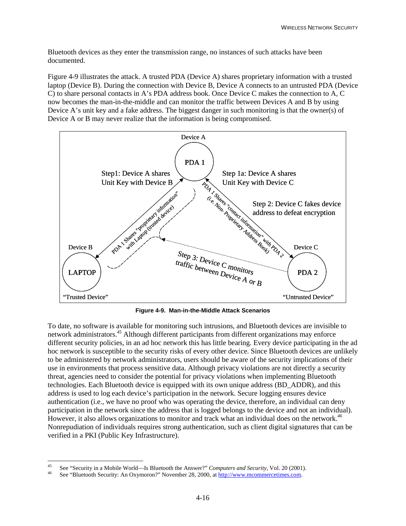Bluetooth devices as they enter the transmission range, no instances of such attacks have been documented.

Figure 4-9 illustrates the attack. A trusted PDA (Device A) shares proprietary information with a trusted laptop (Device B). During the connection with Device B, Device A connects to an untrusted PDA (Device C) to share personal contacts in A's PDA address book. Once Device C makes the connection to A, C now becomes the man-in-the-middle and can monitor the traffic between Devices A and B by using Device A's unit key and a fake address. The biggest danger in such monitoring is that the owner(s) of Device A or B may never realize that the information is being compromised.



**Figure 4-9. Man-in-the-Middle Attack Scenarios**

To date, no software is available for monitoring such intrusions, and Bluetooth devices are invisible to network administrators.*<sup>45</sup>* Although different participants from different organizations may enforce different security policies, in an ad hoc network this has little bearing. Every device participating in the ad hoc network is susceptible to the security risks of every other device. Since Bluetooth devices are unlikely to be administered by network administrators, users should be aware of the security implications of their use in environments that process sensitive data. Although privacy violations are not directly a security threat, agencies need to consider the potential for privacy violations when implementing Bluetooth technologies. Each Bluetooth device is equipped with its own unique address (BD\_ADDR), and this address is used to log each device's participation in the network. Secure logging ensures device authentication (i.e., we have no proof who was operating the device, therefore, an individual can deny participation in the network since the address that is logged belongs to the device and not an individual). However, it also allows organizations to monitor and track what an individual does on the network.*<sup>46</sup>* Nonrepudiation of individuals requires strong authentication, such as client digital signatures that can be verified in a PKI (Public Key Infrastructure).

<sup>45</sup> <sup>45</sup> See "Security in a Mobile World—Is Bluetooth the Answer?" *Computers and Security*, Vol. 20 (2001).<br><sup>46</sup> See "Bluetooth Security: An Oxymoron?" November 28, 2000, at http://www.mcommercetimes.com.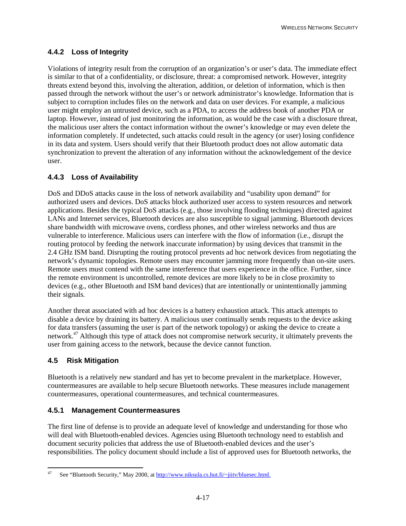## **4.4.2 Loss of Integrity**

Violations of integrity result from the corruption of an organization's or user's data. The immediate effect is similar to that of a confidentiality, or disclosure, threat: a compromised network. However, integrity threats extend beyond this, involving the alteration, addition, or deletion of information, which is then passed through the network without the user's or network administrator's knowledge. Information that is subject to corruption includes files on the network and data on user devices. For example, a malicious user might employ an untrusted device, such as a PDA, to access the address book of another PDA or laptop. However, instead of just monitoring the information, as would be the case with a disclosure threat, the malicious user alters the contact information without the owner's knowledge or may even delete the information completely. If undetected, such attacks could result in the agency (or user) losing confidence in its data and system. Users should verify that their Bluetooth product does not allow automatic data synchronization to prevent the alteration of any information without the acknowledgement of the device user.

## **4.4.3 Loss of Availability**

DoS and DDoS attacks cause in the loss of network availability and "usability upon demand" for authorized users and devices. DoS attacks block authorized user access to system resources and network applications. Besides the typical DoS attacks (e.g., those involving flooding techniques) directed against LANs and Internet services, Bluetooth devices are also susceptible to signal jamming. Bluetooth devices share bandwidth with microwave ovens, cordless phones, and other wireless networks and thus are vulnerable to interference. Malicious users can interfere with the flow of information (i.e., disrupt the routing protocol by feeding the network inaccurate information) by using devices that transmit in the 2.4 GHz ISM band. Disrupting the routing protocol prevents ad hoc network devices from negotiating the network's dynamic topologies. Remote users may encounter jamming more frequently than on-site users. Remote users must contend with the same interference that users experience in the office. Further, since the remote environment is uncontrolled, remote devices are more likely to be in close proximity to devices (e.g., other Bluetooth and ISM band devices) that are intentionally or unintentionally jamming their signals.

Another threat associated with ad hoc devices is a battery exhaustion attack. This attack attempts to disable a device by draining its battery. A malicious user continually sends requests to the device asking for data transfers (assuming the user is part of the network topology) or asking the device to create a network.*<sup>47</sup>* Although this type of attack does not compromise network security, it ultimately prevents the user from gaining access to the network, because the device cannot function.

## **4.5 Risk Mitigation**

Bluetooth is a relatively new standard and has yet to become prevalent in the marketplace. However, countermeasures are available to help secure Bluetooth networks. These measures include management countermeasures, operational countermeasures, and technical countermeasures.

## **4.5.1 Management Countermeasures**

The first line of defense is to provide an adequate level of knowledge and understanding for those who will deal with Bluetooth-enabled devices. Agencies using Bluetooth technology need to establish and document security policies that address the use of Bluetooth-enabled devices and the user's responsibilities. The policy document should include a list of approved uses for Bluetooth networks, the

<sup>47</sup> See "Bluetooth Security," May 2000, at http://www.niksula.cs.hut.fi/~jiitv/bluesec.html.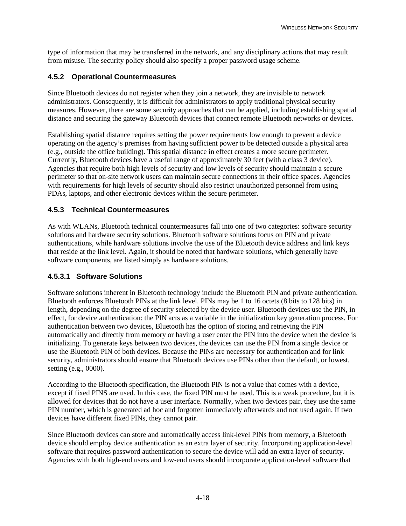type of information that may be transferred in the network, and any disciplinary actions that may result from misuse. The security policy should also specify a proper password usage scheme.

#### **4.5.2 Operational Countermeasures**

Since Bluetooth devices do not register when they join a network, they are invisible to network administrators. Consequently, it is difficult for administrators to apply traditional physical security measures. However, there are some security approaches that can be applied, including establishing spatial distance and securing the gateway Bluetooth devices that connect remote Bluetooth networks or devices.

Establishing spatial distance requires setting the power requirements low enough to prevent a device operating on the agency's premises from having sufficient power to be detected outside a physical area (e.g., outside the office building). This spatial distance in effect creates a more secure perimeter. Currently, Bluetooth devices have a useful range of approximately 30 feet (with a class 3 device). Agencies that require both high levels of security and low levels of security should maintain a secure perimeter so that on-site network users can maintain secure connections in their office spaces. Agencies with requirements for high levels of security should also restrict unauthorized personnel from using PDAs, laptops, and other electronic devices within the secure perimeter.

#### **4.5.3 Technical Countermeasures**

As with WLANs, Bluetooth technical countermeasures fall into one of two categories: software security solutions and hardware security solutions. Bluetooth software solutions focus on PIN and private authentications, while hardware solutions involve the use of the Bluetooth device address and link keys that reside at the link level. Again, it should be noted that hardware solutions, which generally have software components, are listed simply as hardware solutions.

#### **4.5.3.1 Software Solutions**

Software solutions inherent in Bluetooth technology include the Bluetooth PIN and private authentication. Bluetooth enforces Bluetooth PINs at the link level. PINs may be 1 to 16 octets (8 bits to 128 bits) in length, depending on the degree of security selected by the device user. Bluetooth devices use the PIN, in effect, for device authentication: the PIN acts as a variable in the initialization key generation process. For authentication between two devices, Bluetooth has the option of storing and retrieving the PIN automatically and directly from memory or having a user enter the PIN into the device when the device is initializing. To generate keys between two devices, the devices can use the PIN from a single device or use the Bluetooth PIN of both devices. Because the PINs are necessary for authentication and for link security, administrators should ensure that Bluetooth devices use PINs other than the default, or lowest, setting (e.g., 0000).

According to the Bluetooth specification, the Bluetooth PIN is not a value that comes with a device, except if fixed PINS are used. In this case, the fixed PIN must be used. This is a weak procedure, but it is allowed for devices that do not have a user interface. Normally, when two devices pair, they use the same PIN number, which is generated ad hoc and forgotten immediately afterwards and not used again. If two devices have different fixed PINs, they cannot pair.

Since Bluetooth devices can store and automatically access link-level PINs from memory, a Bluetooth device should employ device authentication as an extra layer of security. Incorporating application-level software that requires password authentication to secure the device will add an extra layer of security. Agencies with both high-end users and low-end users should incorporate application-level software that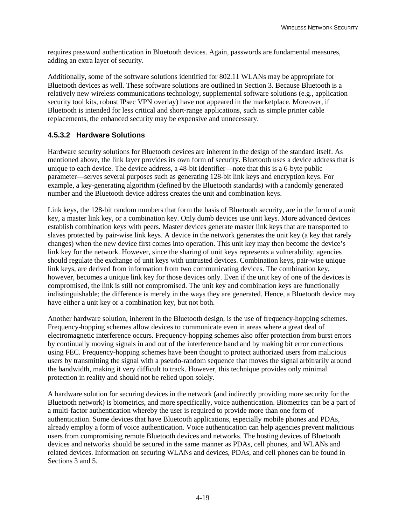requires password authentication in Bluetooth devices. Again, passwords are fundamental measures, adding an extra layer of security.

Additionally, some of the software solutions identified for 802.11 WLANs may be appropriate for Bluetooth devices as well. These software solutions are outlined in Section 3. Because Bluetooth is a relatively new wireless communications technology, supplemental software solutions (e.g., application security tool kits, robust IPsec VPN overlay) have not appeared in the marketplace. Moreover, if Bluetooth is intended for less critical and short-range applications, such as simple printer cable replacements, the enhanced security may be expensive and unnecessary.

## **4.5.3.2 Hardware Solutions**

Hardware security solutions for Bluetooth devices are inherent in the design of the standard itself. As mentioned above, the link layer provides its own form of security. Bluetooth uses a device address that is unique to each device. The device address, a 48-bit identifier—note that this is a 6-byte public parameter—serves several purposes such as generating 128-bit link keys and encryption keys. For example, a key-generating algorithm (defined by the Bluetooth standards) with a randomly generated number and the Bluetooth device address creates the unit and combination keys.

Link keys, the 128-bit random numbers that form the basis of Bluetooth security, are in the form of a unit key, a master link key, or a combination key. Only dumb devices use unit keys. More advanced devices establish combination keys with peers. Master devices generate master link keys that are transported to slaves protected by pair-wise link keys. A device in the network generates the unit key (a key that rarely changes) when the new device first comes into operation. This unit key may then become the device's link key for the network. However, since the sharing of unit keys represents a vulnerability, agencies should regulate the exchange of unit keys with untrusted devices. Combination keys, pair-wise unique link keys, are derived from information from two communicating devices. The combination key, however, becomes a unique link key for those devices only. Even if the unit key of one of the devices is compromised, the link is still not compromised. The unit key and combination keys are functionally indistinguishable; the difference is merely in the ways they are generated. Hence, a Bluetooth device may have either a unit key or a combination key, but not both.

Another hardware solution, inherent in the Bluetooth design, is the use of frequency-hopping schemes. Frequency-hopping schemes allow devices to communicate even in areas where a great deal of electromagnetic interference occurs. Frequency-hopping schemes also offer protection from burst errors by continually moving signals in and out of the interference band and by making bit error corrections using FEC. Frequency-hopping schemes have been thought to protect authorized users from malicious users by transmitting the signal with a pseudo-random sequence that moves the signal arbitrarily around the bandwidth, making it very difficult to track. However, this technique provides only minimal protection in reality and should not be relied upon solely.

A hardware solution for securing devices in the network (and indirectly providing more security for the Bluetooth network) is biometrics, and more specifically, voice authentication. Biometrics can be a part of a multi-factor authentication whereby the user is required to provide more than one form of authentication. Some devices that have Bluetooth applications, especially mobile phones and PDAs, already employ a form of voice authentication. Voice authentication can help agencies prevent malicious users from compromising remote Bluetooth devices and networks. The hosting devices of Bluetooth devices and networks should be secured in the same manner as PDAs, cell phones, and WLANs and related devices. Information on securing WLANs and devices, PDAs, and cell phones can be found in Sections 3 and 5.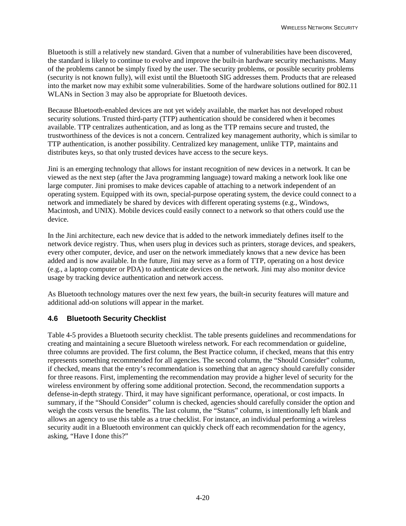Bluetooth is still a relatively new standard. Given that a number of vulnerabilities have been discovered, the standard is likely to continue to evolve and improve the built-in hardware security mechanisms. Many of the problems cannot be simply fixed by the user. The security problems, or possible security problems (security is not known fully), will exist until the Bluetooth SIG addresses them. Products that are released into the market now may exhibit some vulnerabilities. Some of the hardware solutions outlined for 802.11 WLANs in Section 3 may also be appropriate for Bluetooth devices.

Because Bluetooth-enabled devices are not yet widely available, the market has not developed robust security solutions. Trusted third-party (TTP) authentication should be considered when it becomes available. TTP centralizes authentication, and as long as the TTP remains secure and trusted, the trustworthiness of the devices is not a concern. Centralized key management authority, which is similar to TTP authentication, is another possibility. Centralized key management, unlike TTP, maintains and distributes keys, so that only trusted devices have access to the secure keys.

Jini is an emerging technology that allows for instant recognition of new devices in a network. It can be viewed as the next step (after the Java programming language) toward making a network look like one large computer. Jini promises to make devices capable of attaching to a network independent of an operating system. Equipped with its own, special-purpose operating system, the device could connect to a network and immediately be shared by devices with different operating systems (e.g., Windows, Macintosh, and UNIX). Mobile devices could easily connect to a network so that others could use the device.

In the Jini architecture, each new device that is added to the network immediately defines itself to the network device registry. Thus, when users plug in devices such as printers, storage devices, and speakers, every other computer, device, and user on the network immediately knows that a new device has been added and is now available. In the future, Jini may serve as a form of TTP, operating on a host device (e.g., a laptop computer or PDA) to authenticate devices on the network. Jini may also monitor device usage by tracking device authentication and network access.

As Bluetooth technology matures over the next few years, the built-in security features will mature and additional add-on solutions will appear in the market.

#### **4.6 Bluetooth Security Checklist**

Table 4-5 provides a Bluetooth security checklist. The table presents guidelines and recommendations for creating and maintaining a secure Bluetooth wireless network. For each recommendation or guideline, three columns are provided. The first column, the Best Practice column, if checked, means that this entry represents something recommended for all agencies. The second column, the "Should Consider" column, if checked, means that the entry's recommendation is something that an agency should carefully consider for three reasons. First, implementing the recommendation may provide a higher level of security for the wireless environment by offering some additional protection. Second, the recommendation supports a defense-in-depth strategy. Third, it may have significant performance, operational, or cost impacts. In summary, if the "Should Consider" column is checked, agencies should carefully consider the option and weigh the costs versus the benefits. The last column, the "Status" column, is intentionally left blank and allows an agency to use this table as a true checklist. For instance, an individual performing a wireless security audit in a Bluetooth environment can quickly check off each recommendation for the agency, asking, "Have I done this?"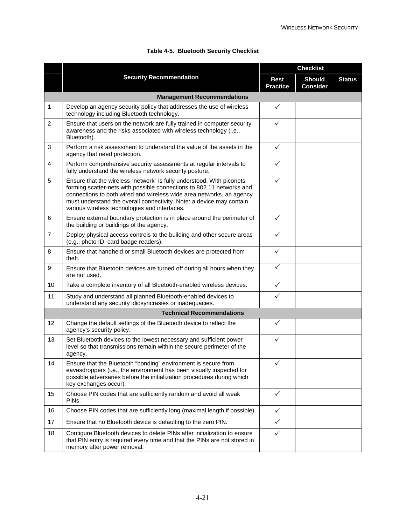|                |                                                                                                                                                                                                                                                                                                                                                 |                                | <b>Checklist</b>                 |               |  |
|----------------|-------------------------------------------------------------------------------------------------------------------------------------------------------------------------------------------------------------------------------------------------------------------------------------------------------------------------------------------------|--------------------------------|----------------------------------|---------------|--|
|                | <b>Security Recommendation</b>                                                                                                                                                                                                                                                                                                                  | <b>Best</b><br><b>Practice</b> | <b>Should</b><br><b>Consider</b> | <b>Status</b> |  |
|                | <b>Management Recommendations</b>                                                                                                                                                                                                                                                                                                               |                                |                                  |               |  |
| 1              | Develop an agency security policy that addresses the use of wireless<br>technology including Bluetooth technology.                                                                                                                                                                                                                              | $\checkmark$                   |                                  |               |  |
| 2              | Ensure that users on the network are fully trained in computer security<br>awareness and the risks associated with wireless technology (i.e.,<br>Bluetooth).                                                                                                                                                                                    | $\checkmark$                   |                                  |               |  |
| 3              | Perform a risk assessment to understand the value of the assets in the<br>agency that need protection.                                                                                                                                                                                                                                          | $\checkmark$                   |                                  |               |  |
| 4              | Perform comprehensive security assessments at regular intervals to<br>fully understand the wireless network security posture.                                                                                                                                                                                                                   | $\checkmark$                   |                                  |               |  |
| 5              | Ensure that the wireless "network" is fully understood. With piconets<br>forming scatter-nets with possible connections to 802.11 networks and<br>connections to both wired and wireless wide area networks, an agency<br>must understand the overall connectivity. Note: a device may contain<br>various wireless technologies and interfaces. | ✓                              |                                  |               |  |
| 6              | Ensure external boundary protection is in place around the perimeter of<br>the building or buildings of the agency.                                                                                                                                                                                                                             | ✓                              |                                  |               |  |
| $\overline{7}$ | Deploy physical access controls to the building and other secure areas<br>(e.g., photo ID, card badge readers).                                                                                                                                                                                                                                 | $\checkmark$                   |                                  |               |  |
| 8              | Ensure that handheld or small Bluetooth devices are protected from<br>theft.                                                                                                                                                                                                                                                                    | $\checkmark$                   |                                  |               |  |
| 9              | Ensure that Bluetooth devices are turned off during all hours when they<br>are not used.                                                                                                                                                                                                                                                        | $\checkmark$                   |                                  |               |  |
| 10             | Take a complete inventory of all Bluetooth-enabled wireless devices.                                                                                                                                                                                                                                                                            | $\checkmark$                   |                                  |               |  |
| 11             | Study and understand all planned Bluetooth-enabled devices to<br>understand any security idiosyncrasies or inadequacies.                                                                                                                                                                                                                        | ✓                              |                                  |               |  |
|                | <b>Technical Recommendations</b>                                                                                                                                                                                                                                                                                                                |                                |                                  |               |  |
| 12             | Change the default settings of the Bluetooth device to reflect the<br>agency's security policy.                                                                                                                                                                                                                                                 | $\checkmark$                   |                                  |               |  |
| 13             | Set Bluetooth devices to the lowest necessary and sufficient power<br>level so that transmissions remain within the secure perimeter of the<br>agency.                                                                                                                                                                                          | $\checkmark$                   |                                  |               |  |
| 14             | Ensure that the Bluetooth "bonding" environment is secure from<br>eavesdroppers (i.e., the environment has been visually inspected for<br>possible adversaries before the initialization procedures during which<br>key exchanges occur).                                                                                                       | $\checkmark$                   |                                  |               |  |
| 15             | Choose PIN codes that are sufficiently random and avoid all weak<br>PINs.                                                                                                                                                                                                                                                                       | $\checkmark$                   |                                  |               |  |
| 16             | Choose PIN codes that are sufficiently long (maximal length if possible).                                                                                                                                                                                                                                                                       | $\checkmark$                   |                                  |               |  |
| 17             | Ensure that no Bluetooth device is defaulting to the zero PIN.                                                                                                                                                                                                                                                                                  | $\checkmark$                   |                                  |               |  |
| 18             | Configure Bluetooth devices to delete PINs after initialization to ensure<br>that PIN entry is required every time and that the PINs are not stored in<br>memory after power removal.                                                                                                                                                           | $\checkmark$                   |                                  |               |  |

#### **Table 4-5. Bluetooth Security Checklist**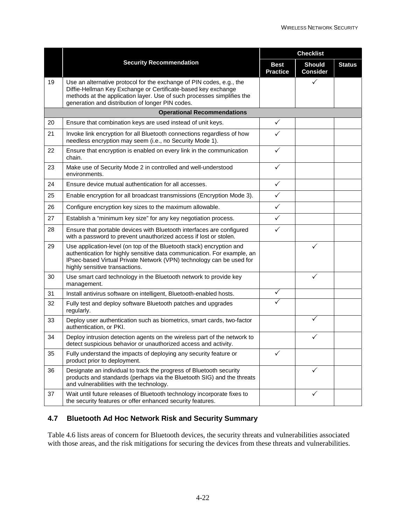|    |                                                                                                                                                                                                                                                                     |                                | <b>Checklist</b>                 |               |  |
|----|---------------------------------------------------------------------------------------------------------------------------------------------------------------------------------------------------------------------------------------------------------------------|--------------------------------|----------------------------------|---------------|--|
|    | <b>Security Recommendation</b>                                                                                                                                                                                                                                      | <b>Best</b><br><b>Practice</b> | <b>Should</b><br><b>Consider</b> | <b>Status</b> |  |
| 19 | Use an alternative protocol for the exchange of PIN codes, e.g., the<br>Diffie-Hellman Key Exchange or Certificate-based key exchange<br>methods at the application layer. Use of such processes simplifies the<br>generation and distribution of longer PIN codes. |                                | $\checkmark$                     |               |  |
|    | <b>Operational Recommendations</b>                                                                                                                                                                                                                                  |                                |                                  |               |  |
| 20 | Ensure that combination keys are used instead of unit keys.                                                                                                                                                                                                         | $\checkmark$                   |                                  |               |  |
| 21 | Invoke link encryption for all Bluetooth connections regardless of how<br>needless encryption may seem (i.e., no Security Mode 1).                                                                                                                                  | ✓                              |                                  |               |  |
| 22 | Ensure that encryption is enabled on every link in the communication<br>chain.                                                                                                                                                                                      | $\checkmark$                   |                                  |               |  |
| 23 | Make use of Security Mode 2 in controlled and well-understood<br>environments.                                                                                                                                                                                      | ✓                              |                                  |               |  |
| 24 | Ensure device mutual authentication for all accesses.                                                                                                                                                                                                               | $\checkmark$                   |                                  |               |  |
| 25 | Enable encryption for all broadcast transmissions (Encryption Mode 3).                                                                                                                                                                                              | $\checkmark$                   |                                  |               |  |
| 26 | Configure encryption key sizes to the maximum allowable.                                                                                                                                                                                                            |                                |                                  |               |  |
| 27 | Establish a "minimum key size" for any key negotiation process.                                                                                                                                                                                                     | $\checkmark$                   |                                  |               |  |
| 28 | Ensure that portable devices with Bluetooth interfaces are configured<br>with a password to prevent unauthorized access if lost or stolen.                                                                                                                          | ✓                              |                                  |               |  |
| 29 | Use application-level (on top of the Bluetooth stack) encryption and<br>authentication for highly sensitive data communication. For example, an<br>IPsec-based Virtual Private Network (VPN) technology can be used for<br>highly sensitive transactions.           |                                | ✓                                |               |  |
| 30 | Use smart card technology in the Bluetooth network to provide key<br>management.                                                                                                                                                                                    |                                | $\checkmark$                     |               |  |
| 31 | Install antivirus software on intelligent, Bluetooth-enabled hosts.                                                                                                                                                                                                 | $\checkmark$                   |                                  |               |  |
| 32 | Fully test and deploy software Bluetooth patches and upgrades<br>regularly.                                                                                                                                                                                         |                                |                                  |               |  |
| 33 | Deploy user authentication such as biometrics, smart cards, two-factor<br>authentication, or PKI.                                                                                                                                                                   |                                | ✓                                |               |  |
| 34 | Deploy intrusion detection agents on the wireless part of the network to<br>detect suspicious behavior or unauthorized access and activity.                                                                                                                         |                                | ✓                                |               |  |
| 35 | Fully understand the impacts of deploying any security feature or<br>product prior to deployment.                                                                                                                                                                   | ✓                              |                                  |               |  |
| 36 | Designate an individual to track the progress of Bluetooth security<br>products and standards (perhaps via the Bluetooth SIG) and the threats<br>and vulnerabilities with the technology.                                                                           |                                | ✓                                |               |  |
| 37 | Wait until future releases of Bluetooth technology incorporate fixes to<br>the security features or offer enhanced security features.                                                                                                                               |                                | ✓                                |               |  |

## **4.7 Bluetooth Ad Hoc Network Risk and Security Summary**

Table 4.6 lists areas of concern for Bluetooth devices, the security threats and vulnerabilities associated with those areas, and the risk mitigations for securing the devices from these threats and vulnerabilities.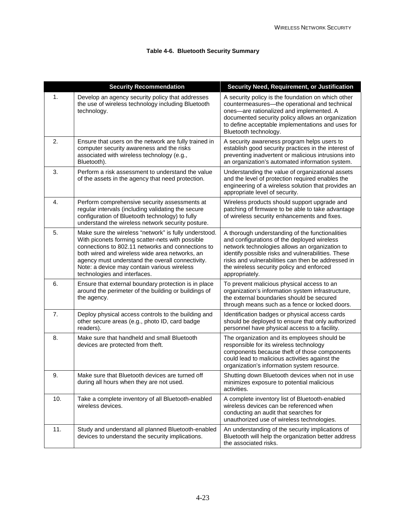#### **Table 4-6. Bluetooth Security Summary**

|     | <b>Security Recommendation</b>                                                                                                                                                                                                                                                                                                                      | Security Need, Requirement, or Justification                                                                                                                                                                                                                                                                                |
|-----|-----------------------------------------------------------------------------------------------------------------------------------------------------------------------------------------------------------------------------------------------------------------------------------------------------------------------------------------------------|-----------------------------------------------------------------------------------------------------------------------------------------------------------------------------------------------------------------------------------------------------------------------------------------------------------------------------|
| 1.  | Develop an agency security policy that addresses<br>the use of wireless technology including Bluetooth<br>technology.                                                                                                                                                                                                                               | A security policy is the foundation on which other<br>countermeasures-the operational and technical<br>ones-are rationalized and implemented. A<br>documented security policy allows an organization<br>to define acceptable implementations and uses for<br>Bluetooth technology.                                          |
| 2.  | Ensure that users on the network are fully trained in<br>computer security awareness and the risks<br>associated with wireless technology (e.g.,<br>Bluetooth).                                                                                                                                                                                     | A security awareness program helps users to<br>establish good security practices in the interest of<br>preventing inadvertent or malicious intrusions into<br>an organization's automated information system.                                                                                                               |
| 3.  | Perform a risk assessment to understand the value<br>of the assets in the agency that need protection.                                                                                                                                                                                                                                              | Understanding the value of organizational assets<br>and the level of protection required enables the<br>engineering of a wireless solution that provides an<br>appropriate level of security.                                                                                                                               |
| 4.  | Perform comprehensive security assessments at<br>regular intervals (including validating the secure<br>configuration of Bluetooth technology) to fully<br>understand the wireless network security posture.                                                                                                                                         | Wireless products should support upgrade and<br>patching of firmware to be able to take advantage<br>of wireless security enhancements and fixes.                                                                                                                                                                           |
| 5.  | Make sure the wireless "network" is fully understood.<br>With piconets forming scatter-nets with possible<br>connections to 802.11 networks and connections to<br>both wired and wireless wide area networks, an<br>agency must understand the overall connectivity.<br>Note: a device may contain various wireless<br>technologies and interfaces. | A thorough understanding of the functionalities<br>and configurations of the deployed wireless<br>network technologies allows an organization to<br>identify possible risks and vulnerabilities. These<br>risks and vulnerabilities can then be addressed in<br>the wireless security policy and enforced<br>appropriately. |
| 6.  | Ensure that external boundary protection is in place<br>around the perimeter of the building or buildings of<br>the agency.                                                                                                                                                                                                                         | To prevent malicious physical access to an<br>organization's information system infrastructure,<br>the external boundaries should be secured<br>through means such as a fence or locked doors.                                                                                                                              |
| 7.  | Deploy physical access controls to the building and<br>other secure areas (e.g., photo ID, card badge<br>readers).                                                                                                                                                                                                                                  | Identification badges or physical access cards<br>should be deployed to ensure that only authorized<br>personnel have physical access to a facility.                                                                                                                                                                        |
| 8.  | Make sure that handheld and small Bluetooth<br>devices are protected from theft.                                                                                                                                                                                                                                                                    | The organization and its employees should be<br>responsible for its wireless technology<br>components because theft of those components<br>could lead to malicious activities against the<br>organization's information system resource.                                                                                    |
| 9.  | Make sure that Bluetooth devices are turned off<br>during all hours when they are not used.                                                                                                                                                                                                                                                         | Shutting down Bluetooth devices when not in use<br>minimizes exposure to potential malicious<br>activities.                                                                                                                                                                                                                 |
| 10. | Take a complete inventory of all Bluetooth-enabled<br>wireless devices.                                                                                                                                                                                                                                                                             | A complete inventory list of Bluetooth-enabled<br>wireless devices can be referenced when<br>conducting an audit that searches for<br>unauthorized use of wireless technologies.                                                                                                                                            |
| 11. | Study and understand all planned Bluetooth-enabled<br>devices to understand the security implications.                                                                                                                                                                                                                                              | An understanding of the security implications of<br>Bluetooth will help the organization better address<br>the associated risks.                                                                                                                                                                                            |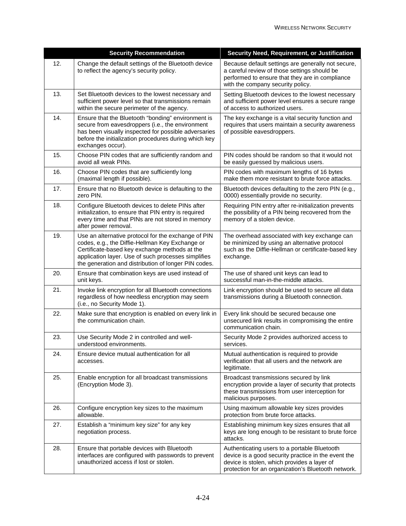|     | <b>Security Recommendation</b>                                                                                                                                                                                                                                         | <b>Security Need, Requirement, or Justification</b>                                                                                                                                                       |
|-----|------------------------------------------------------------------------------------------------------------------------------------------------------------------------------------------------------------------------------------------------------------------------|-----------------------------------------------------------------------------------------------------------------------------------------------------------------------------------------------------------|
| 12. | Change the default settings of the Bluetooth device<br>to reflect the agency's security policy.                                                                                                                                                                        | Because default settings are generally not secure,<br>a careful review of those settings should be<br>performed to ensure that they are in compliance<br>with the company security policy.                |
| 13. | Set Bluetooth devices to the lowest necessary and<br>sufficient power level so that transmissions remain<br>within the secure perimeter of the agency.                                                                                                                 | Setting Bluetooth devices to the lowest necessary<br>and sufficient power level ensures a secure range<br>of access to authorized users.                                                                  |
| 14. | Ensure that the Bluetooth "bonding" environment is<br>secure from eavesdroppers (i.e., the environment<br>has been visually inspected for possible adversaries<br>before the initialization procedures during which key<br>exchanges occur).                           | The key exchange is a vital security function and<br>requires that users maintain a security awareness<br>of possible eavesdroppers.                                                                      |
| 15. | Choose PIN codes that are sufficiently random and<br>avoid all weak PINs.                                                                                                                                                                                              | PIN codes should be random so that it would not<br>be easily guessed by malicious users.                                                                                                                  |
| 16. | Choose PIN codes that are sufficiently long<br>(maximal length if possible).                                                                                                                                                                                           | PIN codes with maximum lengths of 16 bytes<br>make them more resistant to brute force attacks.                                                                                                            |
| 17. | Ensure that no Bluetooth device is defaulting to the<br>zero PIN.                                                                                                                                                                                                      | Bluetooth devices defaulting to the zero PIN (e.g.,<br>0000) essentially provide no security.                                                                                                             |
| 18. | Configure Bluetooth devices to delete PINs after<br>initialization, to ensure that PIN entry is required<br>every time and that PINs are not stored in memory<br>after power removal.                                                                                  | Requiring PIN entry after re-initialization prevents<br>the possibility of a PIN being recovered from the<br>memory of a stolen device.                                                                   |
| 19. | Use an alternative protocol for the exchange of PIN<br>codes, e.g., the Diffie-Hellman Key Exchange or<br>Certificate-based key exchange methods at the<br>application layer. Use of such processes simplifies<br>the generation and distribution of longer PIN codes. | The overhead associated with key exchange can<br>be minimized by using an alternative protocol<br>such as the Diffie-Hellman or certificate-based key<br>exchange.                                        |
| 20. | Ensure that combination keys are used instead of<br>unit keys.                                                                                                                                                                                                         | The use of shared unit keys can lead to<br>successful man-in-the-middle attacks.                                                                                                                          |
| 21. | Invoke link encryption for all Bluetooth connections<br>regardless of how needless encryption may seem<br>(i.e., no Security Mode 1).                                                                                                                                  | Link encryption should be used to secure all data<br>transmissions during a Bluetooth connection.                                                                                                         |
| 22. | Make sure that encryption is enabled on every link in<br>the communication chain.                                                                                                                                                                                      | Every link should be secured because one<br>unsecured link results in compromising the entire<br>communication chain.                                                                                     |
| 23. | Use Security Mode 2 in controlled and well-<br>understood environments.                                                                                                                                                                                                | Security Mode 2 provides authorized access to<br>services.                                                                                                                                                |
| 24. | Ensure device mutual authentication for all<br>accesses.                                                                                                                                                                                                               | Mutual authentication is required to provide<br>verification that all users and the network are<br>legitimate.                                                                                            |
| 25. | Enable encryption for all broadcast transmissions<br>(Encryption Mode 3).                                                                                                                                                                                              | Broadcast transmissions secured by link<br>encryption provide a layer of security that protects<br>these transmissions from user interception for<br>malicious purposes.                                  |
| 26. | Configure encryption key sizes to the maximum<br>allowable.                                                                                                                                                                                                            | Using maximum allowable key sizes provides<br>protection from brute force attacks.                                                                                                                        |
| 27. | Establish a "minimum key size" for any key<br>negotiation process.                                                                                                                                                                                                     | Establishing minimum key sizes ensures that all<br>keys are long enough to be resistant to brute force<br>attacks.                                                                                        |
| 28. | Ensure that portable devices with Bluetooth<br>interfaces are configured with passwords to prevent<br>unauthorized access if lost or stolen.                                                                                                                           | Authenticating users to a portable Bluetooth<br>device is a good security practice in the event the<br>device is stolen, which provides a layer of<br>protection for an organization's Bluetooth network. |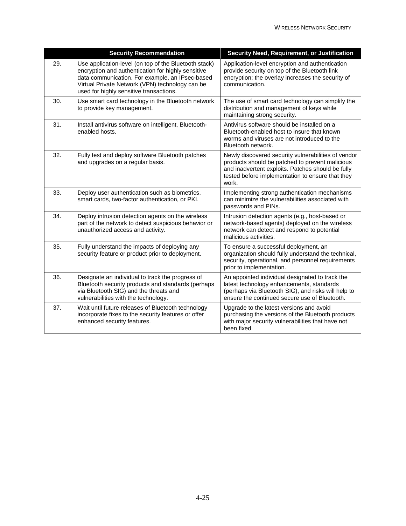|     | <b>Security Recommendation</b>                                                                                                                                                                                                                               | Security Need, Requirement, or Justification                                                                                                                                                                             |
|-----|--------------------------------------------------------------------------------------------------------------------------------------------------------------------------------------------------------------------------------------------------------------|--------------------------------------------------------------------------------------------------------------------------------------------------------------------------------------------------------------------------|
| 29. | Use application-level (on top of the Bluetooth stack)<br>encryption and authentication for highly sensitive<br>data communication. For example, an IPsec-based<br>Virtual Private Network (VPN) technology can be<br>used for highly sensitive transactions. | Application-level encryption and authentication<br>provide security on top of the Bluetooth link<br>encryption; the overlay increases the security of<br>communication.                                                  |
| 30. | Use smart card technology in the Bluetooth network<br>to provide key management.                                                                                                                                                                             | The use of smart card technology can simplify the<br>distribution and management of keys while<br>maintaining strong security.                                                                                           |
| 31. | Install antivirus software on intelligent, Bluetooth-<br>enabled hosts.                                                                                                                                                                                      | Antivirus software should be installed on a<br>Bluetooth-enabled host to insure that known<br>worms and viruses are not introduced to the<br>Bluetooth network.                                                          |
| 32. | Fully test and deploy software Bluetooth patches<br>and upgrades on a regular basis.                                                                                                                                                                         | Newly discovered security vulnerabilities of vendor<br>products should be patched to prevent malicious<br>and inadvertent exploits. Patches should be fully<br>tested before implementation to ensure that they<br>work. |
| 33. | Deploy user authentication such as biometrics,<br>smart cards, two-factor authentication, or PKI.                                                                                                                                                            | Implementing strong authentication mechanisms<br>can minimize the vulnerabilities associated with<br>passwords and PINs.                                                                                                 |
| 34. | Deploy intrusion detection agents on the wireless<br>part of the network to detect suspicious behavior or<br>unauthorized access and activity.                                                                                                               | Intrusion detection agents (e.g., host-based or<br>network-based agents) deployed on the wireless<br>network can detect and respond to potential<br>malicious activities.                                                |
| 35. | Fully understand the impacts of deploying any<br>security feature or product prior to deployment.                                                                                                                                                            | To ensure a successful deployment, an<br>organization should fully understand the technical,<br>security, operational, and personnel requirements<br>prior to implementation.                                            |
| 36. | Designate an individual to track the progress of<br>Bluetooth security products and standards (perhaps<br>via Bluetooth SIG) and the threats and<br>vulnerabilities with the technology.                                                                     | An appointed individual designated to track the<br>latest technology enhancements, standards<br>(perhaps via Bluetooth SIG), and risks will help to<br>ensure the continued secure use of Bluetooth.                     |
| 37. | Wait until future releases of Bluetooth technology<br>incorporate fixes to the security features or offer<br>enhanced security features.                                                                                                                     | Upgrade to the latest versions and avoid<br>purchasing the versions of the Bluetooth products<br>with major security vulnerabilities that have not<br>been fixed.                                                        |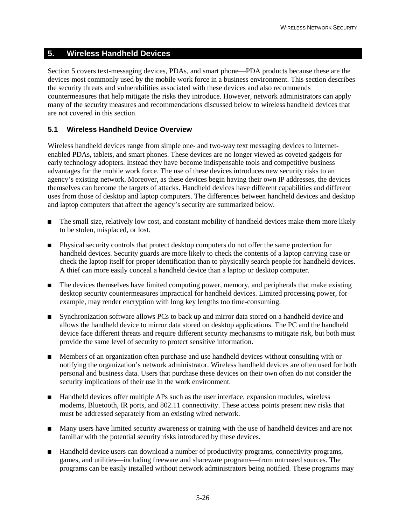#### **5. Wireless Handheld Devices**

Section 5 covers text-messaging devices, PDAs, and smart phone—PDA products because these are the devices most commonly used by the mobile work force in a business environment. This section describes the security threats and vulnerabilities associated with these devices and also recommends countermeasures that help mitigate the risks they introduce. However, network administrators can apply many of the security measures and recommendations discussed below to wireless handheld devices that are not covered in this section.

#### **5.1 Wireless Handheld Device Overview**

Wireless handheld devices range from simple one- and two-way text messaging devices to Internetenabled PDAs, tablets, and smart phones. These devices are no longer viewed as coveted gadgets for early technology adopters. Instead they have become indispensable tools and competitive business advantages for the mobile work force. The use of these devices introduces new security risks to an agency's existing network. Moreover, as these devices begin having their own IP addresses, the devices themselves can become the targets of attacks. Handheld devices have different capabilities and different uses from those of desktop and laptop computers. The differences between handheld devices and desktop and laptop computers that affect the agency's security are summarized below.

- **I.** The small size, relatively low cost, and constant mobility of handheld devices make them more likely to be stolen, misplaced, or lost.
- **If** Physical security controls that protect desktop computers do not offer the same protection for handheld devices. Security guards are more likely to check the contents of a laptop carrying case or check the laptop itself for proper identification than to physically search people for handheld devices. A thief can more easily conceal a handheld device than a laptop or desktop computer.
- **If the devices themselves have limited computing power, memory, and peripherals that make existing** desktop security countermeasures impractical for handheld devices. Limited processing power, for example, may render encryption with long key lengths too time-consuming.
- **I.** Synchronization software allows PCs to back up and mirror data stored on a handheld device and allows the handheld device to mirror data stored on desktop applications. The PC and the handheld device face different threats and require different security mechanisms to mitigate risk, but both must provide the same level of security to protect sensitive information.
- **I.** Members of an organization often purchase and use handheld devices without consulting with or notifying the organization's network administrator. Wireless handheld devices are often used for both personal and business data. Users that purchase these devices on their own often do not consider the security implications of their use in the work environment.
- ! Handheld devices offer multiple APs such as the user interface, expansion modules, wireless modems, Bluetooth, IR ports, and 802.11 connectivity. These access points present new risks that must be addressed separately from an existing wired network.
- ! Many users have limited security awareness or training with the use of handheld devices and are not familiar with the potential security risks introduced by these devices.
- ! Handheld device users can download a number of productivity programs, connectivity programs, games, and utilities—including freeware and shareware programs—from untrusted sources. The programs can be easily installed without network administrators being notified. These programs may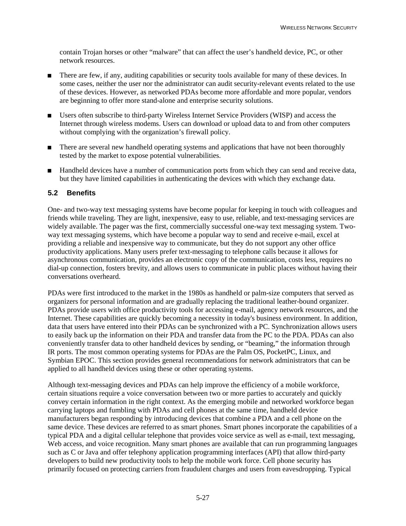contain Trojan horses or other "malware" that can affect the user's handheld device, PC, or other network resources.

- **If all 1** There are few, if any, auditing capabilities or security tools available for many of these devices. In some cases, neither the user nor the administrator can audit security-relevant events related to the use of these devices. However, as networked PDAs become more affordable and more popular, vendors are beginning to offer more stand-alone and enterprise security solutions.
- ! Users often subscribe to third-party Wireless Internet Service Providers (WISP) and access the Internet through wireless modems. Users can download or upload data to and from other computers without complying with the organization's firewall policy.
- ! There are several new handheld operating systems and applications that have not been thoroughly tested by the market to expose potential vulnerabilities.
- ! Handheld devices have a number of communication ports from which they can send and receive data, but they have limited capabilities in authenticating the devices with which they exchange data.

#### **5.2 Benefits**

One- and two-way text messaging systems have become popular for keeping in touch with colleagues and friends while traveling. They are light, inexpensive, easy to use, reliable, and text-messaging services are widely available. The pager was the first, commercially successful one-way text messaging system. Twoway text messaging systems, which have become a popular way to send and receive e-mail, excel at providing a reliable and inexpensive way to communicate, but they do not support any other office productivity applications. Many users prefer text-messaging to telephone calls because it allows for asynchronous communication, provides an electronic copy of the communication, costs less, requires no dial-up connection, fosters brevity, and allows users to communicate in public places without having their conversations overheard.

PDAs were first introduced to the market in the 1980s as handheld or palm-size computers that served as organizers for personal information and are gradually replacing the traditional leather-bound organizer. PDAs provide users with office productivity tools for accessing e-mail, agency network resources, and the Internet. These capabilities are quickly becoming a necessity in today's business environment. In addition, data that users have entered into their PDAs can be synchronized with a PC. Synchronization allows users to easily back up the information on their PDA and transfer data from the PC to the PDA. PDAs can also conveniently transfer data to other handheld devices by sending, or "beaming," the information through IR ports. The most common operating systems for PDAs are the Palm OS, PocketPC, Linux, and Symbian EPOC. This section provides general recommendations for network administrators that can be applied to all handheld devices using these or other operating systems.

Although text-messaging devices and PDAs can help improve the efficiency of a mobile workforce, certain situations require a voice conversation between two or more parties to accurately and quickly convey certain information in the right context. As the emerging mobile and networked workforce began carrying laptops and fumbling with PDAs and cell phones at the same time, handheld device manufacturers began responding by introducing devices that combine a PDA and a cell phone on the same device. These devices are referred to as smart phones. Smart phones incorporate the capabilities of a typical PDA and a digital cellular telephone that provides voice service as well as e-mail, text messaging, Web access, and voice recognition. Many smart phones are available that can run programming languages such as C or Java and offer telephony application programming interfaces (API) that allow third-party developers to build new productivity tools to help the mobile work force. Cell phone security has primarily focused on protecting carriers from fraudulent charges and users from eavesdropping. Typical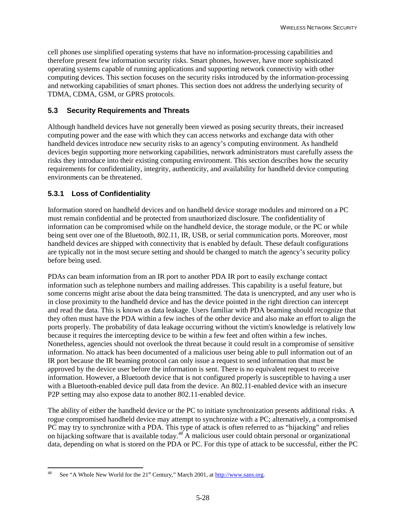cell phones use simplified operating systems that have no information-processing capabilities and therefore present few information security risks. Smart phones, however, have more sophisticated operating systems capable of running applications and supporting network connectivity with other computing devices. This section focuses on the security risks introduced by the information-processing and networking capabilities of smart phones. This section does not address the underlying security of TDMA, CDMA, GSM, or GPRS protocols.

#### **5.3 Security Requirements and Threats**

Although handheld devices have not generally been viewed as posing security threats, their increased computing power and the ease with which they can access networks and exchange data with other handheld devices introduce new security risks to an agency's computing environment. As handheld devices begin supporting more networking capabilities, network administrators must carefully assess the risks they introduce into their existing computing environment. This section describes how the security requirements for confidentiality, integrity, authenticity, and availability for handheld device computing environments can be threatened.

## **5.3.1 Loss of Confidentiality**

Information stored on handheld devices and on handheld device storage modules and mirrored on a PC must remain confidential and be protected from unauthorized disclosure. The confidentiality of information can be compromised while on the handheld device, the storage module, or the PC or while being sent over one of the Bluetooth, 802.11, IR, USB, or serial communication ports. Moreover, most handheld devices are shipped with connectivity that is enabled by default. These default configurations are typically not in the most secure setting and should be changed to match the agency's security policy before being used.

PDAs can beam information from an IR port to another PDA IR port to easily exchange contact information such as telephone numbers and mailing addresses. This capability is a useful feature, but some concerns might arise about the data being transmitted. The data is unencrypted, and any user who is in close proximity to the handheld device and has the device pointed in the right direction can intercept and read the data. This is known as data leakage. Users familiar with PDA beaming should recognize that they often must have the PDA within a few inches of the other device and also make an effort to align the ports properly. The probability of data leakage occurring without the victim's knowledge is relatively low because it requires the intercepting device to be within a few feet and often within a few inches. Nonetheless, agencies should not overlook the threat because it could result in a compromise of sensitive information. No attack has been documented of a malicious user being able to pull information out of an IR port because the IR beaming protocol can only issue a request to send information that must be approved by the device user before the information is sent. There is no equivalent request to receive information. However, a Bluetooth device that is not configured properly is susceptible to having a user with a Bluetooth-enabled device pull data from the device. An 802.11-enabled device with an insecure P2P setting may also expose data to another 802.11-enabled device.

The ability of either the handheld device or the PC to initiate synchronization presents additional risks. A rogue compromised handheld device may attempt to synchronize with a PC; alternatively, a compromised PC may try to synchronize with a PDA. This type of attack is often referred to as "hijacking" and relies on hijacking software that is available today.*<sup>48</sup>* A malicious user could obtain personal or organizational data, depending on what is stored on the PDA or PC. For this type of attack to be successful, either the PC

<sup>1</sup> <sup>48</sup> See "A Whole New World for the 21<sup>st</sup> Century," March 2001, at http://www.sans.org.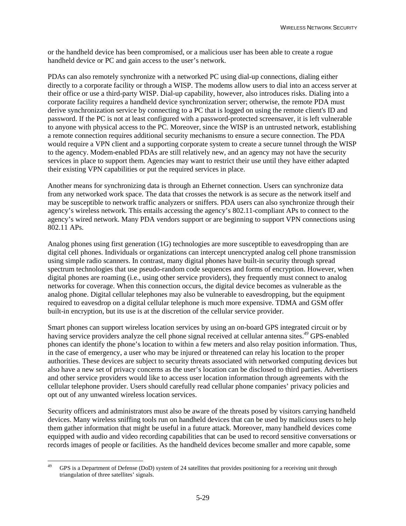or the handheld device has been compromised, or a malicious user has been able to create a rogue handheld device or PC and gain access to the user's network.

PDAs can also remotely synchronize with a networked PC using dial-up connections, dialing either directly to a corporate facility or through a WISP. The modems allow users to dial into an access server at their office or use a third-party WISP. Dial-up capability, however, also introduces risks. Dialing into a corporate facility requires a handheld device synchronization server; otherwise, the remote PDA must derive synchronization service by connecting to a PC that is logged on using the remote client's ID and password. If the PC is not at least configured with a password-protected screensaver, it is left vulnerable to anyone with physical access to the PC. Moreover, since the WISP is an untrusted network, establishing a remote connection requires additional security mechanisms to ensure a secure connection. The PDA would require a VPN client and a supporting corporate system to create a secure tunnel through the WISP to the agency. Modem-enabled PDAs are still relatively new, and an agency may not have the security services in place to support them. Agencies may want to restrict their use until they have either adapted their existing VPN capabilities or put the required services in place.

Another means for synchronizing data is through an Ethernet connection. Users can synchronize data from any networked work space. The data that crosses the network is as secure as the network itself and may be susceptible to network traffic analyzers or sniffers. PDA users can also synchronize through their agency's wireless network. This entails accessing the agency's 802.11-compliant APs to connect to the agency's wired network. Many PDA vendors support or are beginning to support VPN connections using 802.11 APs.

Analog phones using first generation (1G) technologies are more susceptible to eavesdropping than are digital cell phones. Individuals or organizations can intercept unencrypted analog cell phone transmission using simple radio scanners. In contrast, many digital phones have built-in security through spread spectrum technologies that use pseudo-random code sequences and forms of encryption. However, when digital phones are roaming (i.e., using other service providers), they frequently must connect to analog networks for coverage. When this connection occurs, the digital device becomes as vulnerable as the analog phone. Digital cellular telephones may also be vulnerable to eavesdropping, but the equipment required to eavesdrop on a digital cellular telephone is much more expensive. TDMA and GSM offer built-in encryption, but its use is at the discretion of the cellular service provider.

Smart phones can support wireless location services by using an on-board GPS integrated circuit or by having service providers analyze the cell phone signal received at cellular antenna sites.*<sup>49</sup>* GPS-enabled phones can identify the phone's location to within a few meters and also relay position information. Thus, in the case of emergency, a user who may be injured or threatened can relay his location to the proper authorities. These devices are subject to security threats associated with networked computing devices but also have a new set of privacy concerns as the user's location can be disclosed to third parties. Advertisers and other service providers would like to access user location information through agreements with the cellular telephone provider. Users should carefully read cellular phone companies' privacy policies and opt out of any unwanted wireless location services.

Security officers and administrators must also be aware of the threats posed by visitors carrying handheld devices. Many wireless sniffing tools run on handheld devices that can be used by malicious users to help them gather information that might be useful in a future attack. Moreover, many handheld devices come equipped with audio and video recording capabilities that can be used to record sensitive conversations or records images of people or facilities. As the handheld devices become smaller and more capable, some

<sup>49</sup> GPS is a Department of Defense (DoD) system of 24 satellites that provides positioning for a receiving unit through triangulation of three satellites' signals.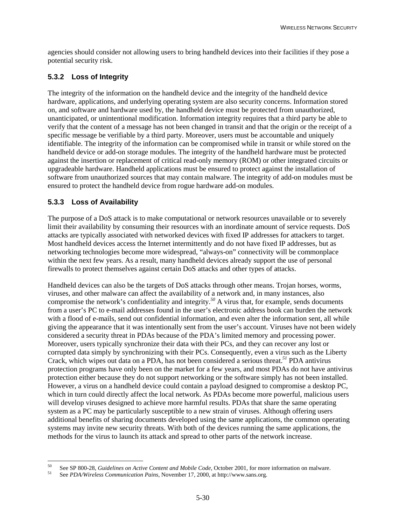agencies should consider not allowing users to bring handheld devices into their facilities if they pose a potential security risk.

## **5.3.2 Loss of Integrity**

The integrity of the information on the handheld device and the integrity of the handheld device hardware, applications, and underlying operating system are also security concerns. Information stored on, and software and hardware used by, the handheld device must be protected from unauthorized, unanticipated, or unintentional modification. Information integrity requires that a third party be able to verify that the content of a message has not been changed in transit and that the origin or the receipt of a specific message be verifiable by a third party. Moreover, users must be accountable and uniquely identifiable. The integrity of the information can be compromised while in transit or while stored on the handheld device or add-on storage modules. The integrity of the handheld hardware must be protected against the insertion or replacement of critical read-only memory (ROM) or other integrated circuits or upgradeable hardware. Handheld applications must be ensured to protect against the installation of software from unauthorized sources that may contain malware. The integrity of add-on modules must be ensured to protect the handheld device from rogue hardware add-on modules.

## **5.3.3 Loss of Availability**

The purpose of a DoS attack is to make computational or network resources unavailable or to severely limit their availability by consuming their resources with an inordinate amount of service requests. DoS attacks are typically associated with networked devices with fixed IP addresses for attackers to target. Most handheld devices access the Internet intermittently and do not have fixed IP addresses, but as networking technologies become more widespread, "always-on" connectivity will be commonplace within the next few years. As a result, many handheld devices already support the use of personal firewalls to protect themselves against certain DoS attacks and other types of attacks.

Handheld devices can also be the targets of DoS attacks through other means. Trojan horses, worms, viruses, and other malware can affect the availability of a network and, in many instances, also compromise the network's confidentiality and integrity.*<sup>50</sup>* A virus that, for example, sends documents from a user's PC to e-mail addresses found in the user's electronic address book can burden the network with a flood of e-mails, send out confidential information, and even alter the information sent, all while giving the appearance that it was intentionally sent from the user's account. Viruses have not been widely considered a security threat in PDAs because of the PDA's limited memory and processing power. Moreover, users typically synchronize their data with their PCs, and they can recover any lost or corrupted data simply by synchronizing with their PCs. Consequently, even a virus such as the Liberty Crack, which wipes out data on a PDA, has not been considered a serious threat.*<sup>51</sup>* PDA antivirus protection programs have only been on the market for a few years, and most PDAs do not have antivirus protection either because they do not support networking or the software simply has not been installed. However, a virus on a handheld device could contain a payload designed to compromise a desktop PC, which in turn could directly affect the local network. As PDAs become more powerful, malicious users will develop viruses designed to achieve more harmful results. PDAs that share the same operating system as a PC may be particularly susceptible to a new strain of viruses. Although offering users additional benefits of sharing documents developed using the same applications, the common operating systems may invite new security threats. With both of the devices running the same applications, the methods for the virus to launch its attack and spread to other parts of the network increase.

<sup>50</sup> 50 See SP 800-28, *Guidelines on Active Content and Mobile Code,* October 2001, for more information on malware. 51 See *PDA/Wireless Communication Pains*, November 17, 2000, at http://www.sans.org.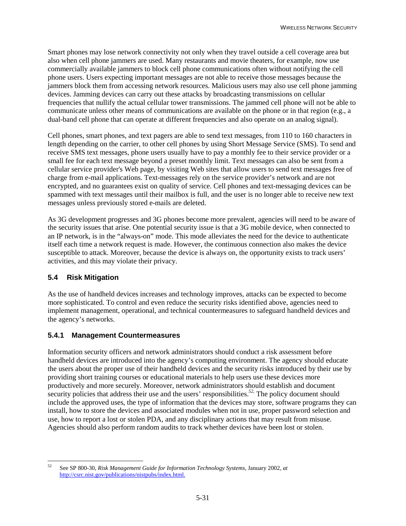Smart phones may lose network connectivity not only when they travel outside a cell coverage area but also when cell phone jammers are used. Many restaurants and movie theaters, for example, now use commercially available jammers to block cell phone communications often without notifying the cell phone users. Users expecting important messages are not able to receive those messages because the jammers block them from accessing network resources. Malicious users may also use cell phone jamming devices. Jamming devices can carry out these attacks by broadcasting transmissions on cellular frequencies that nullify the actual cellular tower transmissions. The jammed cell phone will not be able to communicate unless other means of communications are available on the phone or in that region (e.g., a dual-band cell phone that can operate at different frequencies and also operate on an analog signal).

Cell phones, smart phones, and text pagers are able to send text messages, from 110 to 160 characters in length depending on the carrier, to other cell phones by using Short Message Service (SMS). To send and receive SMS text messages, phone users usually have to pay a monthly fee to their service provider or a small fee for each text message beyond a preset monthly limit. Text messages can also be sent from a cellular service provider's Web page, by visiting Web sites that allow users to send text messages free of charge from e-mail applications. Text-messages rely on the service provider's network and are not encrypted, and no guarantees exist on quality of service. Cell phones and text-messaging devices can be spammed with text messages until their mailbox is full, and the user is no longer able to receive new text messages unless previously stored e-mails are deleted.

As 3G development progresses and 3G phones become more prevalent, agencies will need to be aware of the security issues that arise. One potential security issue is that a 3G mobile device, when connected to an IP network, is in the "always-on" mode. This mode alleviates the need for the device to authenticate itself each time a network request is made. However, the continuous connection also makes the device susceptible to attack. Moreover, because the device is always on, the opportunity exists to track users' activities, and this may violate their privacy.

#### **5.4 Risk Mitigation**

As the use of handheld devices increases and technology improves, attacks can be expected to become more sophisticated. To control and even reduce the security risks identified above, agencies need to implement management, operational, and technical countermeasures to safeguard handheld devices and the agency's networks.

#### **5.4.1 Management Countermeasures**

Information security officers and network administrators should conduct a risk assessment before handheld devices are introduced into the agency's computing environment. The agency should educate the users about the proper use of their handheld devices and the security risks introduced by their use by providing short training courses or educational materials to help users use these devices more productively and more securely. Moreover, network administrators should establish and document security policies that address their use and the users' responsibilities.*52,* The policy document should include the approved uses, the type of information that the devices may store, software programs they can install, how to store the devices and associated modules when not in use, proper password selection and use, how to report a lost or stolen PDA, and any disciplinary actions that may result from misuse. Agencies should also perform random audits to track whether devices have been lost or stolen.

<sup>52</sup> 52 See SP 800-30*, Risk Management Guide for Information Technology Systems,* January 2002*, at* http://csrc.nist.gov/publications/nistpubs/index.html.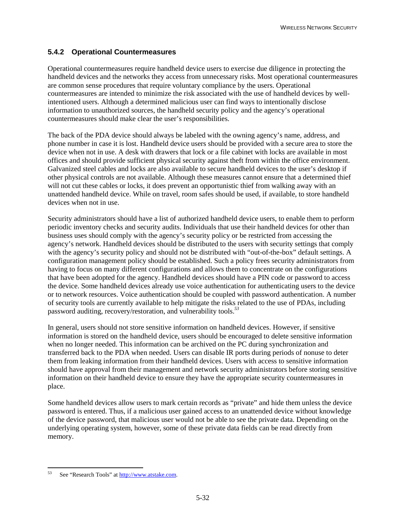## **5.4.2 Operational Countermeasures**

Operational countermeasures require handheld device users to exercise due diligence in protecting the handheld devices and the networks they access from unnecessary risks. Most operational countermeasures are common sense procedures that require voluntary compliance by the users. Operational countermeasures are intended to minimize the risk associated with the use of handheld devices by wellintentioned users. Although a determined malicious user can find ways to intentionally disclose information to unauthorized sources, the handheld security policy and the agency's operational countermeasures should make clear the user's responsibilities.

The back of the PDA device should always be labeled with the owning agency's name, address, and phone number in case it is lost. Handheld device users should be provided with a secure area to store the device when not in use. A desk with drawers that lock or a file cabinet with locks are available in most offices and should provide sufficient physical security against theft from within the office environment. Galvanized steel cables and locks are also available to secure handheld devices to the user's desktop if other physical controls are not available. Although these measures cannot ensure that a determined thief will not cut these cables or locks, it does prevent an opportunistic thief from walking away with an unattended handheld device. While on travel, room safes should be used, if available, to store handheld devices when not in use.

Security administrators should have a list of authorized handheld device users, to enable them to perform periodic inventory checks and security audits. Individuals that use their handheld devices for other than business uses should comply with the agency's security policy or be restricted from accessing the agency's network. Handheld devices should be distributed to the users with security settings that comply with the agency's security policy and should not be distributed with "out-of-the-box" default settings. A configuration management policy should be established. Such a policy frees security administrators from having to focus on many different configurations and allows them to concentrate on the configurations that have been adopted for the agency. Handheld devices should have a PIN code or password to access the device. Some handheld devices already use voice authentication for authenticating users to the device or to network resources. Voice authentication should be coupled with password authentication. A number of security tools are currently available to help mitigate the risks related to the use of PDAs, including password auditing, recovery/restoration, and vulnerability tools.*<sup>53</sup>*

In general, users should not store sensitive information on handheld devices. However, if sensitive information is stored on the handheld device, users should be encouraged to delete sensitive information when no longer needed. This information can be archived on the PC during synchronization and transferred back to the PDA when needed. Users can disable IR ports during periods of nonuse to deter them from leaking information from their handheld devices. Users with access to sensitive information should have approval from their management and network security administrators before storing sensitive information on their handheld device to ensure they have the appropriate security countermeasures in place.

Some handheld devices allow users to mark certain records as "private" and hide them unless the device password is entered. Thus, if a malicious user gained access to an unattended device without knowledge of the device password, that malicious user would not be able to see the private data. Depending on the underlying operating system, however, some of these private data fields can be read directly from memory.

l See "Research Tools" at http://www.atstake.com.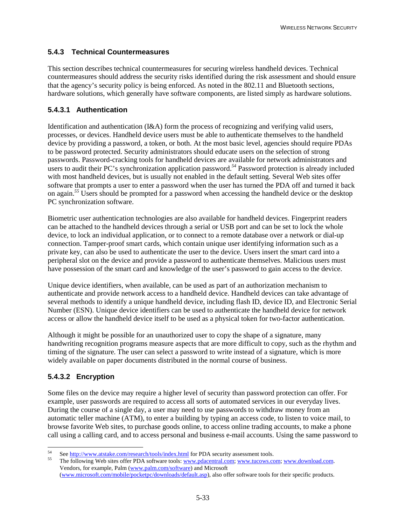## **5.4.3 Technical Countermeasures**

This section describes technical countermeasures for securing wireless handheld devices. Technical countermeasures should address the security risks identified during the risk assessment and should ensure that the agency's security policy is being enforced. As noted in the 802.11 and Bluetooth sections, hardware solutions, which generally have software components, are listed simply as hardware solutions.

## **5.4.3.1 Authentication**

Identification and authentication (I&A) form the process of recognizing and verifying valid users, processes, or devices. Handheld device users must be able to authenticate themselves to the handheld device by providing a password, a token, or both. At the most basic level, agencies should require PDAs to be password protected. Security administrators should educate users on the selection of strong passwords. Password-cracking tools for handheld devices are available for network administrators and users to audit their PC's synchronization application password.<sup>54</sup> Password protection is already included with most handheld devices, but is usually not enabled in the default setting. Several Web sites offer software that prompts a user to enter a password when the user has turned the PDA off and turned it back on again.*<sup>55</sup>* Users should be prompted for a password when accessing the handheld device or the desktop PC synchronization software.

Biometric user authentication technologies are also available for handheld devices. Fingerprint readers can be attached to the handheld devices through a serial or USB port and can be set to lock the whole device, to lock an individual application, or to connect to a remote database over a network or dial-up connection. Tamper-proof smart cards, which contain unique user identifying information such as a private key, can also be used to authenticate the user to the device. Users insert the smart card into a peripheral slot on the device and provide a password to authenticate themselves. Malicious users must have possession of the smart card and knowledge of the user's password to gain access to the device.

Unique device identifiers, when available, can be used as part of an authorization mechanism to authenticate and provide network access to a handheld device. Handheld devices can take advantage of several methods to identify a unique handheld device, including flash ID, device ID, and Electronic Serial Number (ESN). Unique device identifiers can be used to authenticate the handheld device for network access or allow the handheld device itself to be used as a physical token for two-factor authentication.

Although it might be possible for an unauthorized user to copy the shape of a signature, many handwriting recognition programs measure aspects that are more difficult to copy, such as the rhythm and timing of the signature. The user can select a password to write instead of a signature, which is more widely available on paper documents distributed in the normal course of business.

## **5.4.3.2 Encryption**

Some files on the device may require a higher level of security than password protection can offer. For example, user passwords are required to access all sorts of automated services in our everyday lives. During the course of a single day, a user may need to use passwords to withdraw money from an automatic teller machine (ATM), to enter a building by typing an access code, to listen to voice mail, to browse favorite Web sites, to purchase goods online, to access online trading accounts, to make a phone call using a calling card, and to access personal and business e-mail accounts. Using the same password to

 $54$ 

<sup>&</sup>lt;sup>54</sup> See http://www.atstake.com/research/tools/index.html for PDA security assessment tools.<br><sup>55</sup> The following Web sites offer PDA software tools: www.pdacentral.com; www.tucows.com; www.download.com. Vendors, for example, Palm (www.palm.com/software) and Microsoft (www.microsoft.com/mobile/pocketpc/downloads/default.asp), also offer software tools for their specific products.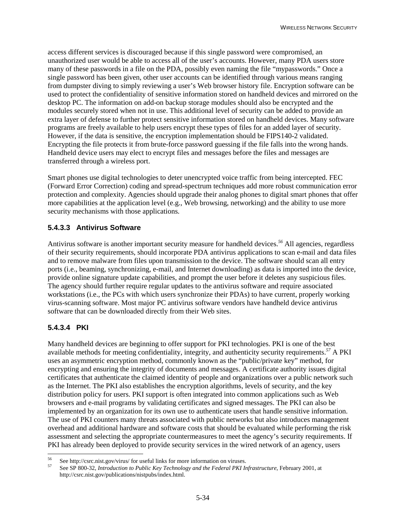access different services is discouraged because if this single password were compromised, an unauthorized user would be able to access all of the user's accounts. However, many PDA users store many of these passwords in a file on the PDA, possibly even naming the file "mypasswords." Once a single password has been given, other user accounts can be identified through various means ranging from dumpster diving to simply reviewing a user's Web browser history file. Encryption software can be used to protect the confidentiality of sensitive information stored on handheld devices and mirrored on the desktop PC. The information on add-on backup storage modules should also be encrypted and the modules securely stored when not in use. This additional level of security can be added to provide an extra layer of defense to further protect sensitive information stored on handheld devices. Many software programs are freely available to help users encrypt these types of files for an added layer of security. However, if the data is sensitive, the encryption implementation should be FIPS140-2 validated. Encrypting the file protects it from brute-force password guessing if the file falls into the wrong hands. Handheld device users may elect to encrypt files and messages before the files and messages are transferred through a wireless port.

Smart phones use digital technologies to deter unencrypted voice traffic from being intercepted. FEC (Forward Error Correction) coding and spread-spectrum techniques add more robust communication error protection and complexity. Agencies should upgrade their analog phones to digital smart phones that offer more capabilities at the application level (e.g., Web browsing, networking) and the ability to use more security mechanisms with those applications.

#### **5.4.3.3 Antivirus Software**

Antivirus software is another important security measure for handheld devices.*<sup>56</sup>* All agencies, regardless of their security requirements, should incorporate PDA antivirus applications to scan e-mail and data files and to remove malware from files upon transmission to the device. The software should scan all entry ports (i.e., beaming, synchronizing, e-mail, and Internet downloading) as data is imported into the device, provide online signature update capabilities, and prompt the user before it deletes any suspicious files. The agency should further require regular updates to the antivirus software and require associated workstations (i.e., the PCs with which users synchronize their PDAs) to have current, properly working virus-scanning software. Most major PC antivirus software vendors have handheld device antivirus software that can be downloaded directly from their Web sites.

## **5.4.3.4 PKI**

1

Many handheld devices are beginning to offer support for PKI technologies. PKI is one of the best available methods for meeting confidentiality, integrity, and authenticity security requirements.*<sup>57</sup>* A PKI uses an asymmetric encryption method, commonly known as the "public/private key" method, for encrypting and ensuring the integrity of documents and messages. A certificate authority issues digital certificates that authenticate the claimed identity of people and organizations over a public network such as the Internet. The PKI also establishes the encryption algorithms, levels of security, and the key distribution policy for users. PKI support is often integrated into common applications such as Web browsers and e-mail programs by validating certificates and signed messages. The PKI can also be implemented by an organization for its own use to authenticate users that handle sensitive information. The use of PKI counters many threats associated with public networks but also introduces management overhead and additional hardware and software costs that should be evaluated while performing the risk assessment and selecting the appropriate countermeasures to meet the agency's security requirements. If PKI has already been deployed to provide security services in the wired network of an agency, users

<sup>&</sup>lt;sup>56</sup> See http://csrc.nist.gov/virus/ for useful links for more information on viruses.<br> $\frac{57}{6}$  See SD 999, 22 J is the state of B 11:  $K = T_{\text{tot}}$  J is the state of BM Is

<sup>57</sup> See SP 800-32, *Introduction to Public Key Technology and the Federal PKI Infrastructure*, February 2001, at http://csrc.nist.gov/publications/nistpubs/index.html.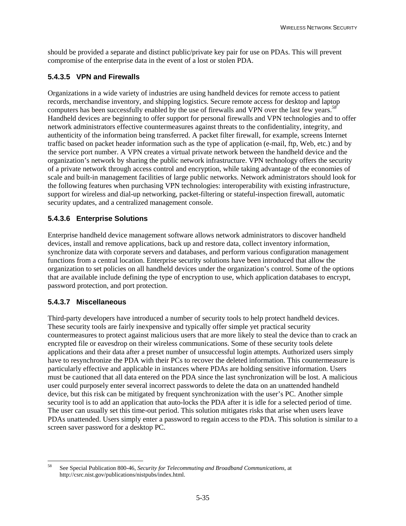should be provided a separate and distinct public/private key pair for use on PDAs. This will prevent compromise of the enterprise data in the event of a lost or stolen PDA.

#### **5.4.3.5 VPN and Firewalls**

Organizations in a wide variety of industries are using handheld devices for remote access to patient records, merchandise inventory, and shipping logistics. Secure remote access for desktop and laptop computers has been successfully enabled by the use of firewalls and VPN over the last few years.<sup>5</sup> Handheld devices are beginning to offer support for personal firewalls and VPN technologies and to offer network administrators effective countermeasures against threats to the confidentiality, integrity, and authenticity of the information being transferred. A packet filter firewall, for example, screens Internet traffic based on packet header information such as the type of application (e-mail, ftp, Web, etc.) and by the service port number. A VPN creates a virtual private network between the handheld device and the organization's network by sharing the public network infrastructure. VPN technology offers the security of a private network through access control and encryption, while taking advantage of the economies of scale and built-in management facilities of large public networks. Network administrators should look for the following features when purchasing VPN technologies: interoperability with existing infrastructure, support for wireless and dial-up networking, packet-filtering or stateful-inspection firewall, automatic security updates, and a centralized management console.

## **5.4.3.6 Enterprise Solutions**

Enterprise handheld device management software allows network administrators to discover handheld devices, install and remove applications, back up and restore data, collect inventory information, synchronize data with corporate servers and databases, and perform various configuration management functions from a central location. Enterprise security solutions have been introduced that allow the organization to set policies on all handheld devices under the organization's control. Some of the options that are available include defining the type of encryption to use, which application databases to encrypt, password protection, and port protection.

#### **5.4.3.7 Miscellaneous**

Third-party developers have introduced a number of security tools to help protect handheld devices. These security tools are fairly inexpensive and typically offer simple yet practical security countermeasures to protect against malicious users that are more likely to steal the device than to crack an encrypted file or eavesdrop on their wireless communications. Some of these security tools delete applications and their data after a preset number of unsuccessful login attempts. Authorized users simply have to resynchronize the PDA with their PCs to recover the deleted information. This countermeasure is particularly effective and applicable in instances where PDAs are holding sensitive information. Users must be cautioned that all data entered on the PDA since the last synchronization will be lost. A malicious user could purposely enter several incorrect passwords to delete the data on an unattended handheld device, but this risk can be mitigated by frequent synchronization with the user's PC. Another simple security tool is to add an application that auto-locks the PDA after it is idle for a selected period of time. The user can usually set this time-out period. This solution mitigates risks that arise when users leave PDAs unattended. Users simply enter a password to regain access to the PDA. This solution is similar to a screen saver password for a desktop PC.

<sup>58</sup> 58 See Special Publication 800-46, *Security for Telecommuting and Broadband Communications,* at http://csrc.nist.gov/publications/nistpubs/index.html.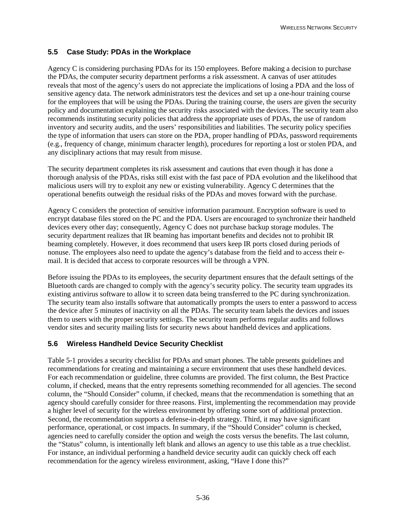## **5.5 Case Study: PDAs in the Workplace**

Agency C is considering purchasing PDAs for its 150 employees. Before making a decision to purchase the PDAs, the computer security department performs a risk assessment. A canvas of user attitudes reveals that most of the agency's users do not appreciate the implications of losing a PDA and the loss of sensitive agency data. The network administrators test the devices and set up a one-hour training course for the employees that will be using the PDAs. During the training course, the users are given the security policy and documentation explaining the security risks associated with the devices. The security team also recommends instituting security policies that address the appropriate uses of PDAs, the use of random inventory and security audits, and the users' responsibilities and liabilities. The security policy specifies the type of information that users can store on the PDA, proper handling of PDAs, password requirements (e.g., frequency of change, minimum character length), procedures for reporting a lost or stolen PDA, and any disciplinary actions that may result from misuse.

The security department completes its risk assessment and cautions that even though it has done a thorough analysis of the PDAs, risks still exist with the fast pace of PDA evolution and the likelihood that malicious users will try to exploit any new or existing vulnerability. Agency C determines that the operational benefits outweigh the residual risks of the PDAs and moves forward with the purchase.

Agency C considers the protection of sensitive information paramount. Encryption software is used to encrypt database files stored on the PC and the PDA. Users are encouraged to synchronize their handheld devices every other day; consequently, Agency C does not purchase backup storage modules. The security department realizes that IR beaming has important benefits and decides not to prohibit IR beaming completely. However, it does recommend that users keep IR ports closed during periods of nonuse. The employees also need to update the agency's database from the field and to access their email. It is decided that access to corporate resources will be through a VPN.

Before issuing the PDAs to its employees, the security department ensures that the default settings of the Bluetooth cards are changed to comply with the agency's security policy. The security team upgrades its existing antivirus software to allow it to screen data being transferred to the PC during synchronization. The security team also installs software that automatically prompts the users to enter a password to access the device after 5 minutes of inactivity on all the PDAs. The security team labels the devices and issues them to users with the proper security settings. The security team performs regular audits and follows vendor sites and security mailing lists for security news about handheld devices and applications.

## **5.6 Wireless Handheld Device Security Checklist**

Table 5-1 provides a security checklist for PDAs and smart phones. The table presents guidelines and recommendations for creating and maintaining a secure environment that uses these handheld devices. For each recommendation or guideline, three columns are provided. The first column, the Best Practice column, if checked, means that the entry represents something recommended for all agencies. The second column, the "Should Consider" column, if checked, means that the recommendation is something that an agency should carefully consider for three reasons. First, implementing the recommendation may provide a higher level of security for the wireless environment by offering some sort of additional protection. Second, the recommendation supports a defense-in-depth strategy. Third, it may have significant performance, operational, or cost impacts. In summary, if the "Should Consider" column is checked, agencies need to carefully consider the option and weigh the costs versus the benefits. The last column, the "Status" column, is intentionally left blank and allows an agency to use this table as a true checklist. For instance, an individual performing a handheld device security audit can quickly check off each recommendation for the agency wireless environment, asking, "Have I done this?"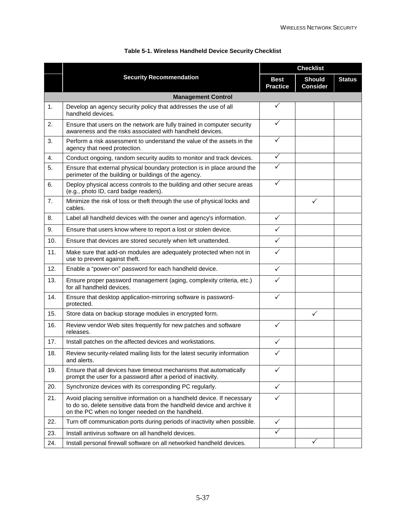|     |                                                                                                                                                                                                       |                                | <b>Checklist</b>                 |               |  |
|-----|-------------------------------------------------------------------------------------------------------------------------------------------------------------------------------------------------------|--------------------------------|----------------------------------|---------------|--|
|     | <b>Security Recommendation</b>                                                                                                                                                                        | <b>Best</b><br><b>Practice</b> | <b>Should</b><br><b>Consider</b> | <b>Status</b> |  |
|     | <b>Management Control</b>                                                                                                                                                                             |                                |                                  |               |  |
| 1.  | Develop an agency security policy that addresses the use of all<br>handheld devices.                                                                                                                  |                                |                                  |               |  |
| 2.  | Ensure that users on the network are fully trained in computer security<br>awareness and the risks associated with handheld devices.                                                                  | ✓                              |                                  |               |  |
| 3.  | Perform a risk assessment to understand the value of the assets in the<br>agency that need protection.                                                                                                | ✓                              |                                  |               |  |
| 4.  | Conduct ongoing, random security audits to monitor and track devices.                                                                                                                                 | $\checkmark$                   |                                  |               |  |
| 5.  | Ensure that external physical boundary protection is in place around the<br>perimeter of the building or buildings of the agency.                                                                     | ✓                              |                                  |               |  |
| 6.  | Deploy physical access controls to the building and other secure areas<br>(e.g., photo ID, card badge readers).                                                                                       | $\checkmark$                   |                                  |               |  |
| 7.  | Minimize the risk of loss or theft through the use of physical locks and<br>cables.                                                                                                                   |                                | $\checkmark$                     |               |  |
| 8.  | Label all handheld devices with the owner and agency's information.                                                                                                                                   | ✓                              |                                  |               |  |
| 9.  | Ensure that users know where to report a lost or stolen device.                                                                                                                                       | $\checkmark$                   |                                  |               |  |
| 10. | Ensure that devices are stored securely when left unattended.                                                                                                                                         | $\checkmark$                   |                                  |               |  |
| 11. | Make sure that add-on modules are adequately protected when not in<br>use to prevent against theft.                                                                                                   | ✓                              |                                  |               |  |
| 12. | Enable a "power-on" password for each handheld device.                                                                                                                                                | $\checkmark$                   |                                  |               |  |
| 13. | Ensure proper password management (aging, complexity criteria, etc.)<br>for all handheld devices.                                                                                                     | $\checkmark$                   |                                  |               |  |
| 14. | Ensure that desktop application-mirroring software is password-<br>protected.                                                                                                                         | ✓                              |                                  |               |  |
| 15. | Store data on backup storage modules in encrypted form.                                                                                                                                               |                                | $\checkmark$                     |               |  |
| 16. | Review vendor Web sites frequently for new patches and software<br>releases.                                                                                                                          | $\checkmark$                   |                                  |               |  |
| 17. | Install patches on the affected devices and workstations.                                                                                                                                             | $\checkmark$                   |                                  |               |  |
| 18. | Review security-related mailing lists for the latest security information<br>and alerts.                                                                                                              |                                |                                  |               |  |
| 19. | Ensure that all devices have timeout mechanisms that automatically<br>prompt the user for a password after a period of inactivity.                                                                    | $\checkmark$                   |                                  |               |  |
| 20. | Synchronize devices with its corresponding PC regularly.                                                                                                                                              | $\checkmark$                   |                                  |               |  |
| 21. | Avoid placing sensitive information on a handheld device. If necessary<br>to do so, delete sensitive data from the handheld device and archive it<br>on the PC when no longer needed on the handheld. | ✓                              |                                  |               |  |
| 22. | Turn off communication ports during periods of inactivity when possible.                                                                                                                              | $\checkmark$                   |                                  |               |  |
| 23. | Install antivirus software on all handheld devices.                                                                                                                                                   | ✓                              |                                  |               |  |
| 24. | Install personal firewall software on all networked handheld devices.                                                                                                                                 |                                | ✓                                |               |  |

#### **Table 5-1. Wireless Handheld Device Security Checklist**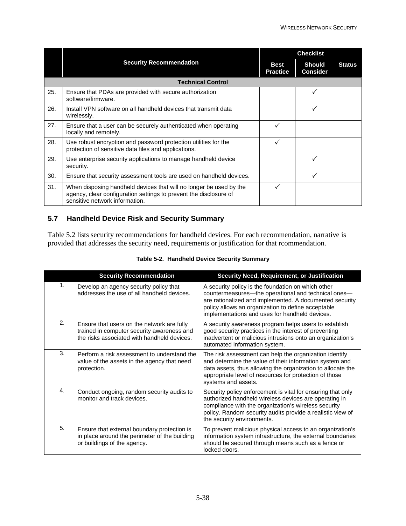|     |                                                                                                                                                                           |                                | <b>Checklist</b>          |               |
|-----|---------------------------------------------------------------------------------------------------------------------------------------------------------------------------|--------------------------------|---------------------------|---------------|
|     | <b>Security Recommendation</b>                                                                                                                                            | <b>Best</b><br><b>Practice</b> | Should<br><b>Consider</b> | <b>Status</b> |
|     | <b>Technical Control</b>                                                                                                                                                  |                                |                           |               |
| 25. | Ensure that PDAs are provided with secure authorization<br>software/firmware.                                                                                             |                                |                           |               |
| 26. | Install VPN software on all handheld devices that transmit data<br>wirelessly.                                                                                            |                                |                           |               |
| 27. | Ensure that a user can be securely authenticated when operating<br>locally and remotely.                                                                                  |                                |                           |               |
| 28. | Use robust encryption and password protection utilities for the<br>protection of sensitive data files and applications.                                                   |                                |                           |               |
| 29. | Use enterprise security applications to manage handheld device<br>security.                                                                                               |                                |                           |               |
| 30. | Ensure that security assessment tools are used on handheld devices.                                                                                                       |                                |                           |               |
| 31. | When disposing handheld devices that will no longer be used by the<br>agency, clear configuration settings to prevent the disclosure of<br>sensitive network information. |                                |                           |               |

## **5.7 Handheld Device Risk and Security Summary**

Table 5.2 lists security recommendations for handheld devices. For each recommendation, narrative is provided that addresses the security need, requirements or justification for that rcommendation.

|    | <b>Security Recommendation</b>                                                                                                          | Security Need, Requirement, or Justification                                                                                                                                                                                                                                 |
|----|-----------------------------------------------------------------------------------------------------------------------------------------|------------------------------------------------------------------------------------------------------------------------------------------------------------------------------------------------------------------------------------------------------------------------------|
| 1. | Develop an agency security policy that<br>addresses the use of all handheld devices.                                                    | A security policy is the foundation on which other<br>countermeasures-the operational and technical ones-<br>are rationalized and implemented. A documented security<br>policy allows an organization to define acceptable<br>implementations and uses for handheld devices. |
| 2. | Ensure that users on the network are fully<br>trained in computer security awareness and<br>the risks associated with handheld devices. | A security awareness program helps users to establish<br>good security practices in the interest of preventing<br>inadvertent or malicious intrusions onto an organization's<br>automated information system.                                                                |
| 3. | Perform a risk assessment to understand the<br>value of the assets in the agency that need<br>protection.                               | The risk assessment can help the organization identify<br>and determine the value of their information system and<br>data assets, thus allowing the organization to allocate the<br>appropriate level of resources for protection of those<br>systems and assets.            |
| 4. | Conduct ongoing, random security audits to<br>monitor and track devices.                                                                | Security policy enforcement is vital for ensuring that only<br>authorized handheld wireless devices are operating in<br>compliance with the organization's wireless security<br>policy. Random security audits provide a realistic view of<br>the security environments.     |
| 5. | Ensure that external boundary protection is<br>in place around the perimeter of the building<br>or buildings of the agency.             | To prevent malicious physical access to an organization's<br>information system infrastructure, the external boundaries<br>should be secured through means such as a fence or<br>locked doors.                                                                               |

#### **Table 5-2. Handheld Device Security Summary**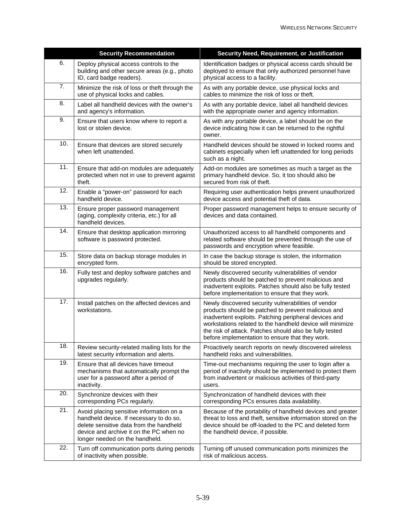|     | <b>Security Recommendation</b>                                                                                                                                                                              | Security Need, Requirement, or Justification                                                                                                                                                                                                                                                                                                   |
|-----|-------------------------------------------------------------------------------------------------------------------------------------------------------------------------------------------------------------|------------------------------------------------------------------------------------------------------------------------------------------------------------------------------------------------------------------------------------------------------------------------------------------------------------------------------------------------|
| 6.  | Deploy physical access controls to the<br>building and other secure areas (e.g., photo<br>ID, card badge readers).                                                                                          | Identification badges or physical access cards should be<br>deployed to ensure that only authorized personnel have<br>physical access to a facility.                                                                                                                                                                                           |
| 7.  | Minimize the risk of loss or theft through the<br>use of physical locks and cables.                                                                                                                         | As with any portable device, use physical locks and<br>cables to minimize the risk of loss or theft.                                                                                                                                                                                                                                           |
| 8.  | Label all handheld devices with the owner's<br>and agency's information.                                                                                                                                    | As with any portable device, label all handheld devices<br>with the appropriate owner and agency information.                                                                                                                                                                                                                                  |
| 9.  | Ensure that users know where to report a<br>lost or stolen device.                                                                                                                                          | As with any portable device, a label should be on the<br>device indicating how it can be returned to the rightful<br>owner.                                                                                                                                                                                                                    |
| 10. | Ensure that devices are stored securely<br>when left unattended.                                                                                                                                            | Handheld devices should be stowed in locked rooms and<br>cabinets especially when left unattended for long periods<br>such as a night.                                                                                                                                                                                                         |
| 11. | Ensure that add-on modules are adequately<br>protected when not in use to prevent against<br>theft.                                                                                                         | Add-on modules are sometimes as much a target as the<br>primary handheld device. So, it too should also be<br>secured from risk of theft.                                                                                                                                                                                                      |
| 12. | Enable a "power-on" password for each<br>handheld device.                                                                                                                                                   | Requiring user authentication helps prevent unauthorized<br>device access and potential theft of data.                                                                                                                                                                                                                                         |
| 13. | Ensure proper password management<br>(aging, complexity criteria, etc.) for all<br>handheld devices.                                                                                                        | Proper password management helps to ensure security of<br>devices and data contained.                                                                                                                                                                                                                                                          |
| 14. | Ensure that desktop application mirroring<br>software is password protected.                                                                                                                                | Unauthorized access to all handheld components and<br>related software should be prevented through the use of<br>passwords and encryption where feasible.                                                                                                                                                                                      |
| 15. | Store data on backup storage modules in<br>encrypted form.                                                                                                                                                  | In case the backup storage is stolen, the information<br>should be stored encrypted.                                                                                                                                                                                                                                                           |
| 16. | Fully test and deploy software patches and<br>upgrades regularly.                                                                                                                                           | Newly discovered security vulnerabilities of vendor<br>products should be patched to prevent malicious and<br>inadvertent exploits. Patches should also be fully tested<br>before implementation to ensure that they work.                                                                                                                     |
| 17. | Install patches on the affected devices and<br>workstations.                                                                                                                                                | Newly discovered security vulnerabilities of vendor<br>products should be patched to prevent malicious and<br>inadvertent exploits. Patching peripheral devices and<br>workstations related to the handheld device will minimize<br>the risk of attack. Patches should also be fully tested<br>before implementation to ensure that they work. |
| 18. | Review security-related mailing lists for the<br>latest security information and alerts.                                                                                                                    | Proactively search reports on newly discovered wireless<br>handheld risks and vulnerabilities.                                                                                                                                                                                                                                                 |
| 19. | Ensure that all devices have timeout<br>mechanisms that automatically prompt the<br>user for a password after a period of<br>inactivity.                                                                    | Time-out mechanisms requiring the user to login after a<br>period of inactivity should be implemented to protect them<br>from inadvertent or malicious activities of third-party<br>users.                                                                                                                                                     |
| 20. | Synchronize devices with their<br>corresponding PCs regularly.                                                                                                                                              | Synchronization of handheld devices with their<br>corresponding PCs ensures data availability.                                                                                                                                                                                                                                                 |
| 21. | Avoid placing sensitive information on a<br>handheld device. If necessary to do so,<br>delete sensitive data from the handheld<br>device and archive it on the PC when no<br>longer needed on the handheld. | Because of the portability of handheld devices and greater<br>threat to loss and theft, sensitive information stored on the<br>device should be off-loaded to the PC and deleted form<br>the handheld device, if possible.                                                                                                                     |
| 22. | Turn off communication ports during periods<br>of inactivity when possible.                                                                                                                                 | Turning off unused communication ports minimizes the<br>risk of malicious access.                                                                                                                                                                                                                                                              |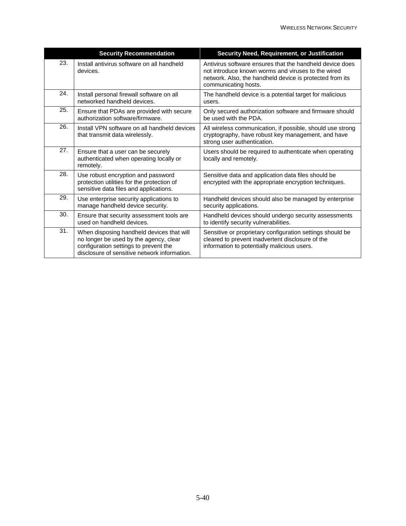|     | <b>Security Recommendation</b>                                                                                                                                               | Security Need, Requirement, or Justification                                                                                                                                                       |
|-----|------------------------------------------------------------------------------------------------------------------------------------------------------------------------------|----------------------------------------------------------------------------------------------------------------------------------------------------------------------------------------------------|
| 23. | Install antivirus software on all handheld<br>devices.                                                                                                                       | Antivirus software ensures that the handheld device does<br>not introduce known worms and viruses to the wired<br>network. Also, the handheld device is protected from its<br>communicating hosts. |
| 24. | Install personal firewall software on all<br>networked handheld devices.                                                                                                     | The handheld device is a potential target for malicious<br>users.                                                                                                                                  |
| 25. | Ensure that PDAs are provided with secure<br>authorization software/firmware.                                                                                                | Only secured authorization software and firmware should<br>be used with the PDA.                                                                                                                   |
| 26. | Install VPN software on all handheld devices<br>that transmit data wirelessly.                                                                                               | All wireless communication, if possible, should use strong<br>cryptography, have robust key management, and have<br>strong user authentication.                                                    |
| 27. | Ensure that a user can be securely<br>authenticated when operating locally or<br>remotely.                                                                                   | Users should be required to authenticate when operating<br>locally and remotely.                                                                                                                   |
| 28. | Use robust encryption and password<br>protection utilities for the protection of<br>sensitive data files and applications.                                                   | Sensitive data and application data files should be<br>encrypted with the appropriate encryption techniques.                                                                                       |
| 29. | Use enterprise security applications to<br>manage handheld device security.                                                                                                  | Handheld devices should also be managed by enterprise<br>security applications.                                                                                                                    |
| 30. | Ensure that security assessment tools are<br>used on handheld devices.                                                                                                       | Handheld devices should undergo security assessments<br>to identify security vulnerabilities.                                                                                                      |
| 31. | When disposing handheld devices that will<br>no longer be used by the agency, clear<br>configuration settings to prevent the<br>disclosure of sensitive network information. | Sensitive or proprietary configuration settings should be<br>cleared to prevent inadvertent disclosure of the<br>information to potentially malicious users.                                       |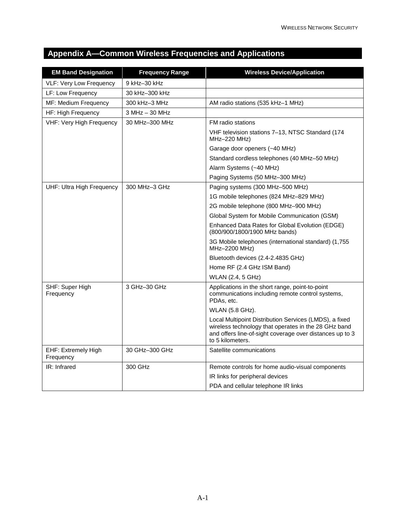# **Appendix A—Common Wireless Frequencies and Applications**

| <b>EM Band Designation</b>       | <b>Frequency Range</b> | <b>Wireless Device/Application</b>                                                                                                                                                             |
|----------------------------------|------------------------|------------------------------------------------------------------------------------------------------------------------------------------------------------------------------------------------|
| <b>VLF: Very Low Frequency</b>   | 9 kHz-30 kHz           |                                                                                                                                                                                                |
| LF: Low Frequency                | 30 kHz-300 kHz         |                                                                                                                                                                                                |
| MF: Medium Frequency             | 300 kHz-3 MHz          | AM radio stations (535 kHz-1 MHz)                                                                                                                                                              |
| HF: High Frequency               | $3 MHz - 30 MHz$       |                                                                                                                                                                                                |
| <b>VHF: Very High Frequency</b>  | 30 MHz-300 MHz         | FM radio stations                                                                                                                                                                              |
|                                  |                        | VHF television stations 7-13, NTSC Standard (174<br>MHz-220 MHz)                                                                                                                               |
|                                  |                        | Garage door openers (~40 MHz)                                                                                                                                                                  |
|                                  |                        | Standard cordless telephones (40 MHz-50 MHz)                                                                                                                                                   |
|                                  |                        | Alarm Systems (~40 MHz)                                                                                                                                                                        |
|                                  |                        | Paging Systems (50 MHz-300 MHz)                                                                                                                                                                |
| <b>UHF: Ultra High Frequency</b> | 300 MHz-3 GHz          | Paging systems (300 MHz-500 MHz)                                                                                                                                                               |
|                                  |                        | 1G mobile telephones (824 MHz-829 MHz)                                                                                                                                                         |
|                                  |                        | 2G mobile telephone (800 MHz-900 MHz)                                                                                                                                                          |
|                                  |                        | Global System for Mobile Communication (GSM)                                                                                                                                                   |
|                                  |                        | Enhanced Data Rates for Global Evolution (EDGE)<br>(800/900/1800/1900 MHz bands)                                                                                                               |
|                                  |                        | 3G Mobile telephones (international standard) (1,755<br>MHz-2200 MHz)                                                                                                                          |
|                                  |                        | Bluetooth devices (2.4-2.4835 GHz)                                                                                                                                                             |
|                                  |                        | Home RF (2.4 GHz ISM Band)                                                                                                                                                                     |
|                                  |                        | <b>WLAN (2.4, 5 GHz)</b>                                                                                                                                                                       |
| SHF: Super High<br>Frequency     | 3 GHz-30 GHz           | Applications in the short range, point-to-point<br>communications including remote control systems,<br>PDAs, etc.                                                                              |
|                                  |                        | <b>WLAN (5.8 GHz).</b>                                                                                                                                                                         |
|                                  |                        | Local Multipoint Distribution Services (LMDS), a fixed<br>wireless technology that operates in the 28 GHz band<br>and offers line-of-sight coverage over distances up to 3<br>to 5 kilometers. |
| EHF: Extremely High<br>Frequency | 30 GHz-300 GHz         | Satellite communications                                                                                                                                                                       |
| IR: Infrared                     | 300 GHz                | Remote controls for home audio-visual components                                                                                                                                               |
|                                  |                        | IR links for peripheral devices                                                                                                                                                                |
|                                  |                        | PDA and cellular telephone IR links                                                                                                                                                            |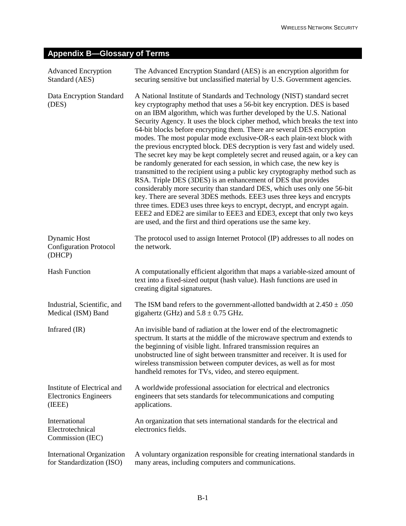# **Appendix B—Glossary of Terms**

| <b>Advanced Encryption</b><br>Standard (AES)                          | The Advanced Encryption Standard (AES) is an encryption algorithm for<br>securing sensitive but unclassified material by U.S. Government agencies.                                                                                                                                                                                                                                                                                                                                                                                                                                                                                                                                                                                                                                                                                                                                                                                                                                                                                                                                                                                                                                                                                  |
|-----------------------------------------------------------------------|-------------------------------------------------------------------------------------------------------------------------------------------------------------------------------------------------------------------------------------------------------------------------------------------------------------------------------------------------------------------------------------------------------------------------------------------------------------------------------------------------------------------------------------------------------------------------------------------------------------------------------------------------------------------------------------------------------------------------------------------------------------------------------------------------------------------------------------------------------------------------------------------------------------------------------------------------------------------------------------------------------------------------------------------------------------------------------------------------------------------------------------------------------------------------------------------------------------------------------------|
| Data Encryption Standard<br>(DES)                                     | A National Institute of Standards and Technology (NIST) standard secret<br>key cryptography method that uses a 56-bit key encryption. DES is based<br>on an IBM algorithm, which was further developed by the U.S. National<br>Security Agency. It uses the block cipher method, which breaks the text into<br>64-bit blocks before encrypting them. There are several DES encryption<br>modes. The most popular mode exclusive-OR-s each plain-text block with<br>the previous encrypted block. DES decryption is very fast and widely used.<br>The secret key may be kept completely secret and reused again, or a key can<br>be randomly generated for each session, in which case, the new key is<br>transmitted to the recipient using a public key cryptography method such as<br>RSA. Triple DES (3DES) is an enhancement of DES that provides<br>considerably more security than standard DES, which uses only one 56-bit<br>key. There are several 3DES methods. EEE3 uses three keys and encrypts<br>three times. EDE3 uses three keys to encrypt, decrypt, and encrypt again.<br>EEE2 and EDE2 are similar to EEE3 and EDE3, except that only two keys<br>are used, and the first and third operations use the same key. |
| <b>Dynamic Host</b><br><b>Configuration Protocol</b><br>(DHCP)        | The protocol used to assign Internet Protocol (IP) addresses to all nodes on<br>the network.                                                                                                                                                                                                                                                                                                                                                                                                                                                                                                                                                                                                                                                                                                                                                                                                                                                                                                                                                                                                                                                                                                                                        |
| <b>Hash Function</b>                                                  | A computationally efficient algorithm that maps a variable-sized amount of<br>text into a fixed-sized output (hash value). Hash functions are used in<br>creating digital signatures.                                                                                                                                                                                                                                                                                                                                                                                                                                                                                                                                                                                                                                                                                                                                                                                                                                                                                                                                                                                                                                               |
| Industrial, Scientific, and<br>Medical (ISM) Band                     | The ISM band refers to the government-allotted bandwidth at $2.450 \pm .050$<br>gigahertz (GHz) and $5.8 \pm 0.75$ GHz.                                                                                                                                                                                                                                                                                                                                                                                                                                                                                                                                                                                                                                                                                                                                                                                                                                                                                                                                                                                                                                                                                                             |
| Infrared $(IR)$                                                       | An invisible band of radiation at the lower end of the electromagnetic<br>spectrum. It starts at the middle of the microwave spectrum and extends to<br>the beginning of visible light. Infrared transmission requires an<br>unobstructed line of sight between transmitter and receiver. It is used for<br>wireless transmission between computer devices, as well as for most<br>handheld remotes for TVs, video, and stereo equipment.                                                                                                                                                                                                                                                                                                                                                                                                                                                                                                                                                                                                                                                                                                                                                                                           |
| Institute of Electrical and<br><b>Electronics Engineers</b><br>(IEEE) | A worldwide professional association for electrical and electronics<br>engineers that sets standards for telecommunications and computing<br>applications.                                                                                                                                                                                                                                                                                                                                                                                                                                                                                                                                                                                                                                                                                                                                                                                                                                                                                                                                                                                                                                                                          |
| International<br>Electrotechnical<br>Commission (IEC)                 | An organization that sets international standards for the electrical and<br>electronics fields.                                                                                                                                                                                                                                                                                                                                                                                                                                                                                                                                                                                                                                                                                                                                                                                                                                                                                                                                                                                                                                                                                                                                     |
| <b>International Organization</b><br>for Standardization (ISO)        | A voluntary organization responsible for creating international standards in<br>many areas, including computers and communications.                                                                                                                                                                                                                                                                                                                                                                                                                                                                                                                                                                                                                                                                                                                                                                                                                                                                                                                                                                                                                                                                                                 |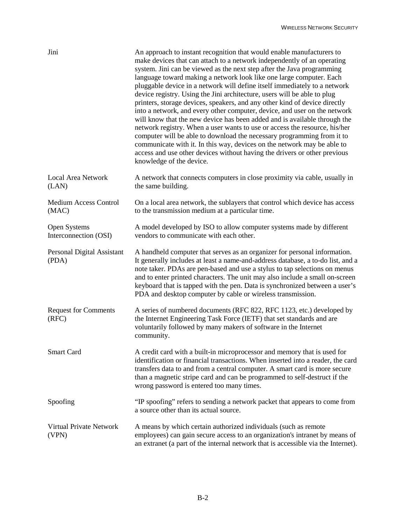| Jini                                         | An approach to instant recognition that would enable manufacturers to<br>make devices that can attach to a network independently of an operating<br>system. Jini can be viewed as the next step after the Java programming<br>language toward making a network look like one large computer. Each<br>pluggable device in a network will define itself immediately to a network<br>device registry. Using the Jini architecture, users will be able to plug<br>printers, storage devices, speakers, and any other kind of device directly<br>into a network, and every other computer, device, and user on the network<br>will know that the new device has been added and is available through the<br>network registry. When a user wants to use or access the resource, his/her<br>computer will be able to download the necessary programming from it to<br>communicate with it. In this way, devices on the network may be able to<br>access and use other devices without having the drivers or other previous<br>knowledge of the device. |
|----------------------------------------------|------------------------------------------------------------------------------------------------------------------------------------------------------------------------------------------------------------------------------------------------------------------------------------------------------------------------------------------------------------------------------------------------------------------------------------------------------------------------------------------------------------------------------------------------------------------------------------------------------------------------------------------------------------------------------------------------------------------------------------------------------------------------------------------------------------------------------------------------------------------------------------------------------------------------------------------------------------------------------------------------------------------------------------------------|
| <b>Local Area Network</b><br>(LAN)           | A network that connects computers in close proximity via cable, usually in<br>the same building.                                                                                                                                                                                                                                                                                                                                                                                                                                                                                                                                                                                                                                                                                                                                                                                                                                                                                                                                               |
| <b>Medium Access Control</b><br>(MAC)        | On a local area network, the sublayers that control which device has access<br>to the transmission medium at a particular time.                                                                                                                                                                                                                                                                                                                                                                                                                                                                                                                                                                                                                                                                                                                                                                                                                                                                                                                |
| <b>Open Systems</b><br>Interconnection (OSI) | A model developed by ISO to allow computer systems made by different<br>vendors to communicate with each other.                                                                                                                                                                                                                                                                                                                                                                                                                                                                                                                                                                                                                                                                                                                                                                                                                                                                                                                                |
| Personal Digital Assistant<br>(PDA)          | A handheld computer that serves as an organizer for personal information.<br>It generally includes at least a name-and-address database, a to-do list, and a<br>note taker. PDAs are pen-based and use a stylus to tap selections on menus<br>and to enter printed characters. The unit may also include a small on-screen<br>keyboard that is tapped with the pen. Data is synchronized between a user's<br>PDA and desktop computer by cable or wireless transmission.                                                                                                                                                                                                                                                                                                                                                                                                                                                                                                                                                                       |
| <b>Request for Comments</b><br>(RFC)         | A series of numbered documents (RFC 822, RFC 1123, etc.) developed by<br>the Internet Engineering Task Force (IETF) that set standards and are<br>voluntarily followed by many makers of software in the Internet<br>community.                                                                                                                                                                                                                                                                                                                                                                                                                                                                                                                                                                                                                                                                                                                                                                                                                |
| <b>Smart Card</b>                            | A credit card with a built-in microprocessor and memory that is used for<br>identification or financial transactions. When inserted into a reader, the card<br>transfers data to and from a central computer. A smart card is more secure<br>than a magnetic stripe card and can be programmed to self-destruct if the<br>wrong password is entered too many times.                                                                                                                                                                                                                                                                                                                                                                                                                                                                                                                                                                                                                                                                            |
| Spoofing                                     | "IP spoofing" refers to sending a network packet that appears to come from<br>a source other than its actual source.                                                                                                                                                                                                                                                                                                                                                                                                                                                                                                                                                                                                                                                                                                                                                                                                                                                                                                                           |
| <b>Virtual Private Network</b><br>(VPN)      | A means by which certain authorized individuals (such as remote<br>employees) can gain secure access to an organization's intranet by means of<br>an extranet (a part of the internal network that is accessible via the Internet).                                                                                                                                                                                                                                                                                                                                                                                                                                                                                                                                                                                                                                                                                                                                                                                                            |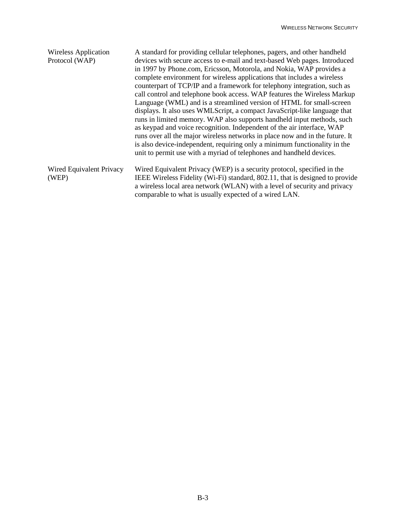| <b>Wireless Application</b><br>Protocol (WAP) | A standard for providing cellular telephones, pagers, and other handheld<br>devices with secure access to e-mail and text-based Web pages. Introduced<br>in 1997 by Phone.com, Ericsson, Motorola, and Nokia, WAP provides a<br>complete environment for wireless applications that includes a wireless<br>counterpart of TCP/IP and a framework for telephony integration, such as<br>call control and telephone book access. WAP features the Wireless Markup<br>Language (WML) and is a streamlined version of HTML for small-screen<br>displays. It also uses WMLScript, a compact JavaScript-like language that<br>runs in limited memory. WAP also supports handheld input methods, such<br>as keypad and voice recognition. Independent of the air interface, WAP<br>runs over all the major wireless networks in place now and in the future. It<br>is also device-independent, requiring only a minimum functionality in the<br>unit to permit use with a myriad of telephones and handheld devices. |
|-----------------------------------------------|---------------------------------------------------------------------------------------------------------------------------------------------------------------------------------------------------------------------------------------------------------------------------------------------------------------------------------------------------------------------------------------------------------------------------------------------------------------------------------------------------------------------------------------------------------------------------------------------------------------------------------------------------------------------------------------------------------------------------------------------------------------------------------------------------------------------------------------------------------------------------------------------------------------------------------------------------------------------------------------------------------------|
| Wired Equivalent Privacy<br>(WEP)             | Wired Equivalent Privacy (WEP) is a security protocol, specified in the<br>IEEE Wireless Fidelity (Wi-Fi) standard, 802.11, that is designed to provide<br>a wireless local area network (WLAN) with a level of security and privacy<br>comparable to what is usually expected of a wired LAN.                                                                                                                                                                                                                                                                                                                                                                                                                                                                                                                                                                                                                                                                                                                |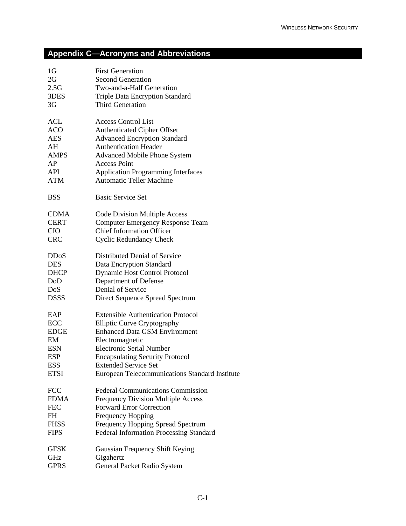# **Appendix C—Acronyms and Abbreviations**

| 1G          | <b>First Generation</b>                        |
|-------------|------------------------------------------------|
| 2G          | <b>Second Generation</b>                       |
| 2.5G        | Two-and-a-Half Generation                      |
| 3DES        | <b>Triple Data Encryption Standard</b>         |
| 3G          | <b>Third Generation</b>                        |
| ACL         | <b>Access Control List</b>                     |
| <b>ACO</b>  | <b>Authenticated Cipher Offset</b>             |
| <b>AES</b>  | <b>Advanced Encryption Standard</b>            |
| AH          | <b>Authentication Header</b>                   |
| AMPS        | <b>Advanced Mobile Phone System</b>            |
| AP          | <b>Access Point</b>                            |
| <b>API</b>  | <b>Application Programming Interfaces</b>      |
| ATM         | <b>Automatic Teller Machine</b>                |
| <b>BSS</b>  | <b>Basic Service Set</b>                       |
| <b>CDMA</b> | Code Division Multiple Access                  |
| <b>CERT</b> | <b>Computer Emergency Response Team</b>        |
| <b>CIO</b>  | <b>Chief Information Officer</b>               |
| <b>CRC</b>  | <b>Cyclic Redundancy Check</b>                 |
| <b>DDoS</b> | Distributed Denial of Service                  |
| <b>DES</b>  | Data Encryption Standard                       |
| <b>DHCP</b> | <b>Dynamic Host Control Protocol</b>           |
| DoD         | Department of Defense                          |
| DoS         | Denial of Service                              |
| <b>DSSS</b> | Direct Sequence Spread Spectrum                |
| EAP         | <b>Extensible Authentication Protocol</b>      |
| ECC         | <b>Elliptic Curve Cryptography</b>             |
| <b>EDGE</b> | <b>Enhanced Data GSM Environment</b>           |
| EM          | Electromagnetic                                |
| <b>ESN</b>  | <b>Electronic Serial Number</b>                |
| <b>ESP</b>  | <b>Encapsulating Security Protocol</b>         |
| <b>ESS</b>  | <b>Extended Service Set</b>                    |
| <b>ETSI</b> | European Telecommunications Standard Institute |
| <b>FCC</b>  | <b>Federal Communications Commission</b>       |
| <b>FDMA</b> | <b>Frequency Division Multiple Access</b>      |
| <b>FEC</b>  | <b>Forward Error Correction</b>                |
| FH          | <b>Frequency Hopping</b>                       |
| <b>FHSS</b> | <b>Frequency Hopping Spread Spectrum</b>       |
| <b>FIPS</b> | <b>Federal Information Processing Standard</b> |
| <b>GFSK</b> | <b>Gaussian Frequency Shift Keying</b>         |
| GHz         | Gigahertz                                      |
| <b>GPRS</b> | General Packet Radio System                    |
|             |                                                |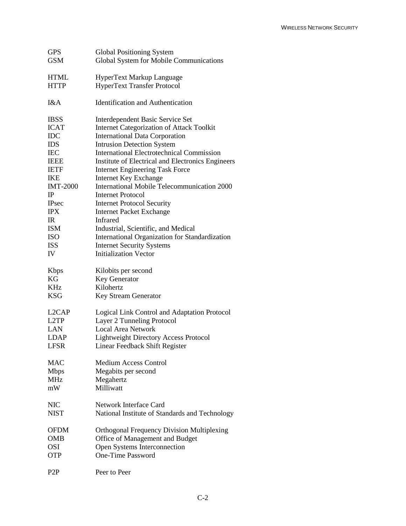| <b>GPS</b><br><b>GSM</b>  | <b>Global Positioning System</b><br>Global System for Mobile Communications |
|---------------------------|-----------------------------------------------------------------------------|
| <b>HTML</b>               | HyperText Markup Language                                                   |
| <b>HTTP</b>               | <b>HyperText Transfer Protocol</b>                                          |
| I&A                       | <b>Identification and Authentication</b>                                    |
| <b>IBSS</b>               | <b>Interdependent Basic Service Set</b>                                     |
| <b>ICAT</b>               | <b>Internet Categorization of Attack Toolkit</b>                            |
| IDC                       | <b>International Data Corporation</b>                                       |
| <b>IDS</b>                | <b>Intrusion Detection System</b>                                           |
| <b>IEC</b>                | <b>International Electrotechnical Commission</b>                            |
| <b>IEEE</b>               | Institute of Electrical and Electronics Engineers                           |
| <b>IETF</b>               | <b>Internet Engineering Task Force</b>                                      |
| <b>IKE</b>                | <b>Internet Key Exchange</b>                                                |
| <b>IMT-2000</b>           | International Mobile Telecommunication 2000                                 |
| <b>IP</b>                 | <b>Internet Protocol</b>                                                    |
| <b>IPsec</b>              | <b>Internet Protocol Security</b>                                           |
| <b>IPX</b>                | <b>Internet Packet Exchange</b>                                             |
| IR                        | Infrared                                                                    |
| <b>ISM</b>                | Industrial, Scientific, and Medical                                         |
| <b>ISO</b>                | International Organization for Standardization                              |
| <b>ISS</b>                | <b>Internet Security Systems</b>                                            |
| IV                        | <b>Initialization Vector</b>                                                |
|                           |                                                                             |
|                           |                                                                             |
|                           |                                                                             |
| <b>K</b> bps<br>KG        | Kilobits per second                                                         |
| KHz                       | Key Generator<br>Kilohertz                                                  |
| <b>KSG</b>                | Key Stream Generator                                                        |
|                           |                                                                             |
| L2CAP                     | Logical Link Control and Adaptation Protocol                                |
| L <sub>2</sub> TP         | Layer 2 Tunneling Protocol                                                  |
| <b>LAN</b>                | <b>Local Area Network</b>                                                   |
| <b>LDAP</b>               | <b>Lightweight Directory Access Protocol</b>                                |
| <b>LFSR</b>               | Linear Feedback Shift Register                                              |
| <b>MAC</b>                | <b>Medium Access Control</b>                                                |
|                           |                                                                             |
| <b>Mbps</b><br><b>MHz</b> | Megabits per second                                                         |
| mW                        | Megahertz<br>Milliwatt                                                      |
|                           |                                                                             |
| <b>NIC</b>                | Network Interface Card                                                      |
| <b>NIST</b>               | National Institute of Standards and Technology                              |
| <b>OFDM</b>               | <b>Orthogonal Frequency Division Multiplexing</b>                           |
| OMB                       | Office of Management and Budget                                             |
| OSI                       | Open Systems Interconnection                                                |
| <b>OTP</b>                | <b>One-Time Password</b>                                                    |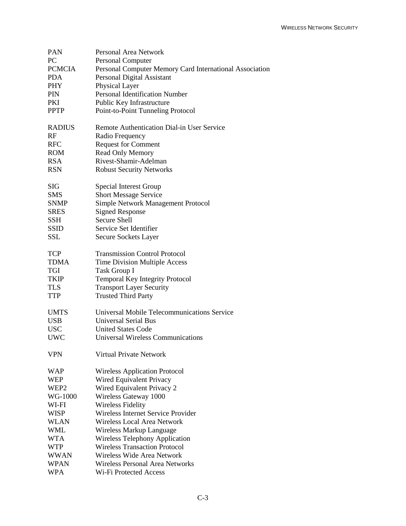| PAN<br>PC<br><b>PCMCIA</b><br><b>PDA</b> | <b>Personal Area Network</b><br><b>Personal Computer</b><br>Personal Computer Memory Card International Association<br>Personal Digital Assistant |
|------------------------------------------|---------------------------------------------------------------------------------------------------------------------------------------------------|
| PHY                                      | Physical Layer                                                                                                                                    |
| <b>PIN</b>                               | <b>Personal Identification Number</b>                                                                                                             |
| PKI                                      | Public Key Infrastructure                                                                                                                         |
| <b>PPTP</b>                              | Point-to-Point Tunneling Protocol                                                                                                                 |
| <b>RADIUS</b>                            | Remote Authentication Dial-in User Service                                                                                                        |
| RF                                       | Radio Frequency                                                                                                                                   |
| <b>RFC</b>                               | <b>Request for Comment</b>                                                                                                                        |
| <b>ROM</b>                               | <b>Read Only Memory</b>                                                                                                                           |
| <b>RSA</b>                               | Rivest-Shamir-Adelman                                                                                                                             |
| <b>RSN</b>                               | <b>Robust Security Networks</b>                                                                                                                   |
| SIG                                      | Special Interest Group                                                                                                                            |
| <b>SMS</b>                               | <b>Short Message Service</b>                                                                                                                      |
| <b>SNMP</b>                              | Simple Network Management Protocol                                                                                                                |
| SRES                                     | <b>Signed Response</b>                                                                                                                            |
| SSH                                      | <b>Secure Shell</b>                                                                                                                               |
| <b>SSID</b>                              | Service Set Identifier                                                                                                                            |
| <b>SSL</b>                               | Secure Sockets Layer                                                                                                                              |
| <b>TCP</b>                               | <b>Transmission Control Protocol</b>                                                                                                              |
| TDMA                                     | Time Division Multiple Access                                                                                                                     |
| TGI                                      | Task Group I                                                                                                                                      |
| TKIP                                     | <b>Temporal Key Integrity Protocol</b>                                                                                                            |
| <b>TLS</b>                               | <b>Transport Layer Security</b>                                                                                                                   |
| TTP                                      | <b>Trusted Third Party</b>                                                                                                                        |
| <b>UMTS</b>                              | <b>Universal Mobile Telecommunications Service</b>                                                                                                |
| <b>USB</b>                               | <b>Universal Serial Bus</b>                                                                                                                       |
| <b>USC</b>                               | <b>United States Code</b>                                                                                                                         |
| UWC                                      | <b>Universal Wireless Communications</b>                                                                                                          |
| <b>VPN</b>                               | Virtual Private Network                                                                                                                           |
| WAP                                      | <b>Wireless Application Protocol</b>                                                                                                              |
| <b>WEP</b>                               | Wired Equivalent Privacy                                                                                                                          |
| WEP2                                     | Wired Equivalent Privacy 2                                                                                                                        |
| WG-1000                                  | Wireless Gateway 1000                                                                                                                             |
| WI-FI                                    | <b>Wireless Fidelity</b>                                                                                                                          |
| WISP                                     | Wireless Internet Service Provider                                                                                                                |
| WLAN                                     | Wireless Local Area Network                                                                                                                       |
| WML                                      | Wireless Markup Language                                                                                                                          |
| WTA                                      | <b>Wireless Telephony Application</b>                                                                                                             |
| <b>WTP</b>                               | <b>Wireless Transaction Protocol</b>                                                                                                              |
| WWAN                                     | Wireless Wide Area Network                                                                                                                        |
| <b>WPAN</b>                              | Wireless Personal Area Networks                                                                                                                   |
| <b>WPA</b>                               | Wi-Fi Protected Access                                                                                                                            |
|                                          |                                                                                                                                                   |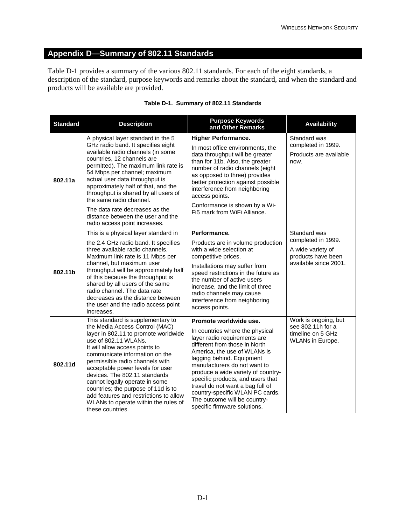## **Appendix D—Summary of 802.11 Standards**

Table D-1 provides a summary of the various 802.11 standards. For each of the eight standards, a description of the standard, purpose keywords and remarks about the standard, and when the standard and products will be available are provided.

| <b>Standard</b> | <b>Description</b>                                                                                                                                                                                                                                                                                                                                                                                                                                                                             | <b>Purpose Keywords</b><br>and Other Remarks                                                                                                                                                                                                                                                                                                                                                                                              | <b>Availability</b>                                                                                    |
|-----------------|------------------------------------------------------------------------------------------------------------------------------------------------------------------------------------------------------------------------------------------------------------------------------------------------------------------------------------------------------------------------------------------------------------------------------------------------------------------------------------------------|-------------------------------------------------------------------------------------------------------------------------------------------------------------------------------------------------------------------------------------------------------------------------------------------------------------------------------------------------------------------------------------------------------------------------------------------|--------------------------------------------------------------------------------------------------------|
| 802.11a         | A physical layer standard in the 5<br>GHz radio band. It specifies eight<br>available radio channels (in some<br>countries, 12 channels are<br>permitted). The maximum link rate is<br>54 Mbps per channel; maximum<br>actual user data throughput is<br>approximately half of that, and the<br>throughput is shared by all users of<br>the same radio channel.<br>The data rate decreases as the<br>distance between the user and the<br>radio access point increases.                        | <b>Higher Performance.</b><br>In most office environments, the<br>data throughput will be greater<br>than for 11b. Also, the greater<br>number of radio channels (eight<br>as opposed to three) provides<br>better protection against possible<br>interference from neighboring<br>access points.<br>Conformance is shown by a Wi-<br>Fi5 mark from WiFi Alliance.                                                                        | Standard was<br>completed in 1999.<br>Products are available<br>now.                                   |
| 802.11b         | This is a physical layer standard in<br>the 2.4 GHz radio band. It specifies<br>three available radio channels.<br>Maximum link rate is 11 Mbps per<br>channel, but maximum user<br>throughput will be approximately half<br>of this because the throughput is<br>shared by all users of the same<br>radio channel. The data rate<br>decreases as the distance between<br>the user and the radio access point<br>increases.                                                                    | Performance.<br>Products are in volume production<br>with a wide selection at<br>competitive prices.<br>Installations may suffer from<br>speed restrictions in the future as<br>the number of active users<br>increase, and the limit of three<br>radio channels may cause<br>interference from neighboring<br>access points.                                                                                                             | Standard was<br>completed in 1999.<br>A wide variety of<br>products have been<br>available since 2001. |
| 802.11d         | This standard is supplementary to<br>the Media Access Control (MAC)<br>layer in 802.11 to promote worldwide<br>use of 802.11 WLANs.<br>It will allow access points to<br>communicate information on the<br>permissible radio channels with<br>acceptable power levels for user<br>devices. The 802.11 standards<br>cannot legally operate in some<br>countries; the purpose of 11d is to<br>add features and restrictions to allow<br>WLANs to operate within the rules of<br>these countries. | Promote worldwide use.<br>In countries where the physical<br>layer radio requirements are<br>different from those in North<br>America, the use of WLANs is<br>lagging behind. Equipment<br>manufacturers do not want to<br>produce a wide variety of country-<br>specific products, and users that<br>travel do not want a bag full of<br>country-specific WLAN PC cards.<br>The outcome will be country-<br>specific firmware solutions. | Work is ongoing, but<br>see 802.11h for a<br>timeline on 5 GHz<br><b>WLANs in Europe.</b>              |

#### **Table D-1. Summary of 802.11 Standards**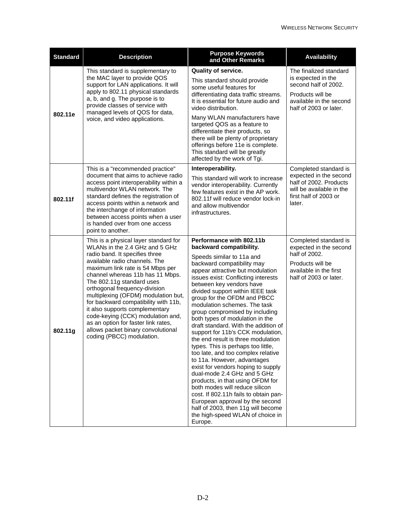| <b>Standard</b> | <b>Description</b>                                                                                                                                                                                                                                                                                                                                                                                                                                                                                                                               | <b>Purpose Keywords</b><br>and Other Remarks                                                                                                                                                                                                                                                                                                                                                                                                                                                                                                                                                                                                                                                                                                                                                                                                                                                                                            | <b>Availability</b>                                                                                                                           |
|-----------------|--------------------------------------------------------------------------------------------------------------------------------------------------------------------------------------------------------------------------------------------------------------------------------------------------------------------------------------------------------------------------------------------------------------------------------------------------------------------------------------------------------------------------------------------------|-----------------------------------------------------------------------------------------------------------------------------------------------------------------------------------------------------------------------------------------------------------------------------------------------------------------------------------------------------------------------------------------------------------------------------------------------------------------------------------------------------------------------------------------------------------------------------------------------------------------------------------------------------------------------------------------------------------------------------------------------------------------------------------------------------------------------------------------------------------------------------------------------------------------------------------------|-----------------------------------------------------------------------------------------------------------------------------------------------|
| 802.11e         | This standard is supplementary to<br>the MAC layer to provide QOS<br>support for LAN applications. It will<br>apply to 802.11 physical standards<br>a, b, and g. The purpose is to<br>provide classes of service with<br>managed levels of QOS for data,                                                                                                                                                                                                                                                                                         | Quality of service.<br>This standard should provide<br>some useful features for<br>differentiating data traffic streams.<br>It is essential for future audio and<br>video distribution.                                                                                                                                                                                                                                                                                                                                                                                                                                                                                                                                                                                                                                                                                                                                                 | The finalized standard<br>is expected in the<br>second half of 2002.<br>Products will be<br>available in the second<br>half of 2003 or later. |
|                 | voice, and video applications.                                                                                                                                                                                                                                                                                                                                                                                                                                                                                                                   | Many WLAN manufacturers have<br>targeted QOS as a feature to<br>differentiate their products, so<br>there will be plenty of proprietary<br>offerings before 11e is complete.<br>This standard will be greatly<br>affected by the work of Tgi.                                                                                                                                                                                                                                                                                                                                                                                                                                                                                                                                                                                                                                                                                           |                                                                                                                                               |
| 802.11f         | This is a "recommended practice"<br>document that aims to achieve radio<br>access point interoperability within a<br>multivendor WLAN network. The<br>standard defines the registration of<br>access points within a network and<br>the interchange of information<br>between access points when a user<br>is handed over from one access<br>point to another.                                                                                                                                                                                   | Interoperability.<br>This standard will work to increase<br>vendor interoperability. Currently<br>few features exist in the AP work.<br>802.11f will reduce vendor lock-in<br>and allow multivendor<br>infrastructures.                                                                                                                                                                                                                                                                                                                                                                                                                                                                                                                                                                                                                                                                                                                 | Completed standard is<br>expected in the second<br>half of 2002. Products<br>will be available in the<br>first half of 2003 or<br>later.      |
| 802.11g         | This is a physical layer standard for<br>WLANs in the 2.4 GHz and 5 GHz<br>radio band. It specifies three<br>available radio channels. The<br>maximum link rate is 54 Mbps per<br>channel whereas 11b has 11 Mbps.<br>The 802.11g standard uses<br>orthogonal frequency-division<br>multiplexing (OFDM) modulation but,<br>for backward compatibility with 11b,<br>it also supports complementary<br>code-keying (CCK) modulation and,<br>as an option for faster link rates,<br>allows packet binary convolutional<br>coding (PBCC) modulation. | Performance with 802.11b<br>backward compatibility.<br>Speeds similar to 11a and<br>backward compatibility may<br>appear attractive but modulation<br>issues exist: Conflicting interests<br>between key vendors have<br>divided support within IEEE task<br>group for the OFDM and PBCC<br>modulation schemes. The task<br>group compromised by including<br>both types of modulation in the<br>draft standard. With the addition of<br>support for 11b's CCK modulation,<br>the end result is three modulation<br>types. This is perhaps too little,<br>too late, and too complex relative<br>to 11a. However, advantages<br>exist for vendors hoping to supply<br>dual-mode 2.4 GHz and 5 GHz<br>products, in that using OFDM for<br>both modes will reduce silicon<br>cost. If 802.11h fails to obtain pan-<br>European approval by the second<br>half of 2003, then 11g will become<br>the high-speed WLAN of choice in<br>Europe. | Completed standard is<br>expected in the second<br>half of 2002.<br>Products will be<br>available in the first<br>half of 2003 or later.      |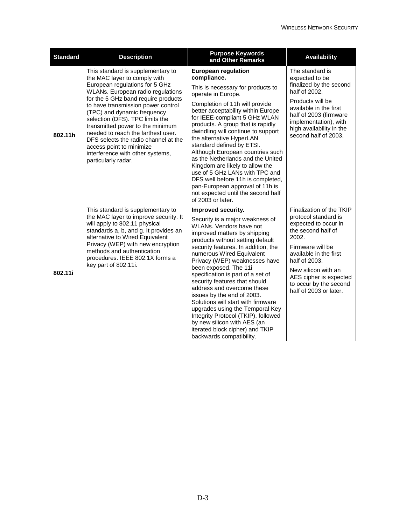| <b>Standard</b> | <b>Description</b>                                                                                                                                                                                                                                                                                                                                                                                                                                                                               | <b>Purpose Keywords</b><br>and Other Remarks                                                                                                                                                                                                                                                                                                                                                                                                                                                                                                                                                                                       | <b>Availability</b>                                                                                                                                                                                                                                                         |
|-----------------|--------------------------------------------------------------------------------------------------------------------------------------------------------------------------------------------------------------------------------------------------------------------------------------------------------------------------------------------------------------------------------------------------------------------------------------------------------------------------------------------------|------------------------------------------------------------------------------------------------------------------------------------------------------------------------------------------------------------------------------------------------------------------------------------------------------------------------------------------------------------------------------------------------------------------------------------------------------------------------------------------------------------------------------------------------------------------------------------------------------------------------------------|-----------------------------------------------------------------------------------------------------------------------------------------------------------------------------------------------------------------------------------------------------------------------------|
| 802.11h         | This standard is supplementary to<br>the MAC layer to comply with<br>European regulations for 5 GHz<br>WLANs. European radio regulations<br>for the 5 GHz band require products<br>to have transmission power control<br>(TPC) and dynamic frequency<br>selection (DFS). TPC limits the<br>transmitted power to the minimum<br>needed to reach the farthest user.<br>DFS selects the radio channel at the<br>access point to minimize<br>interference with other systems,<br>particularly radar. | <b>European regulation</b><br>compliance.<br>This is necessary for products to<br>operate in Europe.<br>Completion of 11h will provide<br>better acceptability within Europe<br>for IEEE-compliant 5 GHz WLAN<br>products. A group that is rapidly<br>dwindling will continue to support<br>the alternative HyperLAN<br>standard defined by ETSI.<br>Although European countries such<br>as the Netherlands and the United<br>Kingdom are likely to allow the<br>use of 5 GHz LANs with TPC and<br>DFS well before 11h is completed,<br>pan-European approval of 11h is<br>not expected until the second half<br>of 2003 or later. | The standard is<br>expected to be<br>finalized by the second<br>half of 2002.<br>Products will be<br>available in the first<br>half of 2003 (firmware<br>implementation), with<br>high availability in the<br>second half of 2003.                                          |
| 802.11i         | This standard is supplementary to<br>the MAC layer to improve security. It<br>will apply to 802.11 physical<br>standards a, b, and g. It provides an<br>alternative to Wired Equivalent<br>Privacy (WEP) with new encryption<br>methods and authentication<br>procedures. IEEE 802.1X forms a<br>key part of 802.11i.                                                                                                                                                                            | Improved security.<br>Security is a major weakness of<br>WLANs. Vendors have not<br>improved matters by shipping<br>products without setting default<br>security features. In addition, the<br>numerous Wired Equivalent<br>Privacy (WEP) weaknesses have<br>been exposed. The 11i<br>specification is part of a set of<br>security features that should<br>address and overcome these<br>issues by the end of 2003.<br>Solutions will start with firmware<br>upgrades using the Temporal Key<br>Integrity Protocol (TKIP), followed<br>by new silicon with AES (an<br>iterated block cipher) and TKIP<br>backwards compatibility. | Finalization of the TKIP<br>protocol standard is<br>expected to occur in<br>the second half of<br>2002.<br>Firmware will be<br>available in the first<br>half of 2003.<br>New silicon with an<br>AES cipher is expected<br>to occur by the second<br>half of 2003 or later. |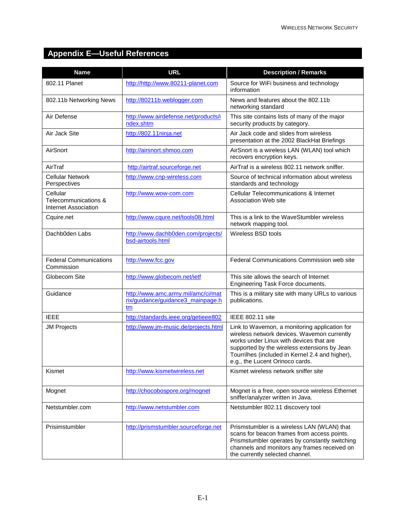## **Appendix E—Useful References**

| <b>Name</b>                                                     | <b>URL</b>                                                                    | <b>Description / Remarks</b>                                                                                                                                                                                                                                                  |
|-----------------------------------------------------------------|-------------------------------------------------------------------------------|-------------------------------------------------------------------------------------------------------------------------------------------------------------------------------------------------------------------------------------------------------------------------------|
| 802.11 Planet                                                   | http://http://www.80211-planet.com                                            | Source for WiFi business and technology<br>information                                                                                                                                                                                                                        |
| 802.11b Networking News                                         | http://80211b.weblogger.com                                                   | News and features about the 802.11b<br>networking standard                                                                                                                                                                                                                    |
| Air Defense                                                     | http://www.airdefense.net/products/i<br>ndex.shtm                             | This site contains lists of many of the major<br>security products by category.                                                                                                                                                                                               |
| Air Jack Site                                                   | http://802.11ninja.net                                                        | Air Jack code and slides from wireless<br>presentation at the 2002 BlackHat Briefings                                                                                                                                                                                         |
| AirSnort                                                        | http://airsnort.shmoo.com                                                     | AirSnort is a wireless LAN (WLAN) tool which<br>recovers encryption keys.                                                                                                                                                                                                     |
| AirTraf                                                         | http://airtraf.sourceforge.net                                                | AirTraf is a wireless 802.11 network sniffer.                                                                                                                                                                                                                                 |
| <b>Cellular Network</b><br>Perspectives                         | http://www.cnp-wireless.com                                                   | Source of technical information about wireless<br>standards and technology                                                                                                                                                                                                    |
| Cellular<br>Telecommunications &<br><b>Internet Association</b> | http://www.wow-com.com                                                        | <b>Cellular Telecommunications &amp; Internet</b><br>Association Web site                                                                                                                                                                                                     |
| Cquire.net                                                      | http://www.cqure.net/tools08.html                                             | This is a link to the WaveStumbler wireless<br>network mapping tool.                                                                                                                                                                                                          |
| Dachb0den Labs                                                  | http://www.dachb0den.com/projects/<br>bsd-airtools.html                       | Wireless BSD tools                                                                                                                                                                                                                                                            |
| <b>Federal Communications</b><br>Commission                     | http://www.fcc.gov                                                            | Federal Communications Commission web site                                                                                                                                                                                                                                    |
| Globecom Site                                                   | http://www.globecom.net/ietf                                                  | This site allows the search of Internet<br>Engineering Task Force documents.                                                                                                                                                                                                  |
| Guidance                                                        | http://www.amc.army.mil/amc/ci/mat<br>rix/guidance/guidance3_mainpage.h<br>tm | This is a military site with many URLs to various<br>publications.                                                                                                                                                                                                            |
| <b>IEEE</b>                                                     | http://standards.ieee.org/getieee802                                          | <b>IEEE 802.11 site</b>                                                                                                                                                                                                                                                       |
| <b>JM Projects</b>                                              | http://www.jm-music.de/projects.html                                          | Link to Wavemon, a monitoring application for<br>wireless network devices. Wavemon currently<br>works under Linux with devices that are<br>supported by the wireless extensions by Jean<br>Tourrilhes (included in Kernel 2.4 and higher),<br>e.g., the Lucent Orinoco cards. |
| Kismet                                                          | http://www.kismetwireless.net                                                 | Kismet wireless network sniffer site                                                                                                                                                                                                                                          |
| Mognet                                                          | http://chocobospore.org/mognet                                                | Mognet is a free, open source wireless Ethernet<br>sniffer/analyzer written in Java.                                                                                                                                                                                          |
| Netstumbler.com                                                 | http://www.netstumbler.com                                                    | Netstumbler 802.11 discovery tool                                                                                                                                                                                                                                             |
| Prisimstumbler                                                  | http://prismstumbler.sourceforge.net                                          | Prismstumbler is a wireless LAN (WLAN) that<br>scans for beacon frames from access points.<br>Prismstumbler operates by constantly switching<br>channels and monitors any frames received on<br>the currently selected channel.                                               |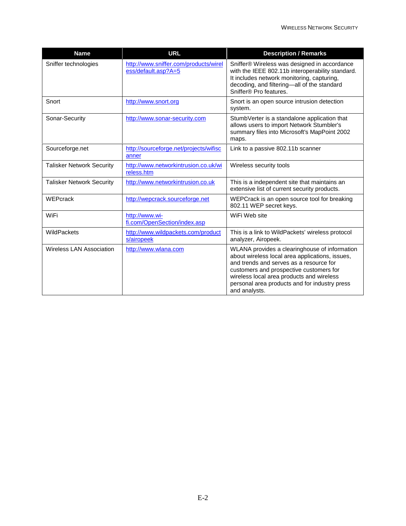| <b>Name</b>                      | <b>URL</b>                                                   | <b>Description / Remarks</b>                                                                                                                                                                                                                                                                          |
|----------------------------------|--------------------------------------------------------------|-------------------------------------------------------------------------------------------------------------------------------------------------------------------------------------------------------------------------------------------------------------------------------------------------------|
| Sniffer technologies             | http://www.sniffer.com/products/wirel<br>ess/default.asp?A=5 | Sniffer® Wireless was designed in accordance<br>with the IEEE 802.11b interoperability standard.<br>It includes network monitoring, capturing,<br>decoding, and filtering-all of the standard<br>Sniffer <sup>®</sup> Pro features.                                                                   |
| Snort                            | http://www.snort.org                                         | Snort is an open source intrusion detection<br>system.                                                                                                                                                                                                                                                |
| Sonar-Security                   | http://www.sonar-security.com                                | StumbVerter is a standalone application that<br>allows users to import Network Stumbler's<br>summary files into Microsoft's MapPoint 2002<br>maps.                                                                                                                                                    |
| Sourceforge.net                  | http://sourceforge.net/projects/wifisc<br>anner              | Link to a passive 802.11b scanner                                                                                                                                                                                                                                                                     |
| <b>Talisker Network Security</b> | http://www.networkintrusion.co.uk/wi<br>reless.htm           | Wireless security tools                                                                                                                                                                                                                                                                               |
| <b>Talisker Network Security</b> | http://www.networkintrusion.co.uk                            | This is a independent site that maintains an<br>extensive list of current security products.                                                                                                                                                                                                          |
| WEPcrack                         | http://wepcrack.sourceforge.net                              | WEPCrack is an open source tool for breaking<br>802.11 WEP secret keys.                                                                                                                                                                                                                               |
| WiFi                             | http://www.wi-<br>fi.com/OpenSection/index.asp               | WiFi Web site                                                                                                                                                                                                                                                                                         |
| WildPackets                      | http://www.wildpackets.com/product<br>s/airopeek             | This is a link to WildPackets' wireless protocol<br>analyzer, Airopeek.                                                                                                                                                                                                                               |
| <b>Wireless LAN Association</b>  | http://www.wlana.com                                         | WLANA provides a clearinghouse of information<br>about wireless local area applications, issues,<br>and trends and serves as a resource for<br>customers and prospective customers for<br>wireless local area products and wireless<br>personal area products and for industry press<br>and analysts. |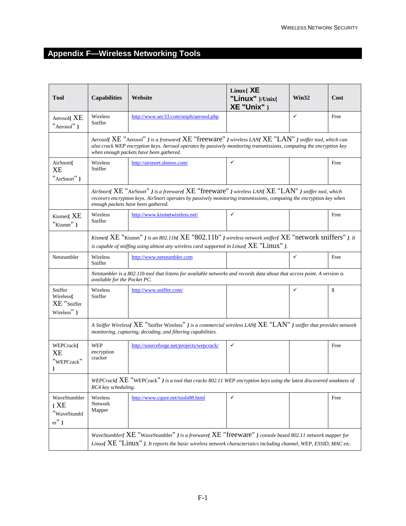# **Appendix F—Wireless Networking Tools**

| <b>Tool</b>                                          | <b>Capabilities</b>                                                                                                                                                                                                                                                                             | Website                                   | Linux{ $XE$<br>"Linux" }/Unix{<br>$XE$ "Unix" } | Win32 | Cost |
|------------------------------------------------------|-------------------------------------------------------------------------------------------------------------------------------------------------------------------------------------------------------------------------------------------------------------------------------------------------|-------------------------------------------|-------------------------------------------------|-------|------|
| Aerosol{ XE<br>"Aerosol" }                           | Wireless<br>Sniffer                                                                                                                                                                                                                                                                             | http://www.sec33.com/sniph/aerosol.php    |                                                 | ✓     | Free |
|                                                      | Aerosolf XE "Aerosol" <i>}</i> is a freewaref XE "freeware" <i>}</i> wireless LANf XE "LAN" <i>}</i> sniffer tool, which can<br>also crack WEP encryption keys. Aerosol operates by passively monitoring transmissions, computing the encryption key<br>when enough packets have been gathered. |                                           |                                                 |       |      |
| AirSnort{<br><b>XE</b><br>"AirSnort" }               | Wireless<br>Sniffer                                                                                                                                                                                                                                                                             | http://airsnort.shmoo.com/                | ✓                                               |       | Free |
|                                                      | AirSnortf $XE$ "AirSnort" <i>} is a freewaref</i> $XE$ "freeware" <i>} wireless LANf</i> $XE$ "LAN" <i>} sniffer tool, which</i><br>recovers encryption keys. AirSnort operates by passively monitoring transmissions, computing the encryption key when<br>enough packets have been gathered.  |                                           |                                                 |       |      |
| Kismet{ XE<br>"Kismet" }                             | Wireless<br>Sniffer                                                                                                                                                                                                                                                                             | http://www.kismetwireless.net/            | ✓                                               |       | Free |
|                                                      | Kismet[XE "Kismet" ] is an 802.11b[XE "802.11b" ] wireless network sniffer[XE "network sniffers" ]. It<br>is capable of sniffing using almost any wireless card supported in Linuxf $XE$ "Linux" }.                                                                                             |                                           |                                                 |       |      |
| Netstumbler                                          | Wireless<br>Sniffer                                                                                                                                                                                                                                                                             | http://www.netstumbler.com                |                                                 | ✓     | Free |
|                                                      | Netstumbler is a 802.11b tool that listens for available networks and records data about that access point. A version is<br>available for the Pocket PC.                                                                                                                                        |                                           |                                                 |       |      |
| Sniffer<br>Wireless{<br>XE "Sniffer<br>Wireless" }   | Wireless<br>Sniffer                                                                                                                                                                                                                                                                             | http://www.sniffer.com/                   |                                                 |       | \$   |
|                                                      | A Sniffer Wirelessf $XE$ "Sniffer Wireless" <i>}</i> is a commercial wireless LANf $XE$ "LAN" <i>}</i> sniffer that provides network<br>monitoring, capturing, decoding, and filtering capabilities.                                                                                            |                                           |                                                 |       |      |
| WEPCrack{<br><b>XE</b><br>"WEPCrack"<br>$\mathbf{r}$ | <b>WEP</b><br>encryption<br>cracker                                                                                                                                                                                                                                                             | http://sourceforge.net/projects/wepcrack/ | ✓                                               |       | Free |
|                                                      | WEPCrack{ $XE$ "WEPCrack" } is a tool that cracks 802.11 WEP encryption keys using the latest discovered weakness of<br>RC4 key scheduling.                                                                                                                                                     |                                           |                                                 |       |      |
| WaveStumbler<br>${XE}$<br>"WaveStumbl<br>$er''$ }    | Wireless<br>Network<br>Mapper                                                                                                                                                                                                                                                                   | http://www.cqure.net/tools08.html         | ✓                                               |       | Free |
|                                                      | WaveStumbler{ $XE$ "WaveStumbler" } is a freeware{ $XE$ "freeware" } console based 802.11 network mapper for<br>Linux{ XE "Linux" }. It reports the basic wireless network characteristics including channel, WEP, ESSID, MAC etc.                                                              |                                           |                                                 |       |      |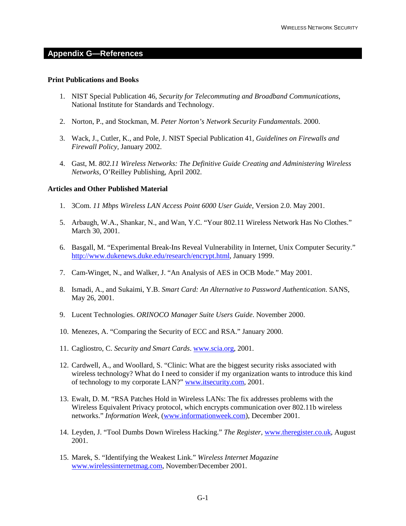## **Appendix G—References**

#### **Print Publications and Books**

- 1. NIST Special Publication 46, *Security for Telecommuting and Broadband Communications*, National Institute for Standards and Technology.
- 2. Norton, P., and Stockman, M. *Peter Norton's Network Security Fundamentals*. 2000.
- 3. Wack, J., Cutler, K., and Pole, J. NIST Special Publication 41*, Guidelines on Firewalls and Firewall Policy,* January 2002.
- 4. Gast, M. *802.11 Wireless Networks: The Definitive Guide Creating and Administering Wireless Networks*, O'Reilley Publishing, April 2002.

### **Articles and Other Published Material**

- 1. 3Com. *11 Mbps Wireless LAN Access Point 6000 User Guide,* Version 2.0. May 2001.
- 5. Arbaugh, W.A., Shankar, N., and Wan, Y.C. "Your 802.11 Wireless Network Has No Clothes." March 30, 2001.
- 6. Basgall, M. "Experimental Break-Ins Reveal Vulnerability in Internet, Unix Computer Security." [http://www.dukenews.duke.edu/research/encrypt.html,](#page-8-0) January 1999.
- 7. Cam-Winget, N., and Walker, J. "An Analysis of AES in OCB Mode." May 2001.
- 8. Ismadi, A., and Sukaimi, Y.B. *Smart Card: An Alternative to Password Authentication*. SANS, May 26, 2001.
- 9. Lucent Technologies. *ORINOCO Manager Suite Users Guide*. November 2000.
- 10. Menezes, A. "Comparing the Security of ECC and RSA." January 2000.
- 11. Cagliostro, C. *Security and Smart Cards*. [www.scia.org,](http://www.scia.org/) 2001.
- 12. Cardwell, A., and Woollard, S. "Clinic: What are the biggest security risks associated with wireless technology? What do I need to consider if my organization wants to introduce this kind of technology to my corporate LAN?" [www.itsecurity.com,](http://www.itsecurity.com/) 2001.
- 13. Ewalt, D. M. "RSA Patches Hold in Wireless LANs: The fix addresses problems with the Wireless Equivalent Privacy protocol, which encrypts communication over 802.11b wireless networks." *Information Week,* ([www.informationweek.com\)](http://www.informationweek.com/), December 2001.
- 14. Leyden, J. "Tool Dumbs Down Wireless Hacking." *The Register,* [www.theregister.co.uk,](http://www.theregister.co.uk/) August 2001.
- 15. Marek, S. "Identifying the Weakest Link." *Wireless Internet Magazine* [www.wirelessinternetmag.com,](http://www.wirelessinternetmag.com/) November/December 2001.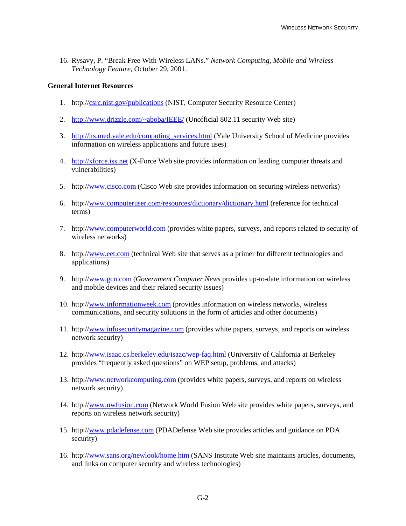16. Rysavy, P. "Break Free With Wireless LANs." *Network Computing, Mobile and Wireless Technology Feature*, October 29, 2001.

### **General Internet Resources**

- 1. http:/[/csrc.nist.gov/publications](http://csrc.nist.gov/publications) (NIST, Computer Security Resource Center)
- 2. <http://www.drizzle.com/~aboba/IEEE/>(Unofficial 802.11 security Web site)
- 3. [http://its.med.yale.edu/computing\\_services.html](http://its.med.yale.edu/computing_services.html) (Yale University School of Medicine provides information on wireless applications and future uses)
- 4. [http://xforce.iss.net \(](http://xforce.iss.net/)X-Force Web site provides information on leading computer threats and vulnerabilities)
- 5. http:/[/www.cisco.com \(](http://www.cisco.com/)Cisco Web site provides information on securing wireless networks)
- 6. http:/[/www.computeruser.com/resources/dictionary/dictionary.html](http://www.computeruser.com/resources/dictionary/dictionary.html) (reference for technical terms)
- 7. http:/[/www.computerworld.com](http://www.computerworld.com/) (provides white papers, surveys, and reports related to security of wireless networks)
- 8. http:/[/www.eet.com](http://www.eet.com/) (technical Web site that serves as a primer for different technologies and applications)
- 9. http:/[/www.gcn.com](http://www.gcn.com/) (*Government Computer News* provides up-to-date information on wireless and mobile devices and their related security issues)
- 10. http:/[/www.informationweek.com](http://www.informationweek.com/) (provides information on wireless networks, wireless communications, and security solutions in the form of articles and other documents)
- 11. http:/[/www.infosecuritymagazine.com](http://www.infosecuritymagazine.com/) (provides white papers, surveys, and reports on wireless network security)
- 12. http:/[/www.isaac.cs.berkeley.edu/isaac/wep-faq.html](http://www.isaac.cs.berkeley.edu/isaac/wep-faq.html) (University of California at Berkeley provides "frequently asked questions" on WEP setup, problems, and attacks)
- 13. http:/[/www.networkcomputing.com](http://www.networkcomputing.com/) (provides white papers, surveys, and reports on wireless network security)
- 14. http:/[/www.nwfusion.com](http://www.nwfusion.com/) (Network World Fusion Web site provides white papers, surveys, and reports on wireless network security)
- 15. http:/[/www.pdadefense.com \(](http://www.pdadefense.com/)PDADefense Web site provides articles and guidance on PDA security)
- 16. http:/[/www.sans.org/newlook/home.htm](http://www.sans.org/newlook/home.htm) (SANS Institute Web site maintains articles, documents, and links on computer security and wireless technologies)